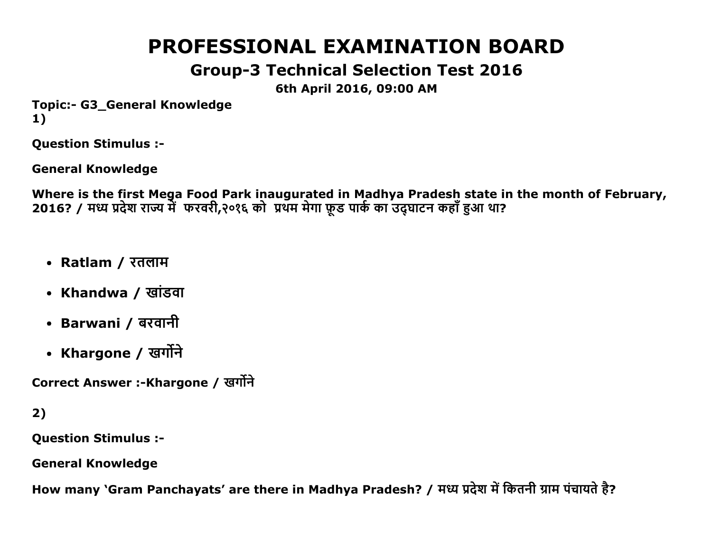# **PROFESSIONAL EXAMINATION BOARD**

# **Group-3 Technical Selection Test 2016**

6th April 2016, 09:00 AM

**Topic:- G3 General Knowledge**  $1)$ 

**Question Stimulus :-**

**General Knowledge** 

Where is the first Mega Food Park inaugurated in Madhya Pradesh state in the month of February, 2016? / मध्य प्रदेश राज्य में फरवरी,२०१६ को प्रथम मेगा फ़ड पार्क का उदघाटन कहाँ हुआ था?

- Ratlam / रतलाम
- Khandwa / खांडवा
- Barwani / बरवानी
- Khargone / खर्गोने

Correct Answer :-Khargone / खर्गोने

 $2)$ 

**Question Stimulus :-**

**General Knowledge** 

How many `Gram Panchayats' are there in Madhya Pradesh? / मध्य प्रदेश में कितनी ग्राम पंचायते है?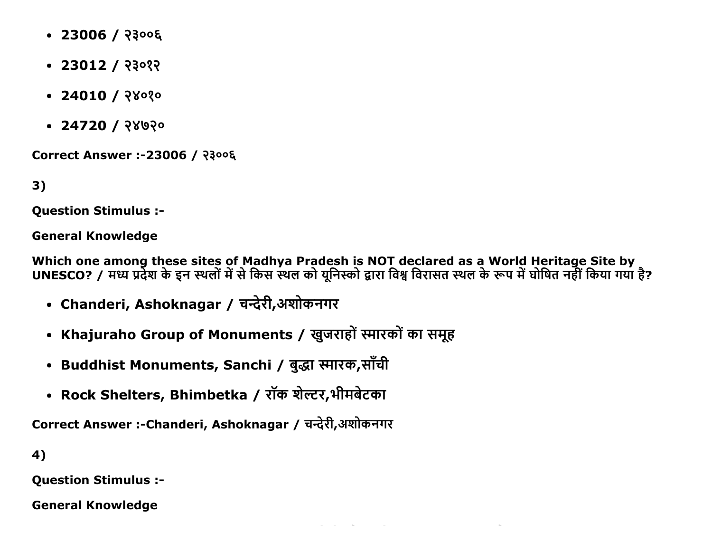- $\cdot$  23006 / २३००६
- $\cdot$  23012 / २३०१२
- $\bullet$  24010 / २४०१०
- $\cdot$  24720 / २४७२०

Correct Answer :-23006 / २३००६

 $3)$ 

**Ouestion Stimulus :-**

**General Knowledge** 

Which one among these sites of Madhya Pradesh is NOT declared as a World Heritage Site by<br>UNESCO? / मध्य प्रदेश के इन स्थलों में से किस स्थल को यूनिस्को द्वारा विश्व विरासत स्थल के रूप में घोषित नहीं किया गया है?

- Chanderi, Ashoknagar / चन्देरी,अशोकनगर
- Khajuraho Group of Monuments / खुजराहों स्मारकों का समूह
- Buddhist Monuments, Sanchi / बुद्धा स्मारक,साँची
- Rock Shelters, Bhimbetka / रॉक शेल्टर,भीमबेटका

Correct Answer :-Chanderi, Ashoknagar / चन्देरी,अशोकनगर

4)

**Question Stimulus :-**

**General Knowledge**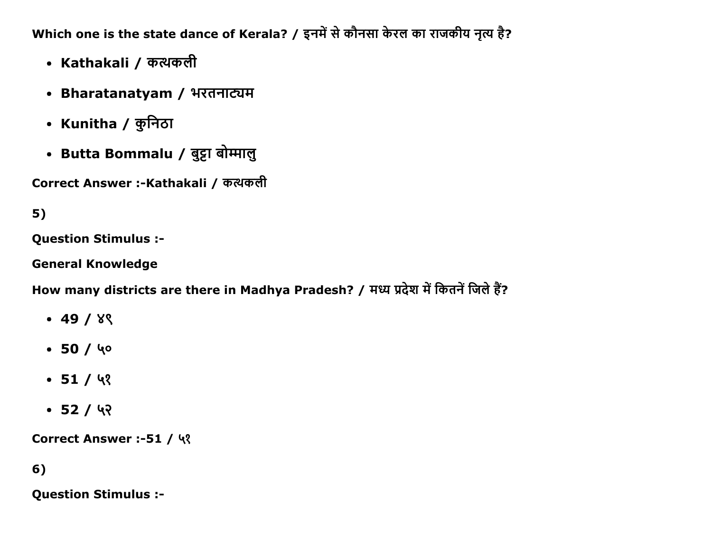Which one is the state dance of Kerala? / इनमें से कौनसा केरल का राजकीय नृत्य है?

- Kathakali / कत्थकली
- Bharatanatyam / भरतनाट्यम
- Kunitha / कुनिठा
- Butta Bommalu / बुट्टा बोम्मालु

Correct Answer :-Kathakali / कत्थकली

# $5)$

**Question Stimulus :-**

**General Knowledge** 

How many districts are there in Madhya Pradesh? / मध्य प्रदेश में कितनें जिले हैं?

- $-49/8$
- $-50/40$
- $-51/93$
- $-52/42$

Correct Answer :-51 / ५१

## 6)

**Question Stimulus :-**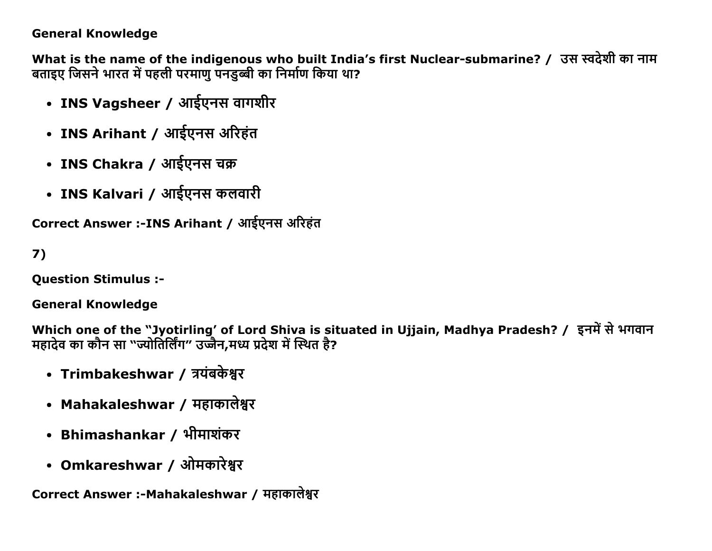#### **General Knowledge**

What is the name of the indigenous who built India's first Nuclear-submarine? / उस स्वदेशी का नाम बताइए जिसने भारत में पहली परमाणु पनडुब्बी का निर्माण किया था?

- INS Vagsheer / आईएनस वागशीर
- INS Arihant / आईएनस अरिहंत
- INS Chakra / आईएनस चक्र
- INS Kalvari / आईएनस कलवारी

Correct Answer :-INS Arihant / आईएनस अरिहंत

 $7)$ 

**Ouestion Stimulus :-**

**General Knowledge** 

Which one of the "Jyotirling' of Lord Shiva is situated in Ujjain, Madhya Pradesh? / इनमें से भगवान<br>महादेव का कौन सा "ज्योतिर्लिंग" उज्जैन,मध्य प्रदेश में स्थित है?

- Trimbakeshwar / त्रयंबकेश्वर
- Mahakaleshwar / महाकालेश्वर
- Bhimashankar / भीमाशंकर
- Omkareshwar / ओमकारेश्वर

Correct Answer :- Mahakaleshwar / महाकालेश्वर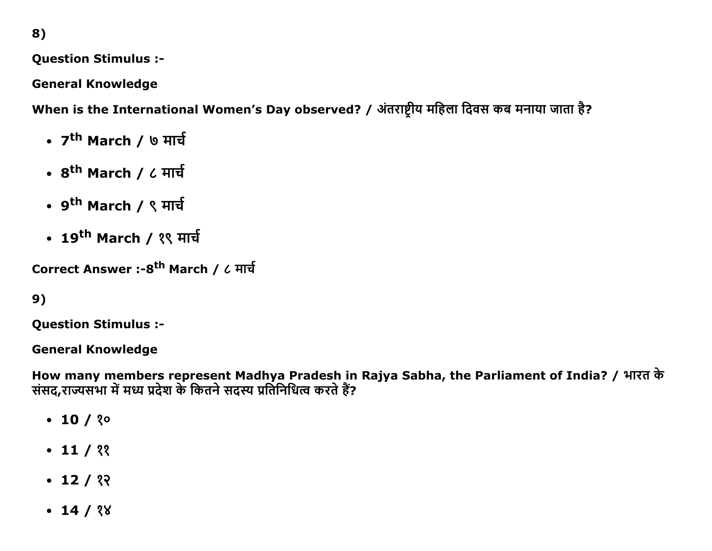8)

**Question Stimulus :-**

**General Knowledge** 

When is the International Women's Day observed? / अंतराष्ट्रीय महिला दिवस कब मनाया जाता है?

- 7<sup>th</sup> March / ७ मार्च
- 8<sup>th</sup> March / ८ मार्च
- 9<sup>th</sup> March / ९ मार्च
- 19<sup>th</sup> March / १९ मार्च

Correct Answer :- 8<sup>th</sup> March / ८ मार्च

```
9)
```
**Question Stimulus :-**

**General Knowledge** 

How many members represent Madhya Pradesh in Rajya Sabha, the Parliament of India? / भारत के संसद,राज्यसभा में मध्य प्रदेश के कितने सदस्य प्रतिनिधित्व करते हैं?

- $\cdot$  10 / ? $\circ$
- $\cdot$  11 / ??
- $\cdot$  12 / १२
- $\cdot$  14 / ? $8$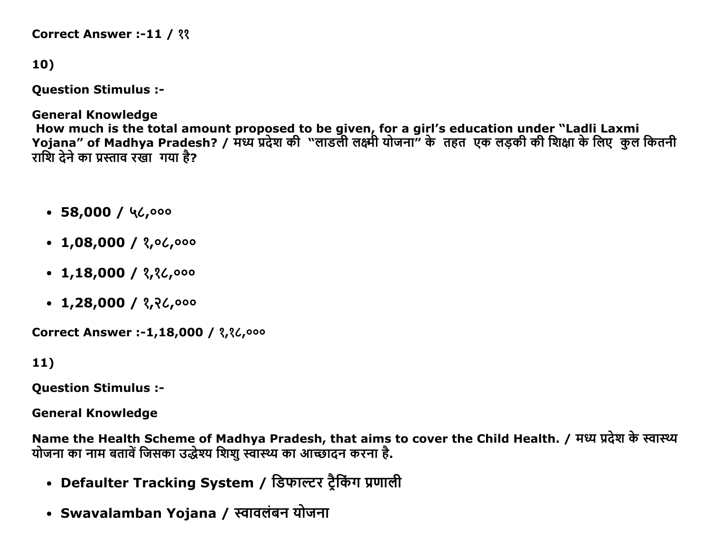```
Correct Answer :-11 / ??
```

```
10)
```
**Question Stimulus :-**

**General Knowledge** How much is the total amount proposed to be given, for a girl's education under "Ladli Laxmi<br>Yojana" of Madhya Pradesh? / मध्य प्रदेश की "लाडली लक्ष्मी योजना" के तहत एक लड़की की शिक्षा के लिए कुल कितनी राशि देने का प्रस्ताव रखा गया है?

- $\cdot$  58,000 / 46,000
- $\cdot$  1,08,000 / ?, 06,000
- $\cdot$  1,18,000 / ?,? $\mathcal{L}$ ,000
- $\cdot$  1,28,000 / ?,? $\mathcal{L}$ ,000

Correct Answer :-1,18,000 / 3,36,000

 $11)$ 

**Question Stimulus :-**

**General Knowledge** 

Name the Health Scheme of Madhya Pradesh, that aims to cover the Child Health. / मध्य प्रदेश के स्वास्थ्य योजना का नाम बतावें जिसका उद्धेश्य शिश स्वास्थ्य का आच्छादन करना है.

- Defaulter Tracking System / डिफाल्टर ट्रैकिंग प्रणाली
- Swavalamban Yojana / स्वावलंबन योजना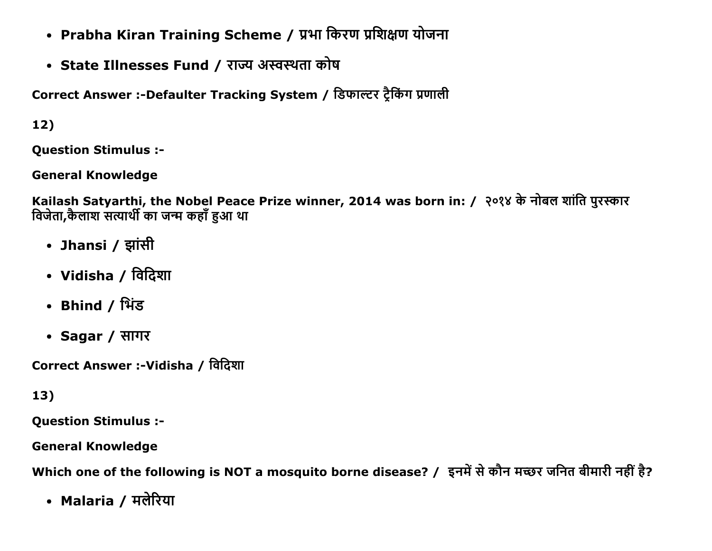- Prabha Kiran Training Scheme / प्रभा किरण प्रशिक्षण योजना
- State Illnesses Fund / राज्य अस्वस्थता कोष

Correct Answer :-Defaulter Tracking System / डिफाल्टर ट्रैकिंग प्रणाली

 $12)$ 

**Ouestion Stimulus :-**

**General Knowledge** 

Kailash Satyarthi, the Nobel Peace Prize winner, 2014 was born in: / २०१४ के नोबल शांति पुरस्कार विजेता,कैलाश सत्यार्थी का जन्म कहाँ हुआ था

- Jhansi / झांसी
- Vidisha / विदिशा
- Bhind / भिंड
- Sagar / सागर

Correct Answer :-Vidisha / विदिशा

13)

**Question Stimulus :-**

**General Knowledge** 

Which one of the following is NOT a mosquito borne disease? / इनमें से कौन मच्छर जनित बीमारी नहीं है?

• Malaria / मलेरिया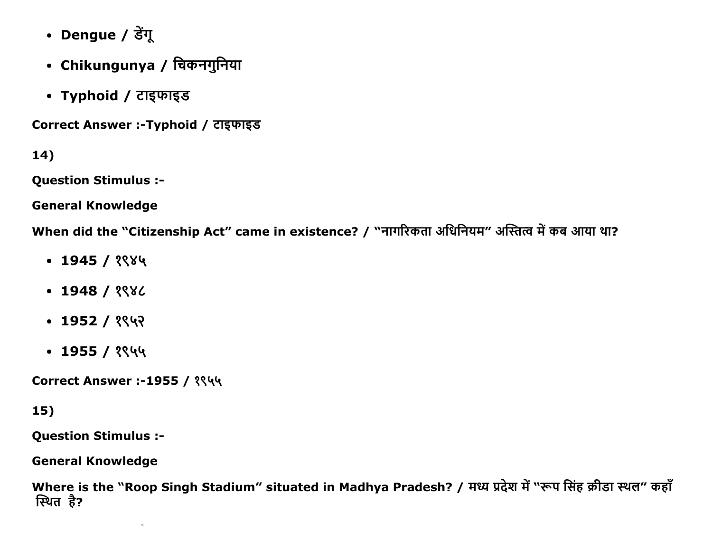- Dengue / डेंगू
- Chikungunya / चिकनगुनिया
- Typhoid / टाइफाइड

Correct Answer :-Typhoid / टाइफाइड

14)

**Question Stimulus :-**

**General Knowledge** 

When did the "Citizenship Act" came in existence? / "नागरिकता अधिनियम" अस्तित्व में कब आया था?

- $\cdot$  1945 / १९४५
- $\cdot$  1948 / ? 96
- $\cdot$  1952 / १९५२
- $\cdot$  1955 / १९५५

**Correct Answer :-1955 / १९५५** 

### 15)

**Question Stimulus :-**

**General Knowledge** 

Where is the "Roop Singh Stadium" situated in Madhya Pradesh? / मध्य प्रदेश में "रूप सिंह क्रीडा स्थल" कहाँ स्थित है?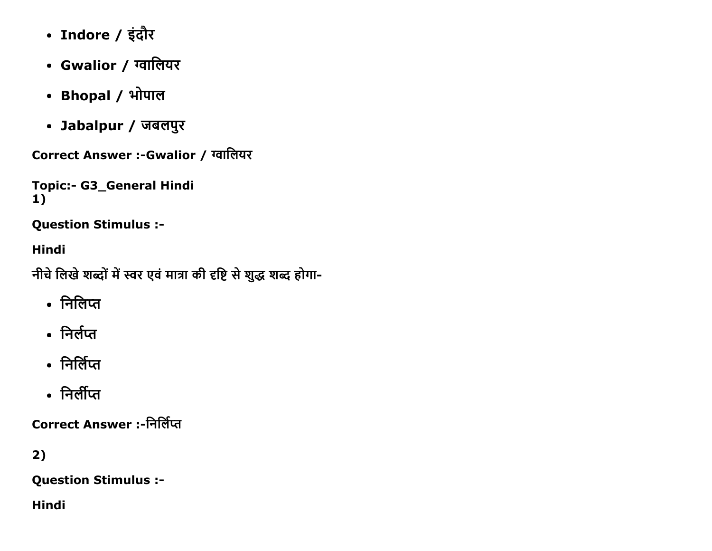- Indore / इंदौर
- Gwalior / ग्वालियर
- Bhopal / भोपाल
- Jabalpur / जबलपुर

Correct Answer :- Gwalior / ग्वालियर

```
Topic:- G3_General Hindi
1)
```
**Question Stimulus :-**

### **Hindi**

नीचे लिखे शब्दों में स्वर एवं मात्रा की दृष्टि से शुद्ध शब्द होगा-

- निलिप्त
- निर्लप्त
- निर्लिप्त
- निर्लीप्त

**Correct Answer :-निर्लिप्त** 

# $2)$

**Question Stimulus :-**

**Hindi**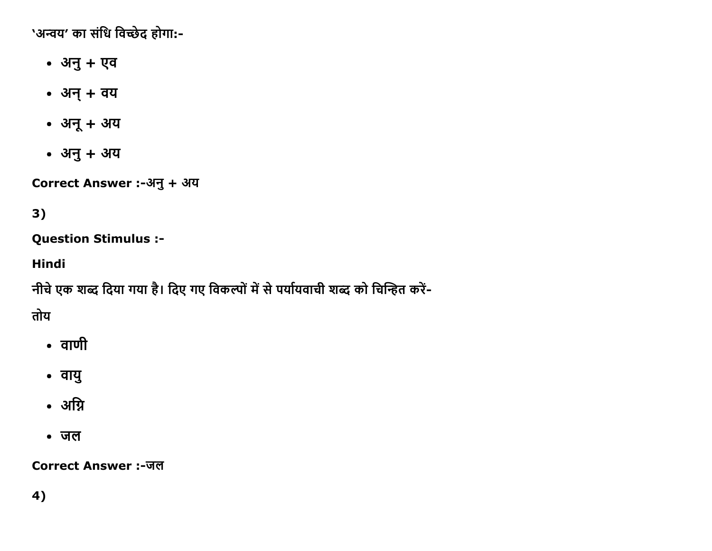'अन्वय' का संधि विच्छेद होगा:-

- अनु + एव
- अन् + वय
- अनू + अय
- अनु + अय

Correct Answer :-अनु + अय

# 3)

**Question Stimulus :-**

**Hindi** 

नीचे एक शब्द दिया गया है। दिए गए विकल्पों में से पर्यायवाची शब्द को चिन्हित करें-

तोय

- वाणी
- वायु
- अग्नि
- जल

**Correct Answer:-जल**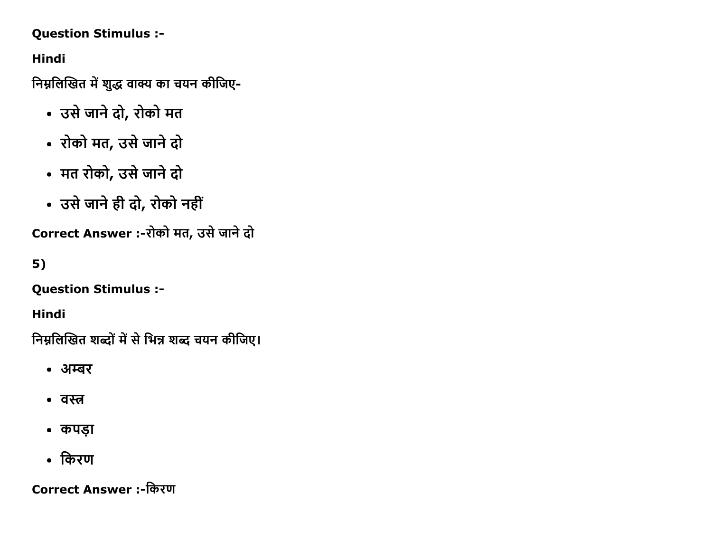#### Question Stimulus :

Hindi

निम्नलिखित में शुद्ध वाक्य का चयन कीजिए-

- उसे जाने दो, रोको मत
- रोको मत, उसे जाने दो
- मत रोको, उसे जाने दो
- उसे जाने ही दो, रोको नहीं

Correct Answer :-रोको मत, उसे जाने दो

5)

Question Stimulus :

Hindi

निम्नलिखित शब्दों में से भिन्न शब्द चयन कीजिए।

- अम्बर
- वस्त
- कपड़ा
- किरण

Correct Answer :-किरण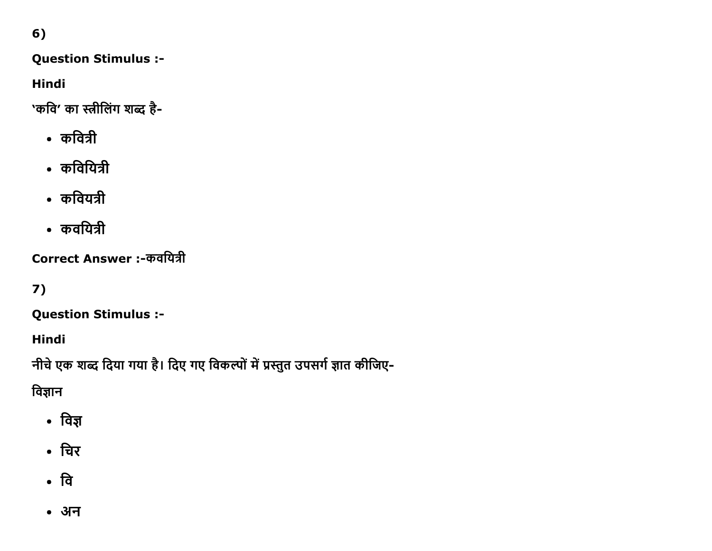### 6)

### Question Stimulus :

Hindi

'कवि' का स्त्रीलिंग शब्द है-

- कवित्री
- कवियित्री
- कवियत्री
- कवयित्री

Correct Answer :-कवयित्री

# 7)

Question Stimulus :

Hindi

नीचे एक शब्द दिया गया है। दिए गए विकल्पों में प्रस्तुत उपसर्ग ज्ञात कीजिए-

विज्ञान

- विज्ञ
- चिर
- वि
- अन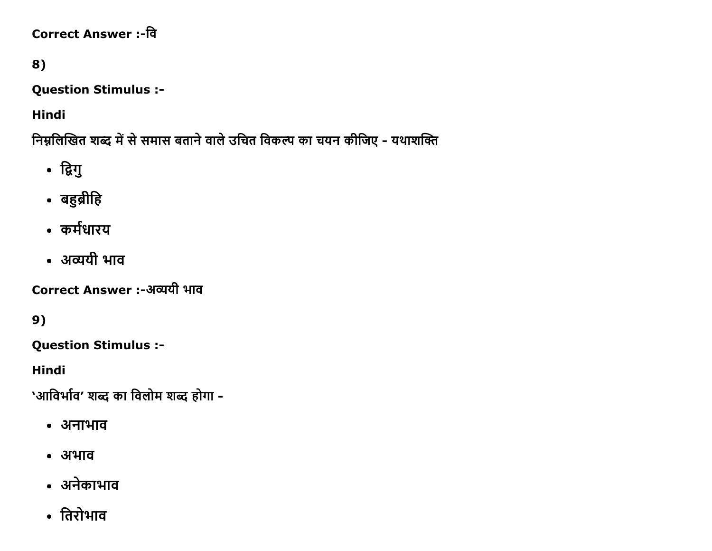# Correct Answer :-वि

# 8)

Question Stimulus :

Hindi

त्रिम्नलिखित शब्द में से समास बताने वाले उचित विकल्प का चयन कीजिए - यथाशक्ति

- द्विगु
- बहुब्रीहि
- कर्मधारय
- अव्ययी भाव

Correct Answer :-अव्ययी भाव

9)

Question Stimulus :

Hindi

'आविर्भाव' शब्द का विलोम शब्द होगा -

- अनाभाव
- अभाव
- अनेकाभाव
- तिरोभाव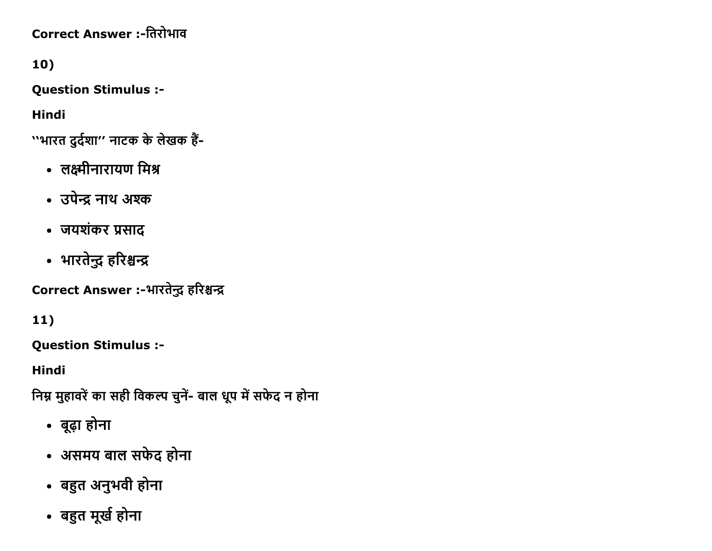# Correct Answer :-तिरोभाव

# 10)

Question Stimulus :

Hindi

11)

Hindi

''भारत दुर्दशा'' नाटक के लेखक हैं-

- लक्ष्मीनारायण मिश्र
- उपेन्द्र नाथ अश्क
- जयशंकर प्रसाद
- 

Question Stimulus :

• बूढ़ा होना

Correct Answer :-भारतेन्द्र हरिश्चन्द्र

• असमय बाल सफेद होना

• बहुत अनुभवी होना

• बहुत मूर्ख होना

त्रिम्न मुहावरें का सही विकल्प चुनें- बाल धूप में सफेद न होना

• भारतेन्द्र हरिश्चन्द्र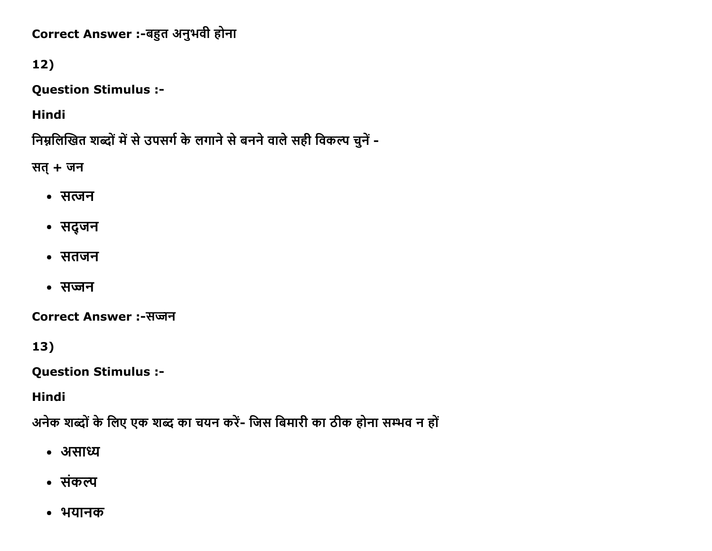Correct Answer :-बहुत अनुभवी होना

## $12)$

**Question Stimulus :-**

**Hindi** 

निम्नलिखित शब्दों में से उपसर्ग के लगाने से बनने वाले सही विकल्प चुनें -

सत् + जन

- सत्जन
- सद्जन
- सतजन
- सज्जन

**Correct Answer:-सज्जन** 

 $13)$ 

**Question Stimulus :-**

**Hindi** 

अनेक शब्दों के लिए एक शब्द का चयन करें- जिस बिमारी का ठीक होना सम्भव न हों

- असाध्य
- संकल्प
- भयानक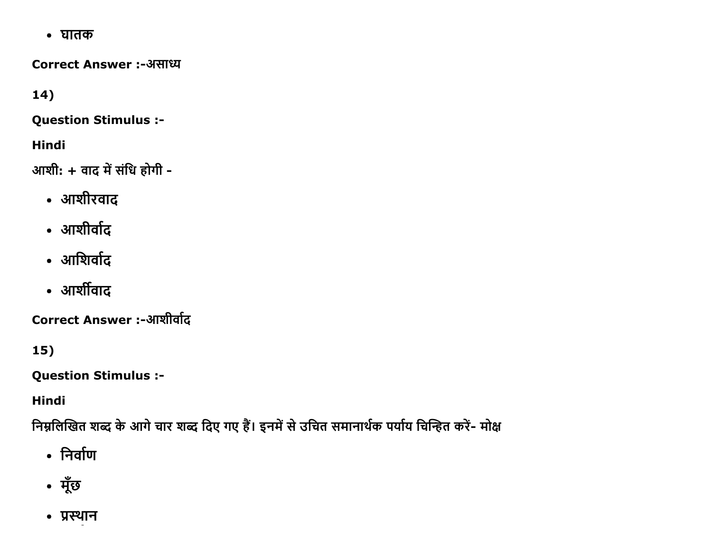• घातक

**Correct Answer :-असाध्य** 

 $14)$ 

**Question Stimulus :-**

**Hindi** 

आशी: + वाद में संधि होगी -

- आशीरवाद
- आशीर्वाद
- आशिर्वाद
- आर्शीवाद

Correct Answer :-आशीर्वाद

 $15)$ 

**Question Stimulus :-**

**Hindi** 

निम्नलिखित शब्द के आगे चार शब्द दिए गए हैं। इनमें से उचित समानार्थक पर्याय चिन्हित करें- मोक्ष

- निर्वाण
- मूँछ
- प्रस्थान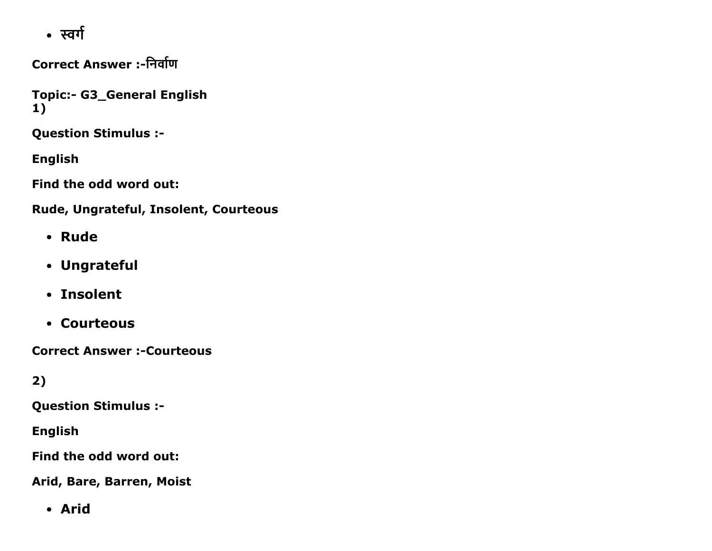• स्वर्ग

Correct Answer :-निर्वाण

Topic:- G3\_General English 1)

Question Stimulus :

English

Find the odd word out:

Rude, Ungrateful, Insolent, Courteous

- Rude
- Ungrateful
- Insolent
- Courteous

**Correct Answer :- Courteous** 

2)

Question Stimulus :

English

Find the odd word out:

Arid, Bare, Barren, Moist

Arid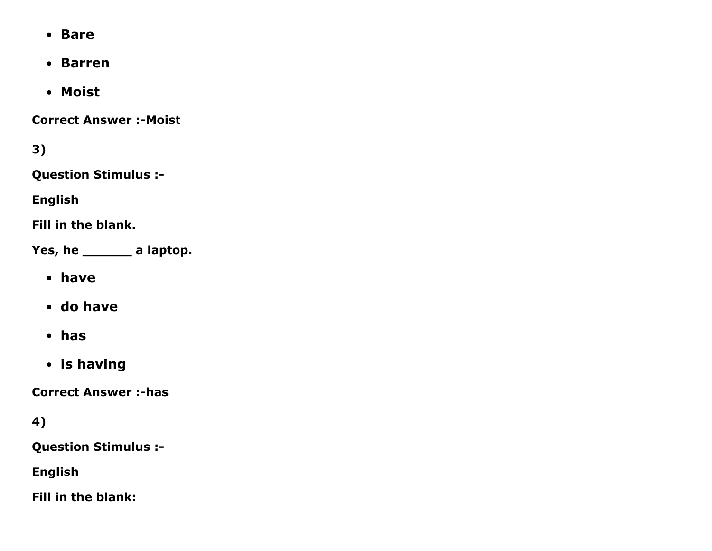- Bare
- Barren
- Moist

**Correct Answer :- Moist** 

3)

Question Stimulus :

English

Fill in the blank.

Yes, he \_\_\_\_\_\_\_ a laptop.

- have
- do have
- has
- is having

**Correct Answer :-has** 

4)

Question Stimulus :

English

Fill in the blank: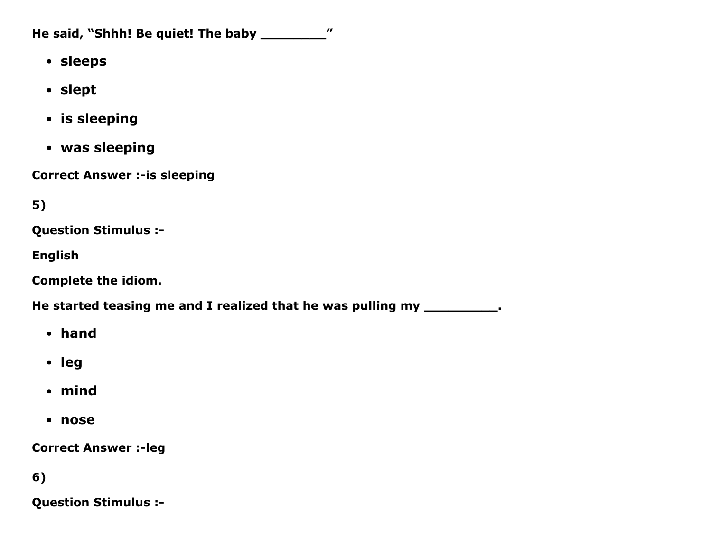He said, "Shhh! Be quiet! The baby \_\_\_\_\_\_\_\_\_\_"

- sleeps
- slept
- is sleeping
- was sleeping

**Correct Answer :- is sleeping** 

5)

Question Stimulus :

English

Complete the idiom.

He started teasing me and I realized that he was pulling my \_\_\_\_\_\_\_\_\_\_\_.

- hand
- leg
- mind
- nose

**Correct Answer :- leg** 

6)

Question Stimulus :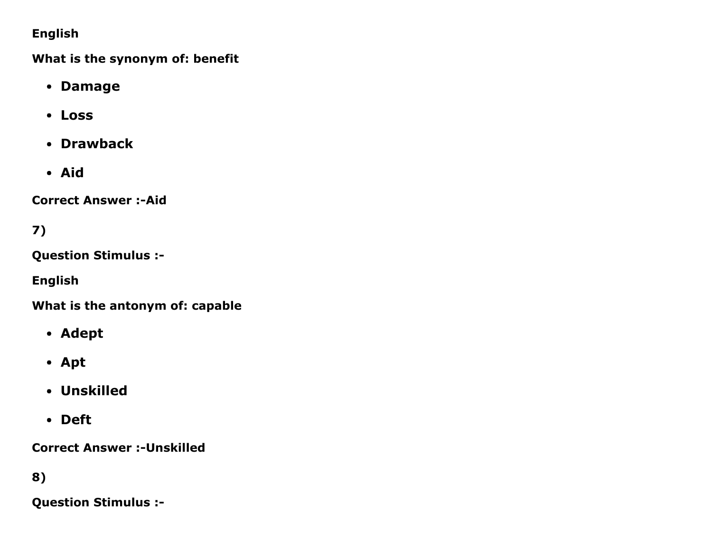### English

What is the synonym of: benefit

- Damage
- Loss
- Drawback
- Aid

**Correct Answer :- Aid** 

7)

Question Stimulus :

English

What is the antonym of: capable

- Adept
- Apt
- Unskilled
- Deft

**Correct Answer :- Unskilled** 

8)

Question Stimulus :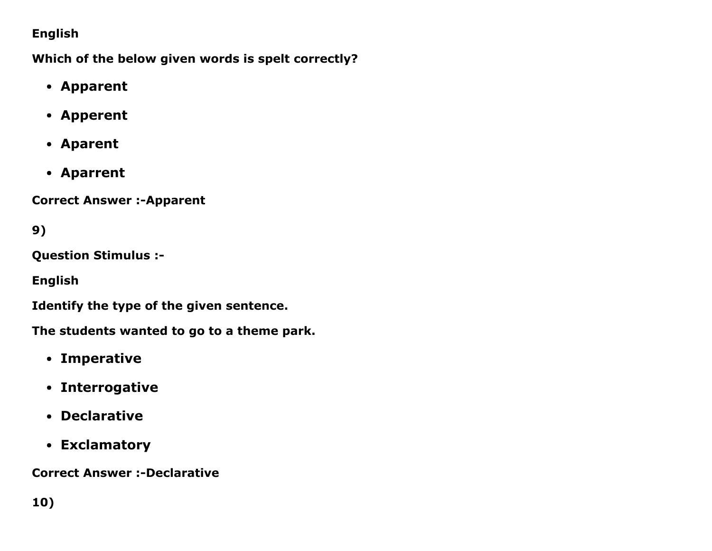### English

Which of the below given words is spelt correctly?

- Apparent
- Apperent
- Aparent
- Aparrent

**Correct Answer :- Apparent** 

9)

Question Stimulus :

English

Identify the type of the given sentence.

The students wanted to go to a theme park.

- Imperative
- Interrogative
- Declarative
- Exclamatory

**Correct Answer :-Declarative**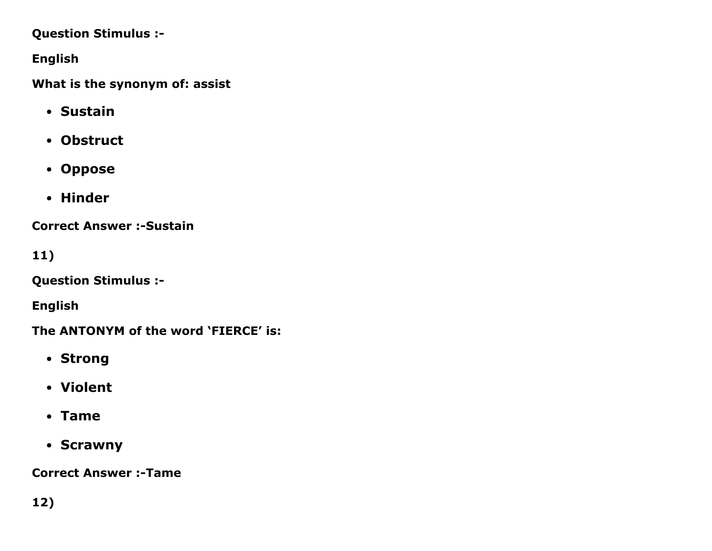#### Question Stimulus :

English

What is the synonym of: assist

- Sustain
- Obstruct
- Oppose
- Hinder

**Correct Answer :- Sustain** 

11)

Question Stimulus :

English

The ANTONYM of the word 'FIERCE' is:

- Strong
- Violent
- Tame
- Scrawny

**Correct Answer :-Tame**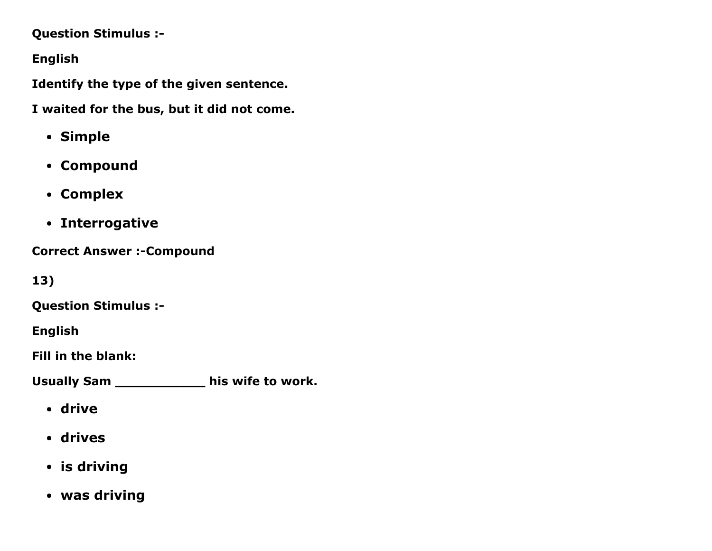Question Stimulus :

English

Identify the type of the given sentence.

I waited for the bus, but it did not come.

- Simple
- Compound
- Complex
- Interrogative

**Correct Answer :- Compound** 

13)

Question Stimulus :

English

Fill in the blank:

Usually Sam \_\_\_\_\_\_\_\_\_\_\_ his wife to work.

- drive
- drives
- is driving
- was driving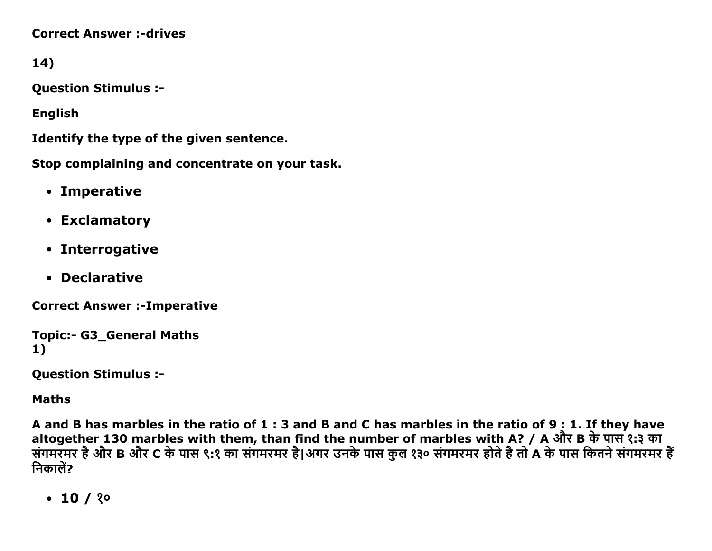**Correct Answer :- drives** 

14)

**Question Stimulus :-**

**English** 

Identify the type of the given sentence.

Stop complaining and concentrate on your task.

- Imperative
- Exclamatory
- Interrogative
- Declarative

**Correct Answer :- Imperative** 

```
Topic:- G3 General Maths
1)
```
**Question Stimulus :-**

**Maths** 

A and B has marbles in the ratio of 1 : 3 and B and C has marbles in the ratio of 9 : 1. If they have altogether 130 marbles with them, than find the number of marbles with A? / A और B के पास १:३ का संगमरॅमर है और B और C के पास ९:१ का संगमरमर है।अगर उनके पास कुल १३० संगमरमर होते है तो A के पास कितने संगमरमर है निकालें?

 $\cdot$  10 / ? $\circ$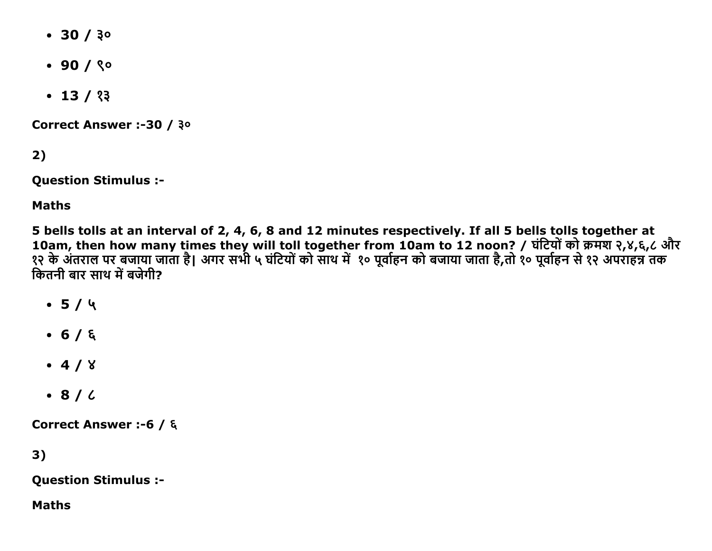- $\cdot$  30 / 30
- $.90/$   $\degree$
- $\cdot$  13 / १३

Correct Answer :-30 / ३०

 $2)$ 

**Question Stimulus :-**

**Maths** 

5 bells tolls at an interval of 2, 4, 6, 8 and 12 minutes respectively. If all 5 bells tolls together at 10am, then how many times they will toll together from 10am to 12 noon? / घंटियों को क्रमश २,४,६,८ और<br>१२ के अंतराल पर बजाया जाता है। अगर सभी ५ घंटियों को साथ में १० पूर्वाहन को बजाया जाता है,तो १० पूर्वाहन से १२ अपराहन्न कितनी बार साथ में बजेगी?

- $-5/4$
- $-6/6$
- $-4/8$
- $\bullet$  8/6

Correct Answer :-6 / ξ

 $3)$ 

**Question Stimulus :-**

**Maths**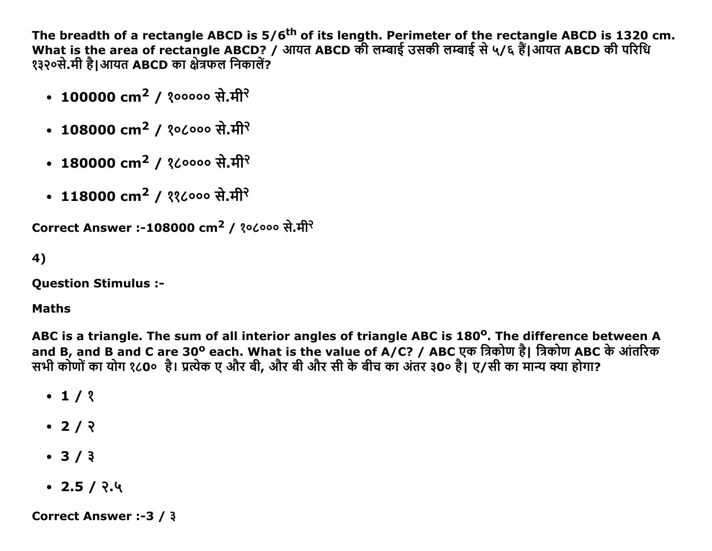The breadth of a rectangle ABCD is 5/6<sup>th</sup> of its length. Perimeter of the rectangle ABCD is 1320 cm.<br>What is the area of rectangle ABCD? / आयत ABCD की लम्बाई उसकी लम्बाई से ५/६ हैं।आयत ABCD की परिधि १३२०से.मी है।आयत ABCD का क्षेत्रफल निकालें?

- 100000 cm<sup>2</sup> / १००००० से.मी<sup>२</sup>
- 108000 cm<sup>2</sup> / १०८००० से.मी<sup>२</sup>
- 180000 cm<sup>2</sup> / १८०००० से.मी<sup>२</sup>
- 118000 cm<sup>2</sup> / ११८००० से.मी<sup>२</sup>

```
Correct Answer :-108000 cm<sup>2</sup> / १०८००० से.मी<sup>२</sup>
```

```
4)
```
**Question Stimulus :-**

#### **Maths**

ABC is a triangle. The sum of all interior angles of triangle ABC is 180<sup>o</sup>. The difference between A and B, and B and C are 30° each. What is the value of A/C? / ABC एक त्रिकोण है। त्रिकोण ABC के आंतरिक सभी कोणों का योग १८0० है। प्रत्येक ए और बी, और बी और सी के बीच का अंतर ३0० है। ए/सी का मान्य क्या होगा?

- $\cdot$  1/ ?
- $\cdot$  2/  $\sqrt{2}$
- $3/3$
- $\cdot$  2.5 / २.५

**Correct Answer :-3 / 3**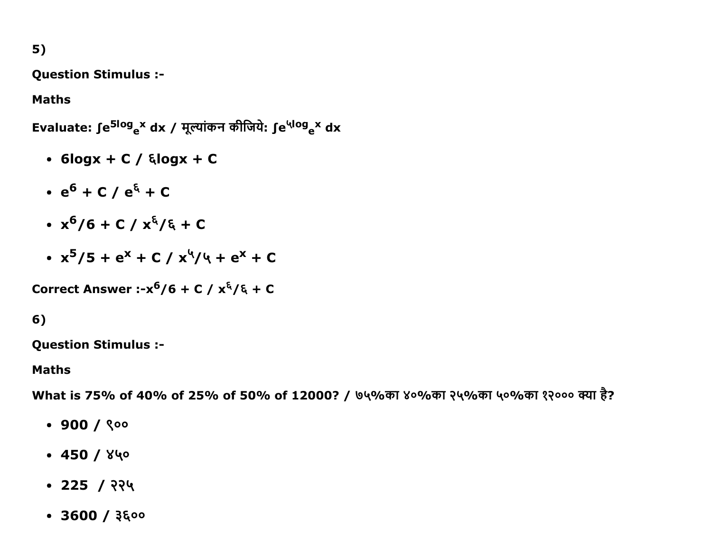### 5)

Question Stimulus :

#### Maths

Evaluate: ∫e<sup>5log</sup>e<sup>x</sup> dx / मूल्यांकन कीजिये: ∫e<sup>५log</sup>e<sup>x</sup> dx

- $\bullet$  6logx + C /  $\epsilon$ logx + C
- e<sup>6</sup> + C / e<sup>६</sup> + C
- x <sup>6</sup>/6 + C / x͝/͝ + C
- x<sup>5</sup>/5 + e<sup>x</sup> + C / x<sup>५</sup>/५ + e<sup>x</sup> + C

Correct Answer :- $x^6/6$  + C /  $x^6/6$  + C

### 6)

Question Stimulus :

#### Maths

What is 75% of 40% of 25% of 50% of 12000? / ७५%का ४०%का २५%का ५०%का १२००० क्या है?

- $-900/$   $000$
- $-450/840$
- $\cdot$  225 / २२५
- $\cdot$  3600 /  $3500$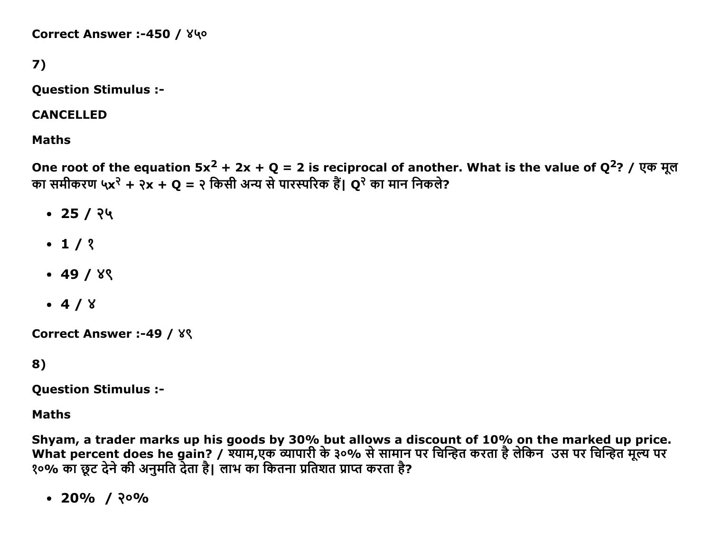Correct Answer :-450 / ४५०

```
7)
```
Question Stimulus :

CANCELLED

Maths

One root of the equation  $5x^2 + 2x + Q = 2$  is reciprocal of another. What is the value of  $Q^2$ ? / एक मूल का समीकरण ५x<sup>२</sup> + २x + **Q** = २ किसी अन्य से पारस्परिक हैं। **Q**<sup>२</sup> का मान निकले?

- $\cdot$  25 / २५
- $-1/2$
- $-49/8$
- $-4/8$

Correct Answer :-49 /  $8$ 

8)

Question Stimulus :

Maths

Shyam, a trader marks up his goods by 30% but allows a discount of 10% on the marked up price. What percent does he gain? / श्याम,एक व्यापारी के ३०% से सामान पर चिन्हित करता है लेकिन उस पर चिन्हित मूल्य पर १०% का छूट देने की अनुमति देता है। लाभ का कितना प्रतिशत प्राप्त करता है?

 $\cdot$  20% / २०%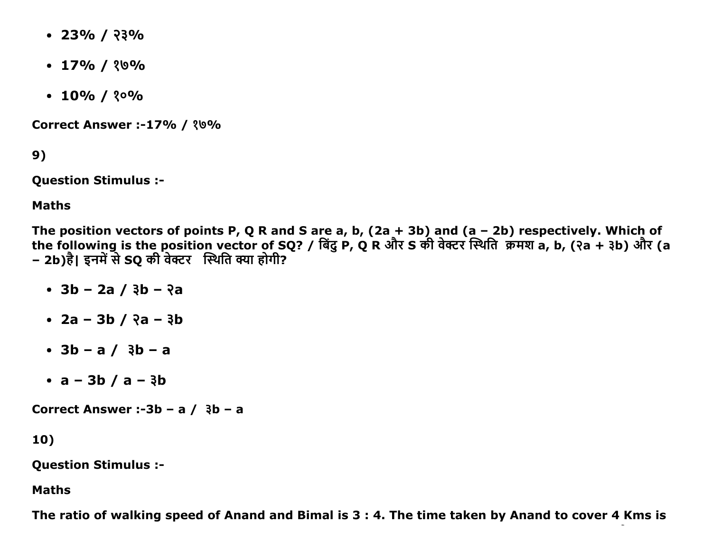- $\cdot$  23% / २३%
- $\cdot$  17% / ?0%
- $\cdot$  10% / ? $\circ$ %

**Correct Answer :-17% / ?0%** 

9)

**Question Stimulus :-**

**Maths** 

The position vectors of points P, Q R and S are a, b,  $(2a + 3b)$  and  $(a - 2b)$  respectively. Which of the following is the position vector of SQ? / बिंदु P, Q R और S की वेक्टर स्थिति क्रमश a, b, (२a + ३b) और (a – 2b)है। इनमें से SQ की वेक्टर स्थिति क्या होगी?

- $\cdot$  3b 2a / 3b ?a
- $2a 3b / 3a 3b$
- $3b a / 3b a$
- $a 3b / a 3b$

Correct Answer :-3b - a  $/$  3b - a

10)

**Question Stimulus :-**

**Maths** 

The ratio of walking speed of Anand and Bimal is 3 : 4. The time taken by Anand to cover 4 Kms is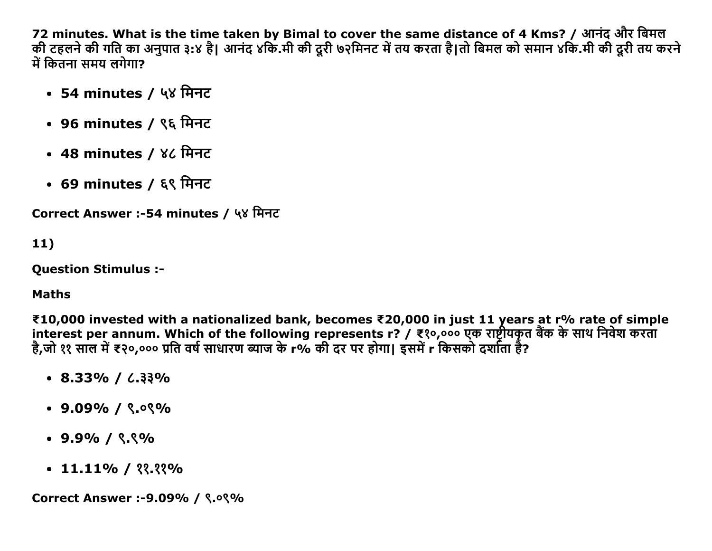72 minutes. What is the time taken by Bimal to cover the same distance of 4 Kms? / आनंद और बिमल की टहलने की गति का अनुपात ३:४ है। आनंद ४कि.मी की दूरी ७२मिनट में तय करता है।तो बिमल को समान ४कि.मी की दूरी तय करने  $\overrightarrow{H}$  कितना समय लगेगा?

- 54 minutes / ५४ मिनट
- 96 minutes / ९६ मिनट
- 48 minutes / ४८ मिनट
- 69 minutes / ६९ मिनट

```
Correct Answer :-54 minutes / ५४ मिनट
```

```
11)
```
Question Stimulus :

#### Maths

₹10,000 invested with a nationalized bank, becomes ₹20,000 in just 11 years at r% rate of simple interest per annum. Which of the following represents r? / ₹१०,००० एक राष्ट्रीयकृत बैंक के साथ निवेश करता है,जो ११ साल में ₹२०,००० प्रति वर्ष साधारण ब्याज के r% की दर पर होगा| इसमें r किसको दर्शाता है?

- $\cdot$  8.33% /  $\cdot$  33%
- $\cdot$  9.09% / ९.०९%
- $\cdot$  9.9% /  $\frac{8}{3}$
- $\cdot$  11.11% /  $\frac{22.23}{6}$

Correct Answer :-9.09% / ९.०९%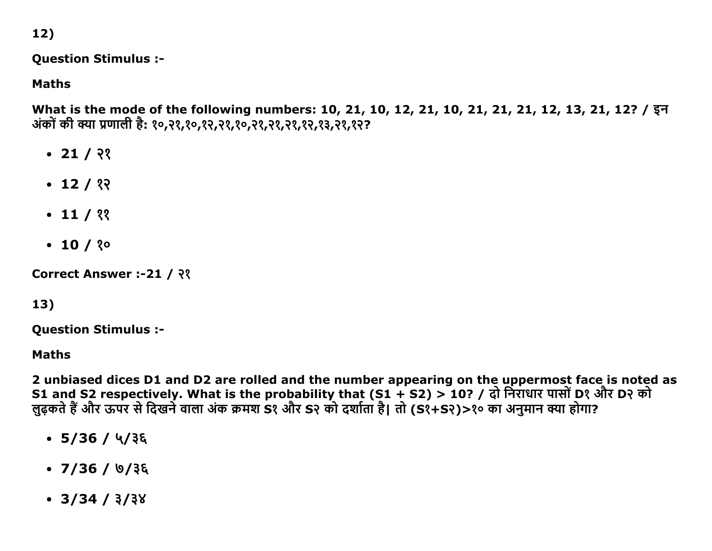12)

#### **Question Stimulus :-**

**Maths** 

What is the mode of the following numbers: 10, 21, 10, 12, 21, 10, 21, 21, 21, 12, 13, 21, 12? / इन अंकों की क्या प्रणाली है: १०,२१,१०,१२,२१,१०,२१,२१,२१,१२,१३,२१,१२?

- $\cdot$  21 / २१
- $\cdot$  12 / १२
- $\cdot$  11 / ??
- $\cdot$  10 / ? $\circ$

Correct Answer :-21 / २१

# $13)$

**Question Stimulus :-**

**Maths** 

2 unbiased dices D1 and D2 are rolled and the number appearing on the uppermost face is noted as S1 and S2 respectively. What is the probability that (S1 + S2) > 10? / दो निराधार पासों D? और D? को लुढ़कते हैं और ऊपर से दिखने वाला अंक क्रमश S१ और S२ को दर्शाता है। तो (S१+S२)>१० का अनुमान क्या होगा?

- $\cdot$  5/36 / 4/38
- $\bullet$  7/36 / ७/३६
- $\cdot$  3/34 / 3/38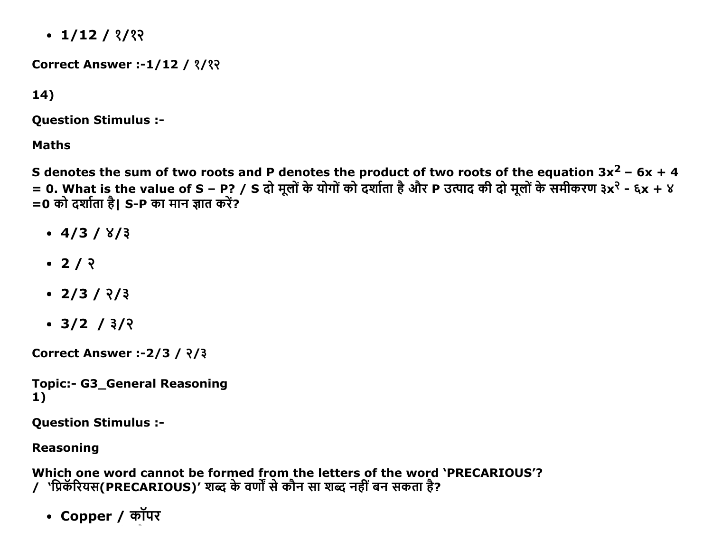$\cdot$  1/12 / ?/??

**Correct Answer :-1/12 / 3/32** 

 $14)$ 

**Question Stimulus :-**

**Maths** 

S denotes the sum of two roots and P denotes the product of two roots of the equation  $3x^2$  – 6x + 4 = 0. What is the value of S – P? / S दो मूलों के योगों को दर्शाता है और P उत्पाद की दो मूलों के समीकरण ३x<sup>२</sup> - ६x + ४ =0 को दर्शाता है। S-P का मान ज्ञात करें?

- $\cdot$  4/3 / 8/3
- $2/2$
- $\cdot$  2/3/  $\frac{2}{3}$
- $\cdot$  3/2 / 3/2

**Correct Answer :- 2/3 / २/३** 

**Topic:- G3\_General Reasoning** 1)

**Question Stimulus :-**

#### **Reasoning**

Which one word cannot be formed from the letters of the word 'PRECARIOUS'? / 'प्रिकॅरियस(PRECARIOUS)' शब्द के वर्णों से कौन सा शब्द नहीं बन सकता है?

• Copper / कॉपर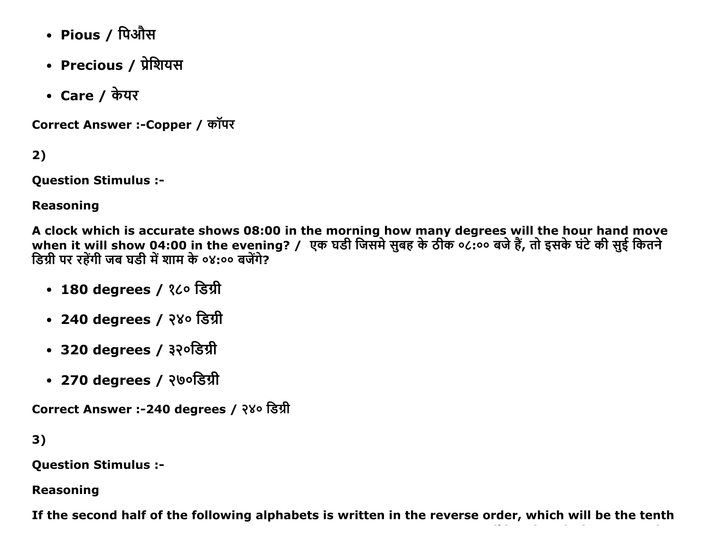- Pious / पिऔस
- Precious / प्रेशियस
- Care / केयर

Correct Answer :-Copper / कॉपर

 $2)$ 

**Question Stimulus :-**

**Reasoning** 

A clock which is accurate shows 08:00 in the morning how many degrees will the hour hand move when it will show 04:00 in the evening? / एक घडी जिसमे सुबह के ठीक ०८:०० बजे हैं, तो इसके घंटे की सुई कितने डिग्री पर रहेंगी जब घडी में शाम के ०४:०० बजेंगे?

- 180 degrees / १८० डिग्री
- 240 degrees / २४० डिग्री
- 320 degrees / ३२०डिग्री
- 270 degrees / २७०डिग्री

Correct Answer :-240 degrees / २४० डिग्री

 $3)$ 

**Question Stimulus :-**

**Reasoning** 

If the second half of the following alphabets is written in the reverse order, which will be the tenth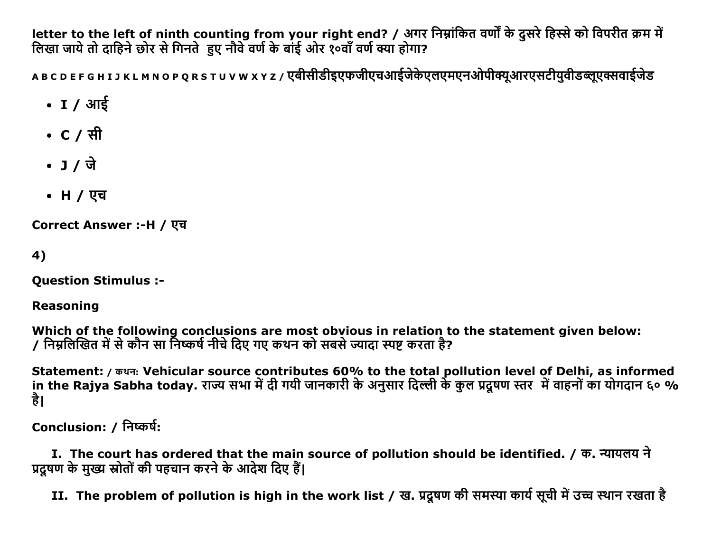letter to the left of ninth counting from your right end? / अगर निम्नांकित वर्णों के दूसरे हिस्से को विपरीत क्रम में लिखा जाये तो दाहिने छोर से गिनते हुए नौवे वर्ण के बांई ओर १०वाँ वर्ण क्या होगा?

ABCDEFGHIJKLMNOPQRSTUVWXYZ/एबीसीडीइएफजीएचआईजेकेएलएमएनओपीक्यूआरएसटीयुवीडब्लूएक्सवाईजेड

- I / आई
- C / सी
- 
- **H** / एच

**Correct Answer :-H / एच** 

4)

**Question Stimulus :-**

**Reasoning** 

Which of the following conclusions are most obvious in relation to the statement given below:<br>/ निम्नलिखित में से कौन सा निष्कर्ष नीचे दिए गए कथन को सबसे ज्यादा स्पष्ट करता है?

Statement: / कथन: Vehicular source contributes 60% to the total pollution level of Delhi, as informed in the Rajya Sabha today. राज्य सभा में दी गयी जानकारी के अनुसार दिल्ली के कुल प्रदूषण स्तर में वाहनों का योगदान ६० % है।

Conclusion: / निष्कर्ष:

I. The court has ordered that the main source of pollution should be identified. / क. न्यायलय ने प्रदूषण के मुख्य स्रोतों की पहचान करने के आदेश दिए हैं।

II. The problem of pollution is high in the work list / ख. प्रदूषण की समस्या कार्य सूची में उच्च स्थान रखता है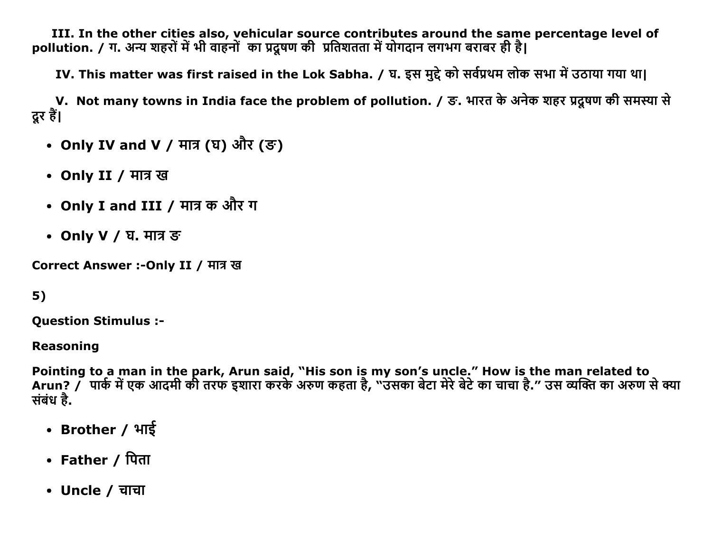III. In the other cities also, vehicular source contributes around the same percentage level of pollution. / ग. अन्य शहरों में भी वाहनों का प्रदूषण की प्रतिशतता में योगदान लगभग बराबर ही है।

IV. This matter was first raised in the Lok Sabha. / घ. इस मुद्दे को सर्वप्रथम लोक सभा में उठाया गया था।

V. Not many towns in India face the problem of pollution. / ङ. भारत के अनेक शहर प्रदूषण की समस्या से दूर हैं।

- Only IV and V / मात्र (घ) और (ङ)
- Only II / मात्र ख
- Only I and III / मात्र क और ग
- Only V / घ. मात्र ङ

Correct Answer :- Only II / मात्र ख

 $5)$ 

**Question Stimulus :-**

**Reasoning** 

Pointing to a man in the park, Arun said, "His son is my son's uncle." How is the man related to Arun? / पार्क में एक आदमी की तरफ इशारा करके अरुण कहता है, "उसका बेटा मेरे बेटे का चाचा है." उस व्यक्ति का अरुण से क्या संबंध है.

- Brother / भाई
- Father / पिता
- Uncle / चाचा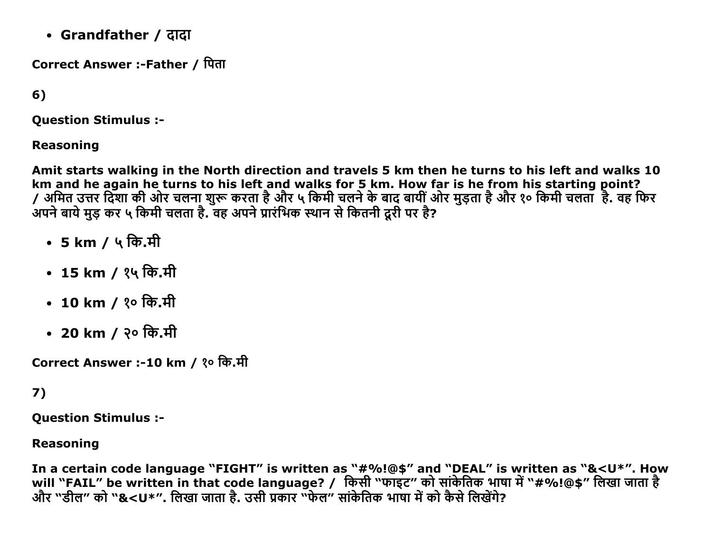• Grandfather / दादा

Correct Answer :-Father / पिता

 $6)$ 

**Ouestion Stimulus :-**

**Reasoning** 

Amit starts walking in the North direction and travels 5 km then he turns to his left and walks 10 km and he again he turns to his left and walks for 5 km. How far is he from his starting point? / अमित उत्तर दिशा की ओर चलना शुरू करता है और ५ किमी चलने के बाद बायीं ओर मुड़ता है और १० किमी चलता है. वह फिर अपने बाये मुड़ कर ५ किमी चलता है. वह अपने प्रारंभिक स्थान से कितनी दूरी पर है?

- $5 \text{ km}$  / ५ कि.मी
- 15 km / १५ कि.मी
- 10 km / १० कि.मी
- 20 km / २० कि.मी

Correct Answer :-10 km / १० कि.मी

### $7)$

**Ouestion Stimulus :-**

#### **Reasoning**

In a certain code language "FIGHT" is written as "#%!@\$" and "DEAL" is written as "&<U\*". How will "FAIL" be written in that code language? / किसी "फाइट" को सांकेतिक भाषा में "#%!@\$" लिखा जाता है और "डील" को "&<U\*". लिखा जाता है. उसी प्रकार "फेल" सांकेतिक भाषा में को कैसे लिखेंगे?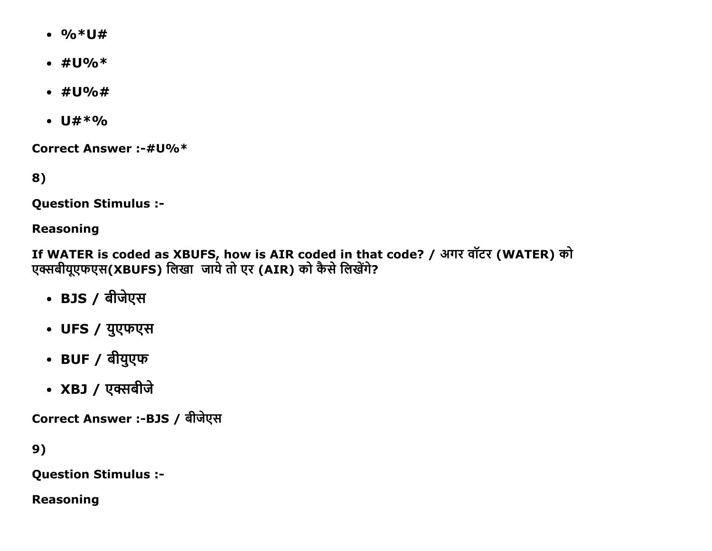- $\frac{9}{6}$  \* U #
- $\#U\%*$
- $\#U\%$ #
- $U#*9/6$

**Correct Answer :-#U%\*** 

8)

**Question Stimulus :-**

#### **Reasoning**

If WATER is coded as XBUFS, how is AIR coded in that code? / अगर वॉटर (WATER) को एक्सबीयूएफएस(XBUFS) लिखा जाये तो एर (AIR) को कैसे लिखेंगे?

- BJS / बीजेएस
- UFS / युएफएस
- BUF / बीयुएफ
- XBJ / एक्सबीजे

Correct Answer :-BJS / बीजेएस

9)

**Question Stimulus :-**

**Reasoning**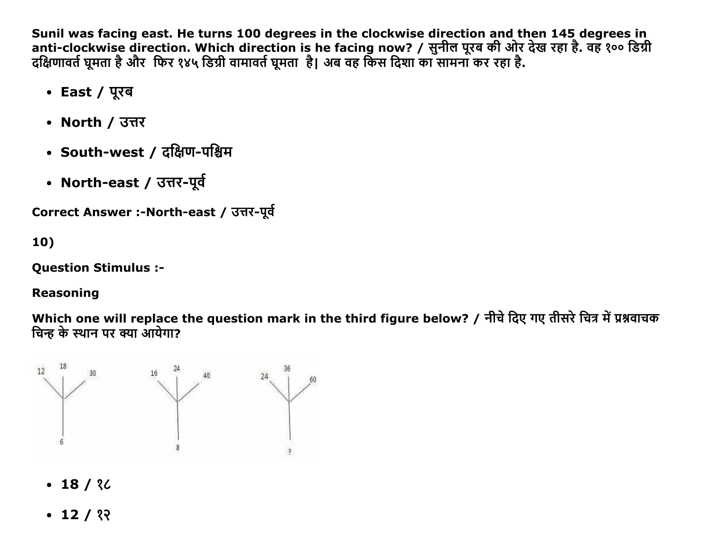Sunil was facing east. He turns 100 degrees in the clockwise direction and then 145 degrees in anti-clockwise direction. Which direction is he facing now? / सुनील पूरब की ओर देख रहा है. वह १०० डिग्री दक्षिणावर्त घूमता है और फिर १४५ डिग्री वामावर्त घूमता है। अब वह किस दिशा का सामना कर रहा है.

- East / पूरब
- North / उत्तर
- South-west / ਟਲਿੰण-ਧश्चिम
- North-east / उत्तर-पूर्व

```
Correct Answer :-North-east / उत्तर-पूर्व
```
10)

Question Stimulus :

# Reasoning

Which one will replace the question mark in the third figure below? / नीचे दिए गए तीसरे चित्र में प्रश्नवाचक चिन्ह के स्थान पर क्या आयेगा?



- $-18/$  ?
- $\cdot$  12 / १२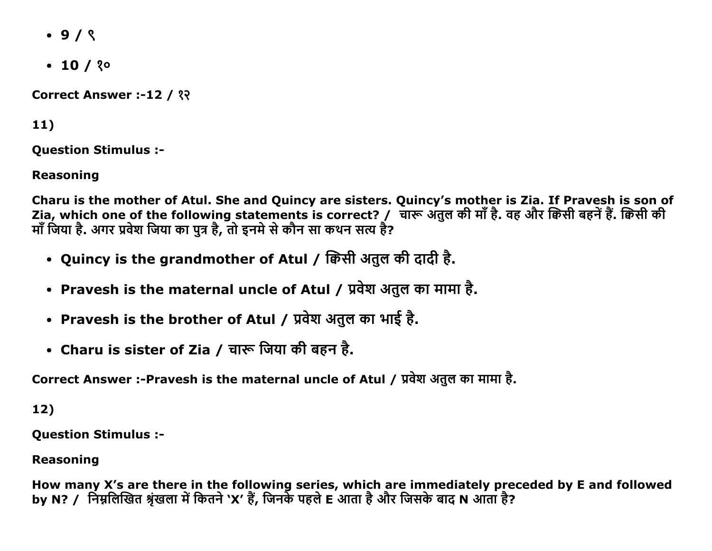- $.9/8$
- $\cdot$  10 / ? $\circ$

Correct Answer :-12 / ??

 $11)$ 

**Ouestion Stimulus :-**

**Reasoning** 

Charu is the mother of Atul. She and Quincy are sisters. Quincy's mother is Zia. If Pravesh is son of Zia, which one of the following statements is correct? / चारू अतुल की माँ है. वह और क्विसी बहनें हैं. क्विसी की माँ जिया है. अगर प्रवेश जिया का पुत्र है, तो इनमे से कौन सा कथन सत्य है?

- Quincy is the grandmother of Atul / क्विसी अतुल की दादी है.
- Pravesh is the maternal uncle of Atul / प्रवेश अतुल का मामा है.
- Pravesh is the brother of Atul / प्रवेश अतुल का भाई है.
- Charu is sister of Zia / चारू जिया की बहन है.

Correct Answer :-Pravesh is the maternal uncle of Atul / प्रवेश अतुल का मामा है.

 $12)$ 

**Ouestion Stimulus :-**

**Reasoning** 

How many X's are there in the following series, which are immediately preceded by E and followed by N? / निम्नलिखित श्रृंखला में कितने 'X' हैं, जिनके पहले E आता है और जिसके बाद N आता है?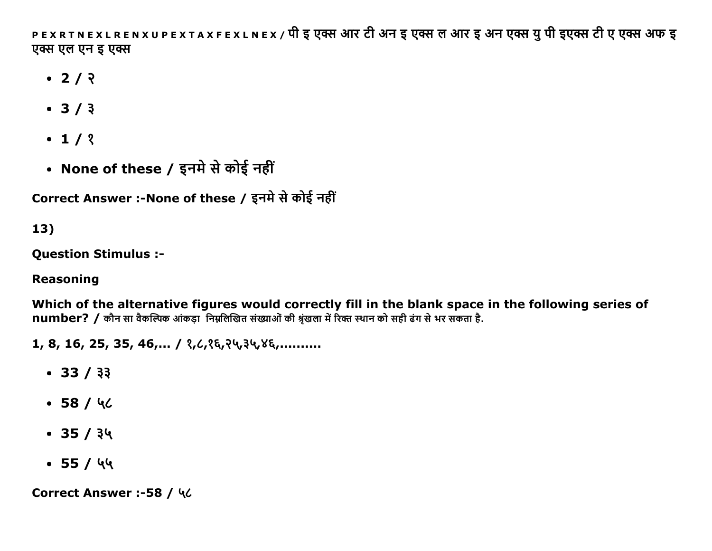PEXRTNEXLRENXUPEXTAXFEXLNEX / पी इ एक्स आर टी अन इ एक्स ल आर इ अन एक्स यु पी इएक्स टी ए एक्स अफ इ एक्स एल एन इ एक्स

- $\cdot$  2/  $\sqrt{2}$
- $3/3$
- $\cdot$  1/ ?
- None of these / इनमे से कोई नहीं

Correct Answer :-None of these / इनमे से कोई नहीं

13)

**Ouestion Stimulus :-**

### **Reasoning**

Which of the alternative figures would correctly fill in the blank space in the following series of number? / कौन सा वैकल्पिक आंकड़ा निम्नलिखित संख्याओं की श्रृंखला में रिक्त स्थान को सही ढंग से भर संकता है.

 $1, 8, 16, 25, 35, 46, \ldots$  /  $3, 6, 35, 35, 46, \ldots$ 

- $-33/33$
- $-58/46$
- $\cdot$  35 / ३५
- $-55/44$

Correct Answer :-58 / ५८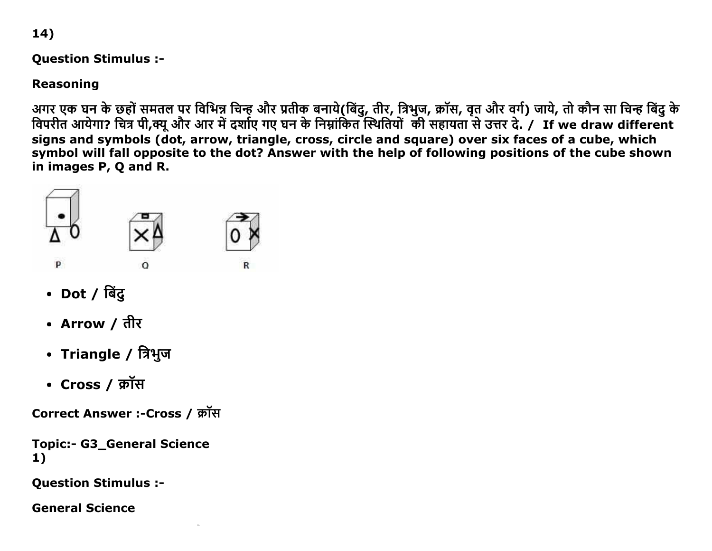14)

Question Stimulus :

Reasoning

अगर एक घन के छहो समतल पर विभिन्न चिन्ह और प्रतीक बनाय(बिंदु, तीर, त्रिभुज, क्रास, वृत और वर्ग) जाय, तो कौन सा चिन्ह बिंदु के विपरीत आर्यगा? चित्र पी,क्यू और आर में दशोए गए घन के निम्नांकित स्थितियों की सहायता से उत्तर दे. / If we draw different signs and symbols (dot, arrow, triangle, cross, circle and square) over six faces of a cube, which symbol will fall opposite to the dot? Answer with the help of following positions of the cube shown in images P, Q and R.



- $\cdot$  Dot / बिंदु
- Arrow / तीर
- Triangle / त्रिभुज
- Cross / क्रॉस

Correct Answer :-Cross / क्रॉस

Topic:- G3 General Science 1)

Question Stimulus :

General Science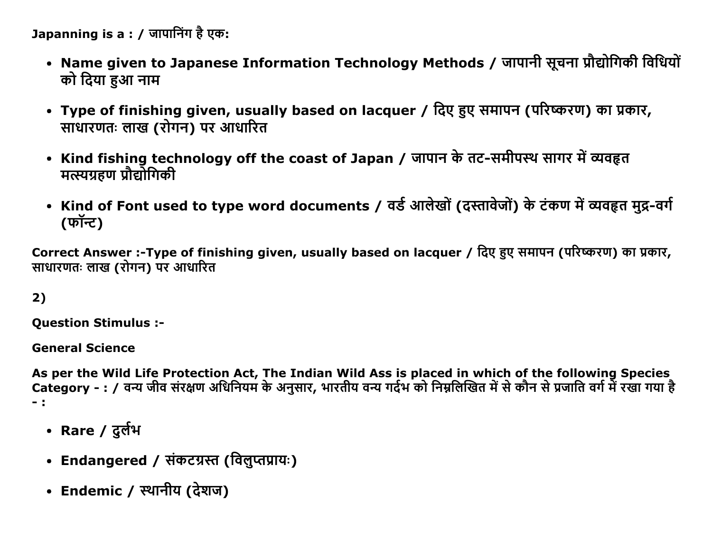Japanning is a : / जापानिंग है एक:

- Name given to Japanese Information Technology Methods / जापानी सूचना प्रौद्योगिकी विधियों को दिया हुआ नाम
- Type of finishing given, usually based on lacquer / दिए हुए समापन (परिष्करण) का प्रकार, साधारणतः लाख (रोगन) पर आधारित
- Kind fishing technology off the coast of Japan / जापान के तट-समीपस्थ सागर में व्यवहृत मत्स्यग्रहण प्रौद्योगिकी
- Kind of Font used to type word documents / वर्ड आलेखों (दस्तावेजों) के टंकण में व्यवहृत मुद्र-वर्ग (फॉन्ट)

Correct Answer :-Type of finishing given, usually based on lacquer / दिए हुए समापन (परिष्करण) का प्रकार, साधारणतः लाख (रोगन) पर आधारित

2)

**Question Stimulus :-**

**General Science** 

As per the Wild Life Protection Act, The Indian Wild Ass is placed in which of the following Species Category - : / वन्य जीव संरक्षण अधिनियम के अनुसार, भारतीय वन्य गर्दभ को निम्नलिखित में से कौन से प्रजाति वर्ग में रखा गया है  $-1$ 

- Rare / दुर्लभ
- Endangered / संकटग्रस्त (विलुप्तप्रायः)
- Endemic / स्थानीय (देशज)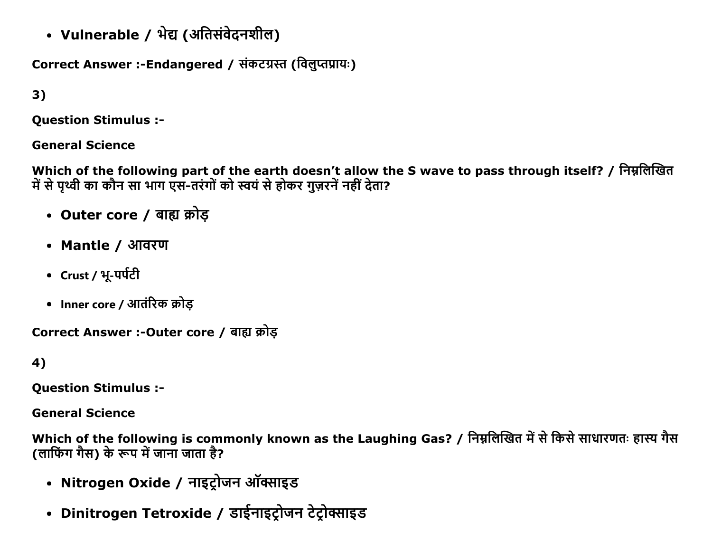• Vulnerable / भेद्य (अतिसंवेदनशील)

Correct Answer :-Endangered / संकटग्रस्त (विलुप्तप्रायः)

3)

Question Stimulus :

General Science

Which of the following part of the earth doesn't allow the S wave to pass through itself? / निम्नलिखित में से पृथ्वी का कौन सा भाग एस-तरंगों को स्वयं से होकर गुज़रनें नहीं देता?

- Outer core / बाह्य क्रोड़
- Mantle / आवरण
- $Crust / 4-$ पर्पटी
- Inner core / आतंरिक क्रोड

Correct Answer :- Outer core / बाह्य क्रोड

4)

Question Stimulus :

General Science

Which of the following is commonly known as the Laughing Gas? / निम्नलिखित में से किसे साधारणतः हास्य गैस (लाफिंग गैस) के रूप में जाना जाता है?

- Nitrogen Oxide / नाइट्रोजन ऑक्साइड
- Dinitrogen Tetroxide / डाईनाइट्रोजन टेट्रोक्साइड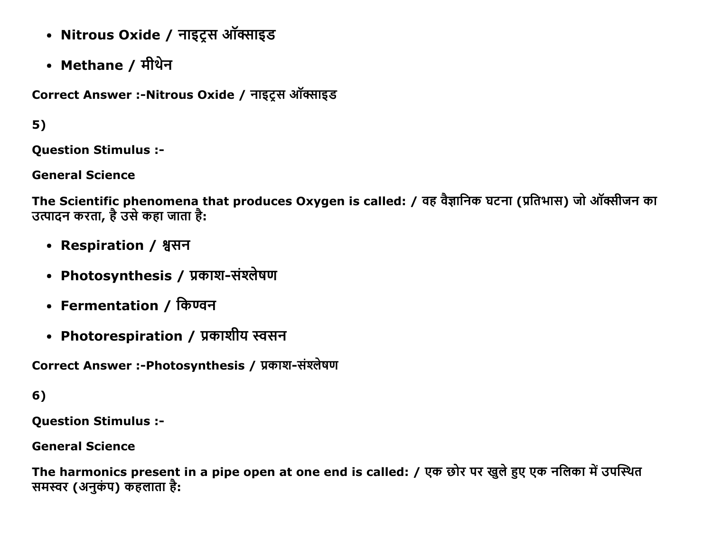- Nitrous Oxide / नाइट्रस ऑक्साइड
- Methane / मीथेन

Correct Answer :-Nitrous Oxide / नाइट्स ऑक्साइड

# $5)$

**Question Stimulus :-**

**General Science** 

The Scientific phenomena that produces Oxygen is called: / वह वैज्ञानिक घटना (प्रतिभास) जो ऑक्सीजन का उत्पादन करता, है उसे कहा जाता है:

- Respiration / श्वसन
- Photosynthesis / प्रकाश-संश्लेषण
- Fermentation / किण्वन
- Photorespiration / प्रकाशीय स्वसन

Correct Answer :-Photosynthesis / प्रकाश-संश्लेषण

### 6)

**Question Stimulus :-**

#### **General Science**

The harmonics present in a pipe open at one end is called: / एक छोर पर खुले हुए एक नलिका में उपस्थित समस्वर (अनुकंप) कहलाता है: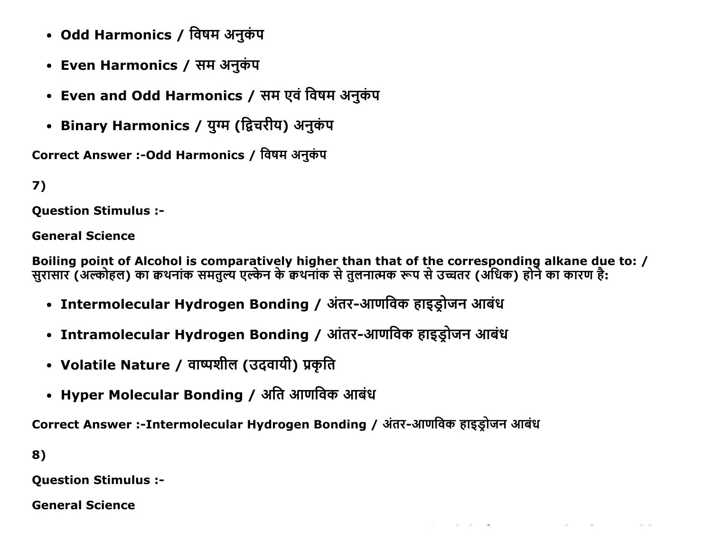- Odd Harmonics / विषम अनुकंप
- Even Harmonics / सम अनुकंप
- Even and Odd Harmonics / सम एवं विषम अनुकंप
- Binary Harmonics / युग्म (द्विचरीय) अनुकंप

Correct Answer :- Odd Harmonics / विषम अनुकंप

```
7)
```
**Ouestion Stimulus :-**

**General Science** 

Boiling point of Alcohol is comparatively higher than that of the corresponding alkane due to: / सुरासार (अल्कोहल) का कथनांक समतुल्य एल्केन के कथनांक से तुलनात्मक रूप से उच्चतर (अधिक) होने का कारण है:

 $\label{eq:2.1} \mathcal{L}_{\mathcal{A}}(\mathcal{A}) = \mathcal{L}_{\mathcal{A}}(\mathcal{A}) = \mathcal{L}_{\mathcal{A}}(\mathcal{A}) = \mathcal{L}_{\mathcal{A}}(\mathcal{A}) = \mathcal{L}_{\mathcal{A}}(\mathcal{A}) = \mathcal{L}_{\mathcal{A}}(\mathcal{A}) = \mathcal{L}_{\mathcal{A}}(\mathcal{A})$ 

- Intermolecular Hydrogen Bonding / अंतर-आणविक हाइड्रोजन आबंध
- Intramolecular Hydrogen Bonding / आंतर-आणविक हाइड्रोजन आबंध
- Volatile Nature / वाष्पशील (उदवायी) प्रकृति
- Hyper Molecular Bonding / अति आणविक आबंध

Correct Answer :-Intermolecular Hydrogen Bonding / अंतर-आणविक हाइडोजन आबंध

8)

**Question Stimulus :-**

**General Science**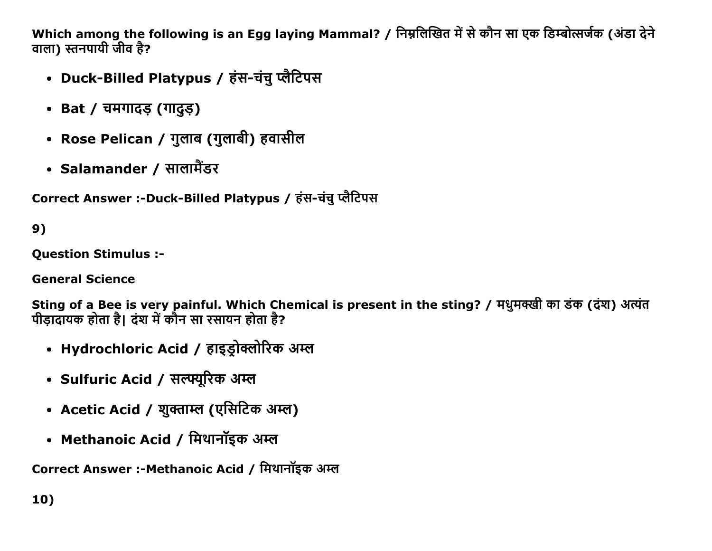Which among the following is an Egg laying Mammal? / निम्नलिखित में से कौन सा एक डिम्बोत्सर्जक (अंडा देने वाला) स्तनपायी जीव है?

- Duck-Billed Platypus / हंस-चंचु प्लैटिपस
- Bat / चमगादङ (गादुङ)
- Rose Pelican / गुलाब (गुलाबी) हवासील
- Salamander / सालामैंडर

Correct Answer :-Duck-Billed Platypus / हंस-चंचु प्लैटिपस

9)

Question Stimulus :

General Science

Sting of a Bee is very painful. Which Chemical is present in the sting? / मधुमक्खी का डंक (दंश) अत्यंत पीड़ादायक होता है। दंश में कौन सा रसायन होता है?

- Hydrochloric Acid / हाइड्रोक्लोरिक अम्ल
- Sulfuric Acid / सल्फ्यूरिक अम्ल
- Acetic Acid / शुक्ताम्ल (एसिटिक अम्ल)
- Methanoic Acid / मिथानॉइक अम्ल

Correct Answer :-Methanoic Acid / मिथानॉइक अम्ल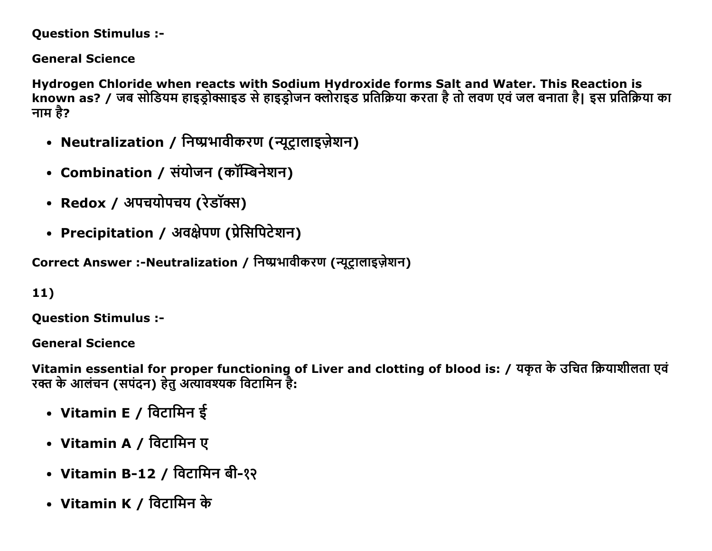#### **Question Stimulus :-**

**General Science** 

Hydrogen Chloride when reacts with Sodium Hydroxide forms Salt and Water. This Reaction is known as? / जब सोडियम हाइडोक्साइड से हाइडोजन क्लोराइड प्रतिक्रिया करता है तो लवण एवं जल बनाता है। इस प्रतिक्रिया का नाम है?

- Neutralization / निष्प्रभावीकरण (न्यूट्रालाइज़ेशन)
- Combination / संयोजन (कॉम्बिनेशन)
- Redox / अपचयोपचय (रेडॉक्स)
- Precipitation / अवक्षेपण (प्रेसिपिटेशन)

Correct Answer :-Neutralization / निष्प्रभावीकरण (न्यूटालाइज़ेशन)

 $11)$ 

**Ouestion Stimulus :-**

**General Science** 

Vitamin essential for proper functioning of Liver and clotting of blood is: / यकृत के उचित क्रियाशीलता एवं रक्त के आलंचन (सपंदन) हेतु अत्यावश्यक विटामिन है:

- Vitamin E / विटामिन ई
- Vitamin A / विटामिन ए
- Vitamin B-12 / विटामिन बी-१२
- Vitamin K / विटामिन के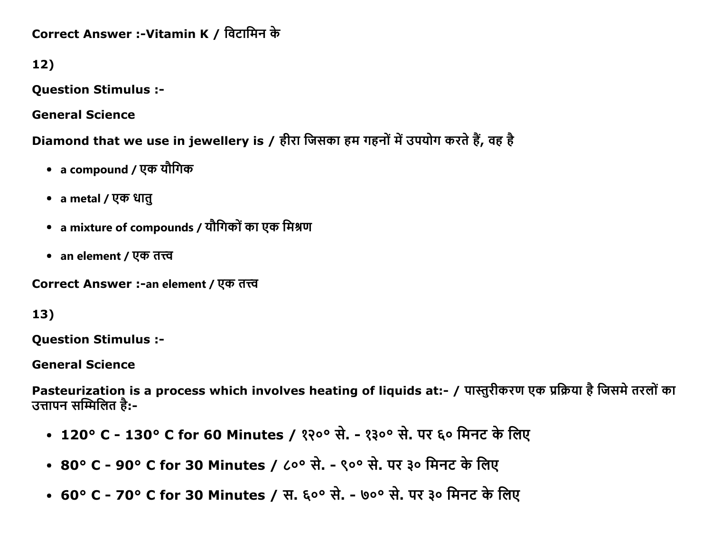Correct Answer :-Vitamin K / विटामिन के

12)

Question Stimulus :

General Science

Diamond that we use in jewellery is / हीरा जिसका हम गहनों में उपयोग करते हैं, वह है

- a compound / एक यौगिक
- a metal / एक धातू
- a mixture of compounds / यौगिकों का एक मिश्रण
- an element / एक तत्त्व

Correct Answer :-an element / एक तत्त्व

### 13)

Question Stimulus :

General Science

Pasteurization is a process which involves heating of liquids at:- / पास्तुरीकरण एक प्रक्रिया है जिसमे तरलों का उत्तापन सम्मिलित है:-

- 120° C 130° C for 60 Minutes / १२०° से. १३०° से. पर ६० मिनट के लिए
- 80° C 90° C for 30 Minutes / ८०° से. ९०° से. पर ३० मिनट के लिए
- 60° C 70° C for 30 Minutes / स. ६०° से. ७०° से. पर ३० मिनट के लिए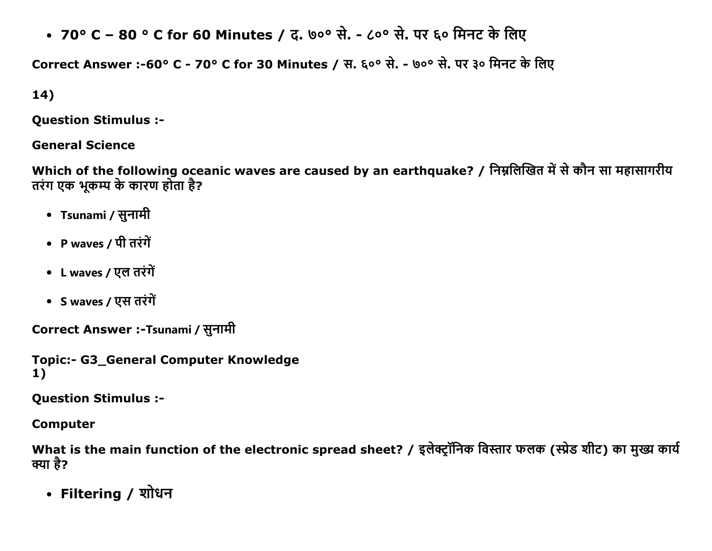• 70° C – 80 ° C for 60 Minutes / द. ७०° से. - ८०° से. पर ६० मिनट के लिए

Correct Answer :-60° C - 70° C for 30 Minutes / स. ६०° से. - ७०° से. पर ३० मिनट के लिए

14)

Question Stimulus :

General Science

Which of the following oceanic waves are caused by an earthquake? / निम्नलिखित में से कौन सा महासागरीय तरंग एक भूकम्प के कारण होता है?

- Tsunami / सुनामी
- P waves / पी तरंगें
- L waves / एल तरंगें
- S waves / एस तरंगें

Correct Answer :-Tsunami / सुनामी

Topic:- G3 General Computer Knowledge 1)

Question Stimulus :

Computer

What is the main function of the electronic spread sheet? / इलेक्ट्रॉनिक विस्तार फलक (स्प्रेड शीट) का मुख्य कार्य क्या है?

• Filtering / शोधन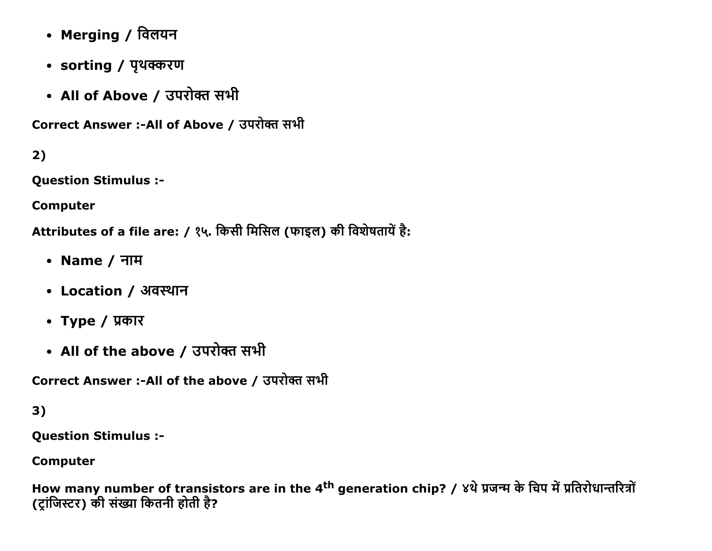- Merging / विलयन
- sorting / पृथक्करण
- All of Above / उपरोक्त सभी

Correct Answer :-All of Above / उपरोक्त सभी

 $2)$ 

**Question Stimulus :-**

**Computer** 

Attributes of a file are: / १५. किसी मिसिल (फाइल) की विशेषतायें है:

- Name / नाम
- Location / अवस्थान
- Type / प्रकार
- All of the above / उपरोक्त सभी

Correct Answer :-All of the above / उपरोक्त सभी

# $3)$

**Question Stimulus :-**

**Computer** 

How many number of transistors are in the 4<sup>th</sup> generation chip? / ४थे प्रजन्म के चिप में प्रतिरोधान्तरित्रों (ट्रांजिस्टर) की संख्या कितनी होती है?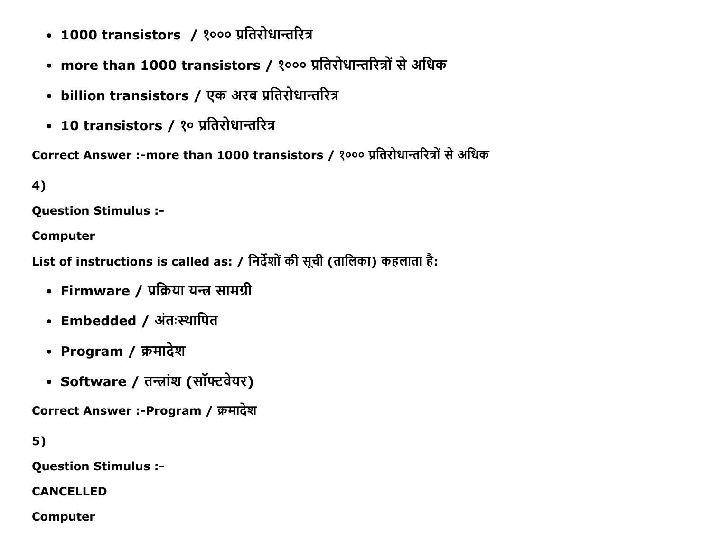- 1000 transistors / १००० प्रतिरोधान्तरित्र
- more than 1000 transistors / १००० प्रतिरोधान्तरित्रों से अधिक
- billion transistors / एक अरब प्रतिरोधान्तरित्र
- 10 transistors / १० प्रतिरोधान्तरित्र

Correct Answer :-more than 1000 transistors / १००० प्रतिरोधान्तरित्रों से अधिक

4)

**Ouestion Stimulus :-**

**Computer** 

List of instructions is called as: / निर्देशों की सूची (तालिका) कहलाता है:

- Firmware / प्रक्रिया यन्त्र सामग्री
- Embedded / अंतःस्थापित
- Program / क्रमादेश
- Software / तन्त्रांश (सॉफ्टवेयर)

Correct Answer :-Program / क्रमादेश

 $5)$ 

**Question Stimulus :-**

**CANCELLED** 

**Computer**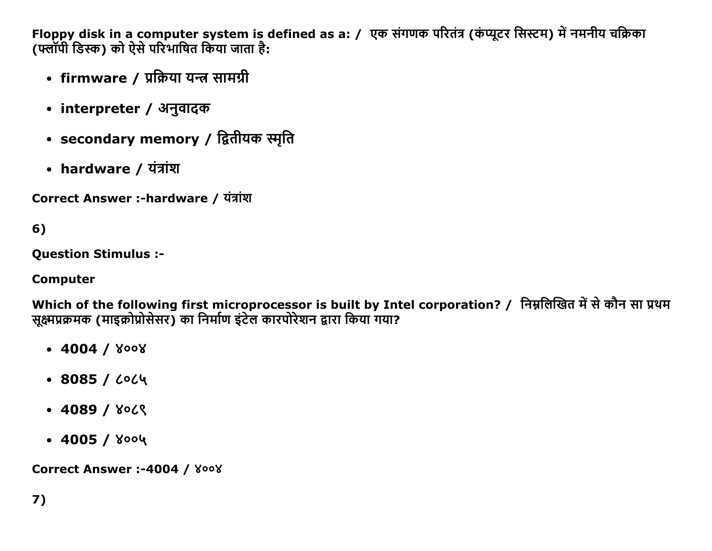Floppy disk in a computer system is defined as a: / एक संगणक परितंत्र (कंप्यूटर सिस्टम) में नमनीय चक्रिका (फ्लॉपी डिस्क) को ऐसे परिभाषित किया जाता है:

- firmware / प्रक्रिया यन्त्र सामग्री
- interpreter / अनुवादक
- secondary memory / द्वितीयक स्मृति
- hardware / यंत्रांश

Correct Answer :-hardware / यंत्रांश

 $6)$ 

**Ouestion Stimulus :-**

### **Computer**

Which of the following first microprocessor is built by Intel corporation? / निम्नलिखित में से कौन सा प्रथम सुक्ष्मप्रक्रमक (माइक्रोप्रोसेसर) का निर्माण इंटेल कारपोरेशन द्वारा किया गया?

- $-4004 / 8008$
- $-8085/$  6064
- $-4089 / 800$
- $\cdot$  4005 / ४००५

**Correct Answer :-4004 / ४००४**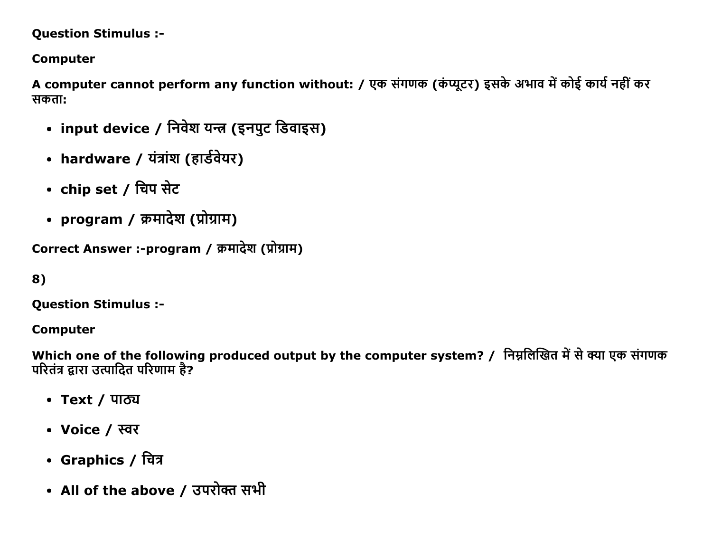#### **Question Stimulus :-**

### **Computer**

A computer cannot perform any function without: / एक संगणक (कंप्यूटर) इसके अभाव में कोई कार्य नहीं कर सकता:

- input device / निवेश यन्त्र (इनपुट डिवाइस)
- hardware / यंत्रांश (हार्डवेयर)
- chip set / चिप सेट
- program / क्रमादेश (प्रोग्राम)

```
Correct Answer :-program / क्रमादेश (प्रोग्राम)
```

```
8)
```
**Question Stimulus :-**

### **Computer**

Which one of the following produced output by the computer system? / निम्नलिखित में से क्या एक संगणक परितंत्र द्वारा उत्पादित परिणाम है?

- Text / पाठ्य
- Voice / स्वर
- Graphics / चित्र
- All of the above / उपरोक्त सभी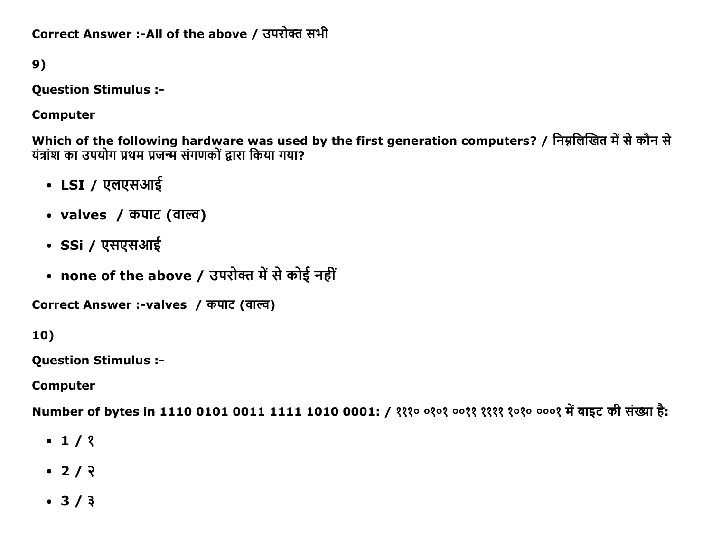Correct Answer :-All of the above / उपरोक्त सभी

9)

**Question Stimulus :-**

**Computer** 

Which of the following hardware was used by the first generation computers? / निम्नलिखित में से कौन से यंत्रांश का उपयोग प्रथम प्रजन्म संगणकों द्वारा किया गया?

- LSI / एलएसआई
- valves / कपाट (वाल्व)
- SSi / एसएसआई
- none of the above / उपरोक्त में से कोई नहीं

Correct Answer :-valves / कपाट (वाल्व)

 $10)$ 

**Question Stimulus :-**

**Computer** 

Number of bytes in 1110 0101 0011 1111 1010 0001: / १११० ०१०१ ००११ ११११ १०१० ०००१ में बाइट की संख्या है:

- $-1/3$
- $\cdot$  2/  $\sqrt{2}$
- $3/3$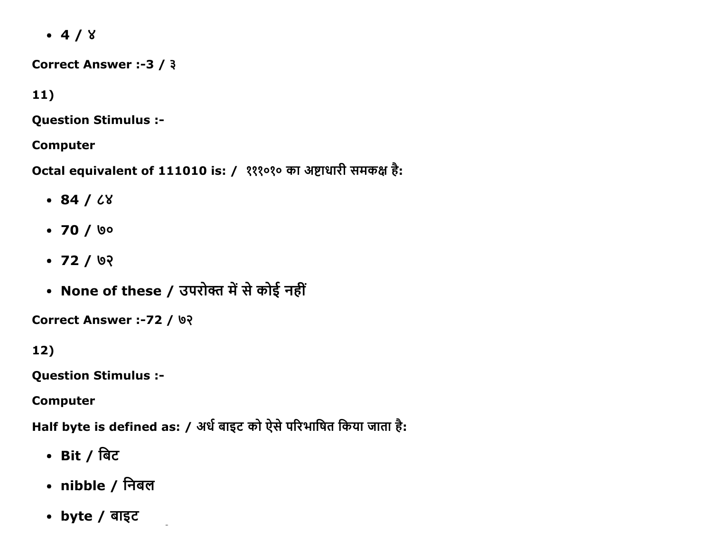$-4/8$ 

Correct Answer :-3 / 3

 $11)$ 

**Question Stimulus :-**

**Computer** 

Octal equivalent of 111010 is: / १११०१० का अष्टाधारी समकक्ष है:

- $-84/68$
- $70 / 00$
- $-72/92$
- None of these / उपरोक्त में से कोई नहीं

**Correct Answer :-72 / ७२** 

 $12)$ 

**Question Stimulus :-**

**Computer** 

Half byte is defined as: / अर्ध बाइट को ऐसे परिभाषित किया जाता है:

- Bit / बिट
- nibble / निबल
- byte / बाइट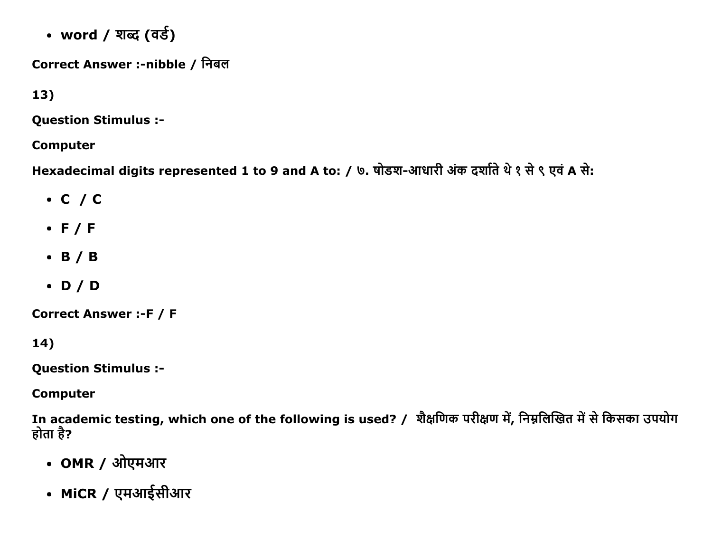• word / शब्द (वर्ड)

Correct Answer :-nibble / निबल

 $13)$ 

**Question Stimulus :-**

**Computer** 

Hexadecimal digits represented 1 to 9 and A to: / ७. षोडश-आधारी अंक दर्शाते थे १ से ९ एवं A से:

- $\cdot$  C / C
- $\bullet$  F/F
- $\bullet$  B / B
- $\bullet$  D/D

**Correct Answer :- F / F** 

14)

**Question Stimulus :-**

**Computer** 

In academic testing, which one of the following is used? / शैक्षणिक परीक्षण में, निम्नलिखित में से किसका उपयोग होता है?

- OMR / ओएमआर
- MiCR / एमआईसीआर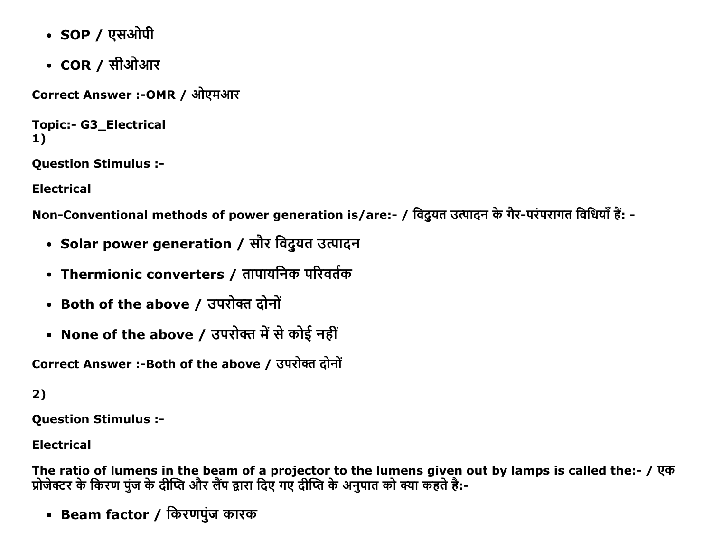- SOP / एसओपी
- $COR /$  सीओआर

Correct Answer :-OMR / ओएमआर

```
Topic:- G3_Electrical
1)
```
**Question Stimulus :-**

**Electrical** 

Non-Conventional methods of power generation is/are:- / विदुयत उत्पादन के गैर-परंपरागत विधियाँ हैं: -

- Solar power generation / सौर विदुयत उत्पादन
- Thermionic converters / तापायनिक परिवर्तक
- Both of the above / उपरोक्त दोनों
- None of the above / उपरोक्त में से कोई नहीं

Correct Answer :-Both of the above / उपरोक्त दोनों

```
2)
```
**Question Stimulus :-**

**Electrical** 

The ratio of lumens in the beam of a projector to the lumens given out by lamps is called the:- / एक प्रोजेक्टर के किरण पुंज के दीप्ति और लैंप द्वारा दिए गए दीप्ति के अनुपात को क्या कहते है:-

• Beam factor / किरणपुंज कारक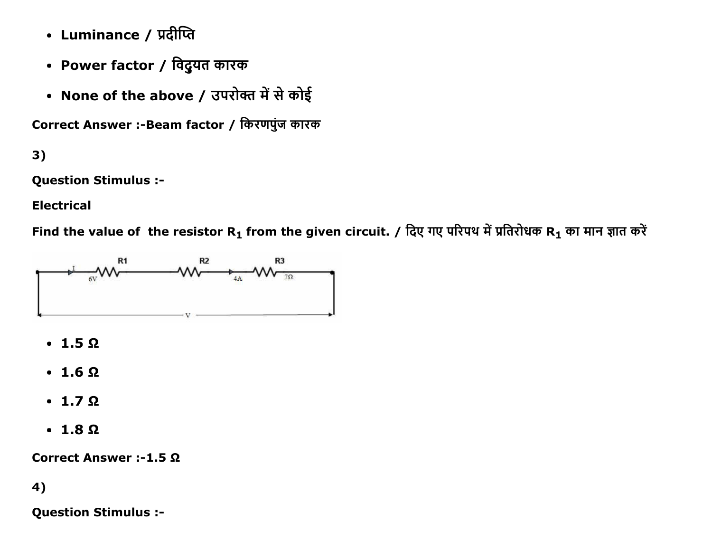- Luminance / प्रदीप्ति
- Power factor / विदुयत कारक
- None of the above / उपरोक्त में से कोई

Correct Answer :- Beam factor / किरणपुंज कारक

 $3)$ 

**Question Stimulus :-**

**Electrical** 

Find the value of the resistor R<sub>1</sub> from the given circuit. / दिए गए परिपथ में प्रतिरोधक R<sub>1</sub> का मान ज्ञात करें



- $\cdot$  1.5  $\Omega$
- $\cdot$  1.6  $\Omega$
- $\cdot$  1.7  $\Omega$
- $\cdot$  1.8  $\Omega$

Correct Answer :-1.5 Ω

### 4)

**Question Stimulus :-**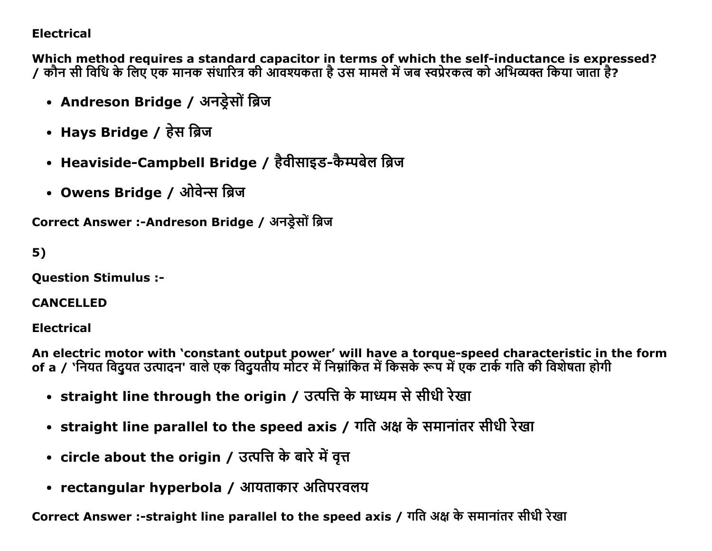### **Electrical**

Which method requires a standard capacitor in terms of which the self-inductance is expressed? 7 कौन सी विधि के लिए एक मानक संधारित्र की आवश्यकता है उस मामले में जब स्वप्रेरकत्व को अभिव्यक्त किया जाता है?

- Andreson Bridge / अनड़ेसों ब्रिज
- Hays Bridge / हेस ब्रिज
- Heaviside-Campbell Bridge / हैवीसाइड-कैम्पबेल ब्रिज
- Owens Bridge / ओवेन्स ब्रिज

Correct Answer :-Andreson Bridge / अनडेसों ब्रिज

# $5)$

**Ouestion Stimulus :-**

#### **CANCELLED**

### **Electrical**

An electric motor with 'constant output power' will have a torque-speed characteristic in the form of a / 'नियत विद्रुयत उत्पादन' वाले एक विद्रुयतीय मोटर में निम्नांकित में किसके रूप में एक टार्क गति की विशेषता होगी

- straight line through the origin / उत्पत्ति के माध्यम से सीधी रेखा
- straight line parallel to the speed axis / गति अक्ष के समानांतर सीधी रेखा
- circle about the origin / उत्पत्ति के बारे में वृत्त
- rectangular hyperbola / आयताकार अतिपरवलय

Correct Answer :-straight line parallel to the speed axis / गति अक्ष के समानांतर सीधी रेखा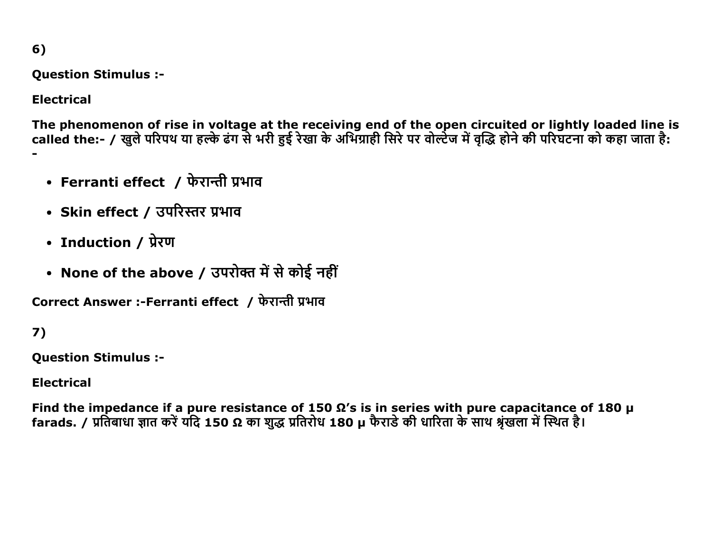$6)$ 

**Question Stimulus :-**

**Electrical** 

The phenomenon of rise in voltage at the receiving end of the open circuited or lightly loaded line is called the:- / खुले परिपथ या हल्के ढंग से भरी हुई रेखा के अभिग्राही सिरे पर वोल्टेज में वृद्धि होने की परिघटना को कहा जाता है:

- Ferranti effect / फेरान्ती प्रभाव
- Skin effect / उपरिस्तर प्रभाव
- Induction / प्रेरण
- None of the above / उपरोक्त में से कोई नहीं

Correct Answer :-Ferranti effect / फेरान्ती प्रभाव

7)

**Question Stimulus :-**

**Electrical** 

Find the impedance if a pure resistance of 150  $\Omega$ 's is in series with pure capacitance of 180 µ<br>farads. / प्रतिबाधा ज्ञात करें यदि 150 Ω का शुद्ध प्रतिरोध 180 µ फैराडे की धारिता के साथ श्रृंखला में स्थित है।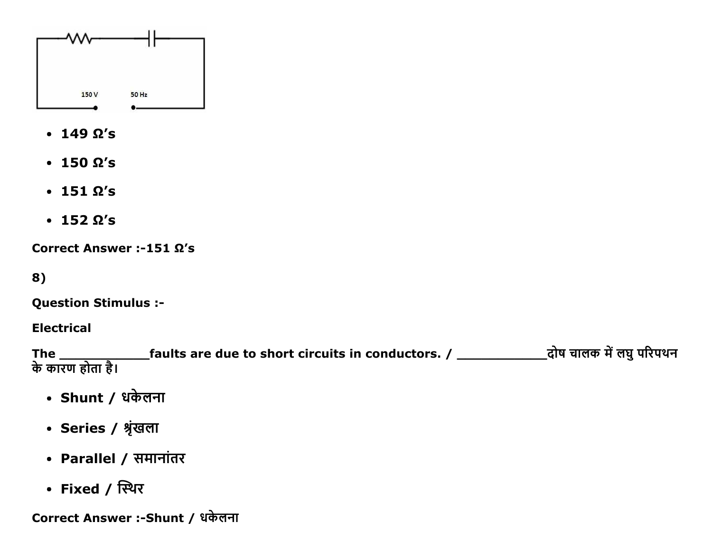

- $\cdot$  149  $\Omega'$ s
- $\cdot$  150  $\Omega'$ s
- $\cdot$  151  $\Omega$ 's
- $\cdot$  152  $\Omega'$ s

Correct Answer :151 Ω's

8)

Question Stimulus :

Electrical

The \_\_\_\_\_\_\_\_\_\_\_faults are due to short circuits in conductors. / \_\_\_\_\_\_\_\_\_\_\_ĉļĜ चĭलक đŐलघIJčįēčĈċ के कारण होता है।

- Shunt / धकेलना
- Series / श्रृंखला
- Parallel / समानांतर
- Fixed / स्थिर

Correct Answer :-Shunt / धकेलना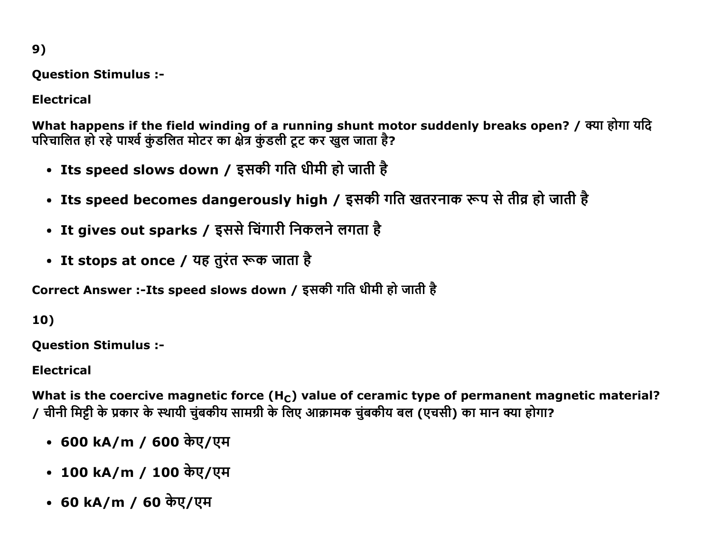$9)$ 

**Question Stimulus :-**

**Electrical** 

What happens if the field winding of a running shunt motor suddenly breaks open? / क्या होगा यदि परिचालित हो रहे पार्श्व कुंडलित मोटर का क्षेत्र कुंडली टूट कर खुल जाता है?

- Its speed slows down / इसकी गति धीमी हो जाती है
- Its speed becomes dangerously high / इसकी गति खतरनाक रूप से तीव्र हो जाती है
- It gives out sparks / इससे चिंगारी निकलने लगता है
- It stops at once / यह तुरंत रूक जाता है

Correct Answer :-Its speed slows down / इसकी गति धीमी हो जाती है

10)

**Question Stimulus :-**

**Electrical** 

What is the coercive magnetic force  $(H<sub>C</sub>)$  value of ceramic type of permanent magnetic material? / चीनी मिट्टी के प्रकार के स्थायी चंबकीय सामग्री के लिए आक्रामक चंबकीय बल (एचसी) का मान क्या होगा?

- 600 kA/m / 600 केए/एम
- 100 kA/m / 100 केए/एम
- 60 kA/m / 60 केए/एम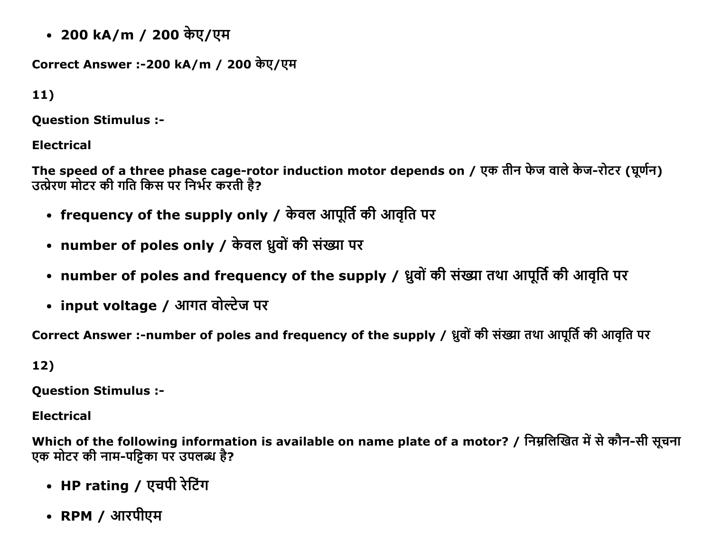• 200 kA/m / 200 केए/एम

Correct Answer :-200 kA/m / 200 केए/एम

 $11)$ 

**Ouestion Stimulus :-**

**Electrical** 

The speed of a three phase cage-rotor induction motor depends on / एक तीन फेज वाले केज-रोटर (घूर्णन) उत्प्रेरण मोटर की गति किस पर निर्भर करती है?

- frequency of the supply only / केवल आपूर्ति की आवृति पर
- number of poles only / केवल ध्रुवों की संख्या पर
- number of poles and frequency of the supply / ध्रुवों की संख्या तथा आपूर्ति की आवृति पर
- input voltage / आगत वोल्टेज पर

Correct Answer :-number of poles and frequency of the supply / ध्रुवों की संख्या तथा आपूर्ति की आवृति पर

 $12)$ 

**Question Stimulus :-**

**Electrical** 

Which of the following information is available on name plate of a motor? / निम्नलिखित में से कौन-सी सूचना एक मोटर की नाम-पट्टिका पर उपलब्ध है?

- HP rating / एचपी रेटिंग
- RPM / आरपीएम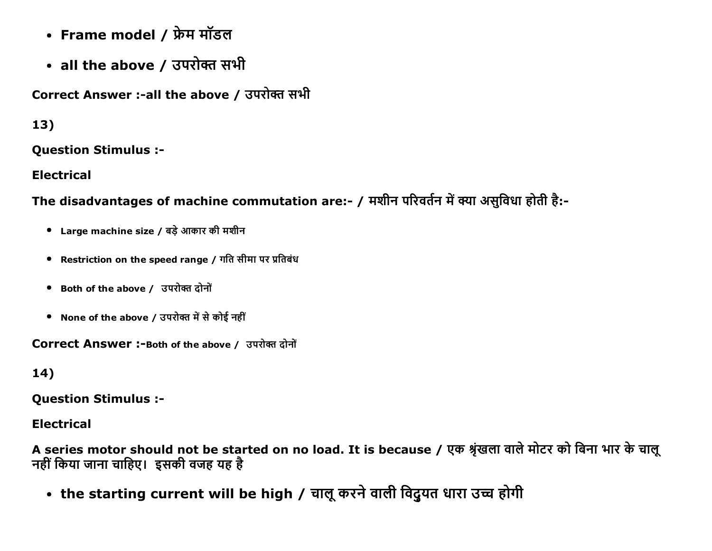- Frame model / फ्रेम मॉडल
- all the above / उपरोक्त सभी

Correct Answer :-all the above / उपरोक्त सभी

13)

**Question Stimulus :-**

**Electrical** 

The disadvantages of machine commutation are:- / मशीन परिवर्तन में क्या असुविधा होती है:-

- Large machine size / बड़े आकार की मशीन
- Restriction on the speed range / गति सीमा पर प्रतिबंध
- Both of the above / उपरोक्त दोनों
- None of the above / उपरोक्त में से कोई नहीं

**Correct Answer:-Both of the above / उपरोक्त दोनों** 

14)

**Question Stimulus :-**

**Electrical** 

A series motor should not be started on no load. It is because / एक श्रृंखला वाले मोटर को बिना भार के चालू नहीं किया जाना चाहिए। इसकी वजह यह है

• the starting current will be high / चालू करने वाली विदुयत धारा उच्च होगी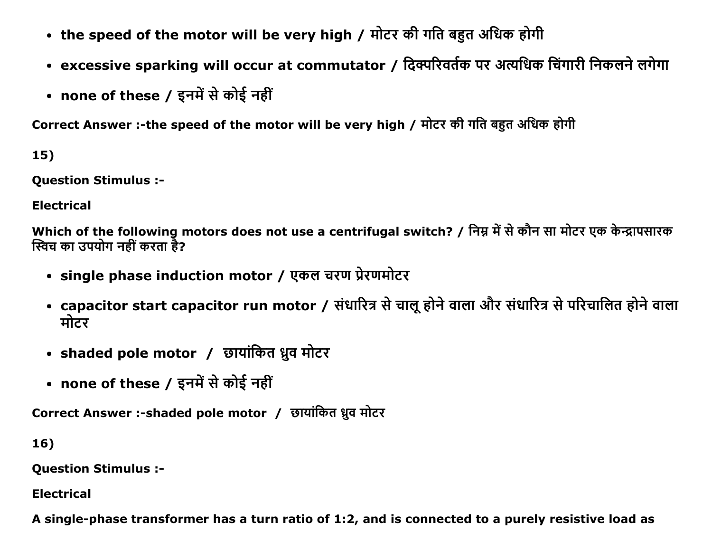- the speed of the motor will be very high / मोटर की गति बहुत अधिक होगी
- excessive sparking will occur at commutator / दिक्परिवर्तक पर अत्यधिक चिंगारी निकलने लगेगा
- none of these / इनमें से कोई नहीं

Correct Answer :-the speed of the motor will be very high / मोटर की गति बहुत अधिक होगी

15)

**Question Stimulus :-**

**Electrical** 

Which of the following motors does not use a centrifugal switch? / निम्न में से कौन सा मोटर एक केन्द्रापसारक स्विच का उपयोग नहीं करता है?

- single phase induction motor / एकल चरण प्रेरणमोटर
- capacitor start capacitor run motor / संधारित्र से चालू होने वाला और संधारित्र से परिचालित होने वाला मोटर
- shaded pole motor / छायांकित ध्रुव मोटर
- none of these / इनमें से कोई नहीं

Correct Answer :- shaded pole motor / छायांकित ध्रुव मोटर

16)

**Question Stimulus :-**

**Electrical** 

A single-phase transformer has a turn ratio of 1:2, and is connected to a purely resistive load as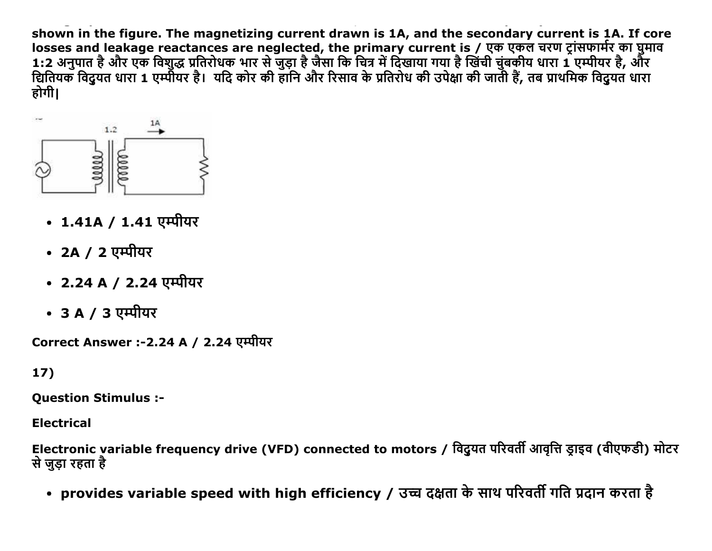shown in the figure. The magnetizing current drawn is 1A, and the secondary current is 1A. If core losses and leakage reactances are neglected, the primary current is / एक एकल चरण ट्रांसफार्मर का घुमाव 1:2 अनुपात है और एक विशुद्ध प्रतिरोधक भार से जुड़ा है जैसा कि चित्र में दिखाया गया है खिंची चुंबकीय धारा 1 एम्पीयर है, और वितियक विद्रुयत धारा 1 एम्पीयर है। यदि कोर की हानि और रिसाव के प्रतिरोध की उपेक्षा की जाती हैं, तब प्राथमिक विद्रुयत धारा होगी।



- 1.41A / 1.41 एम्पीयर
- 2A / 2 एम्पीयर
- 2.24 A / 2.24 एम्पीयर
- 3 A / 3 एम्पीयर

Correct Answer :-2.24 A / 2.24 एम्पीयर

17)

**Question Stimulus :-**

**Electrical** 

Electronic variable frequency drive (VFD) connected to motors / विदुयत परिवर्ती आवृत्ति ड्राइव (वीएफडी) मोटर से जुडा रहता है

• provides variable speed with high efficiency / उच्च दक्षता के साथ परिवर्ती गति प्रदान करता है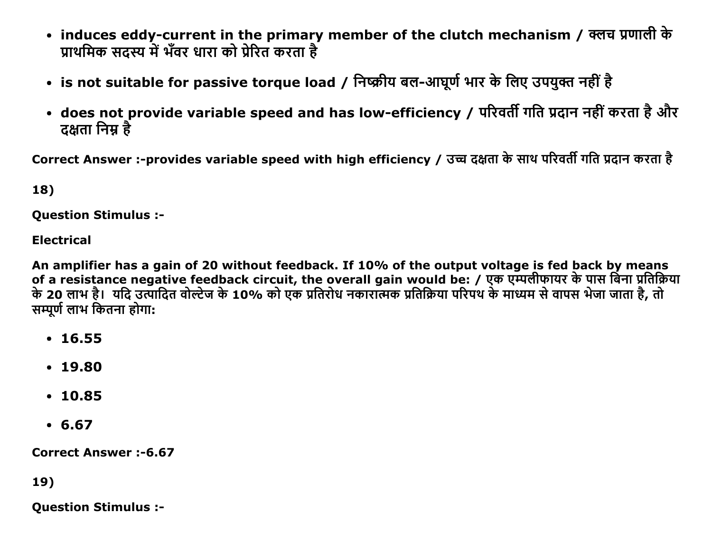- induces eddy-current in the primary member of the clutch mechanism / क्लच प्रणाली के प्राथमिक सदस्य में भँवर धारा को प्रेरित करता है
- is not suitable for passive torque load / निष्क्रीय बल-आघूर्ण भार के लिए उपयुक्त नहीं है
- does not provide variable speed and has low-efficiency / परिवर्ती गति प्रदान नहीं करता है और दक्षता निम्न है

Correct Answer :-provides variable speed with high efficiency / उच्च दक्षता के साथ परिवर्ती गति प्रदान करता है

18)

**Ouestion Stimulus :-**

**Electrical** 

An amplifier has a gain of 20 without feedback. If 10% of the output voltage is fed back by means of a resistance negative feedback circuit, the overall gain would be: / एक एम्पलीफायर के पास बिना प्रतिक्रिया<br>के 20 लाभ है। यदि उत्पादित वोल्टेज के 10% को एक प्रतिरोध नकारात्मक प्रतिक्रिया परिपथ के माध्यम से वापस भेजा जा सम्पूर्ण लाभ कितना होगा:

- $16.55$
- $.19.80$
- $.10.85$
- $6.67$

**Correct Answer:-6.67** 

19)

**Ouestion Stimulus :-**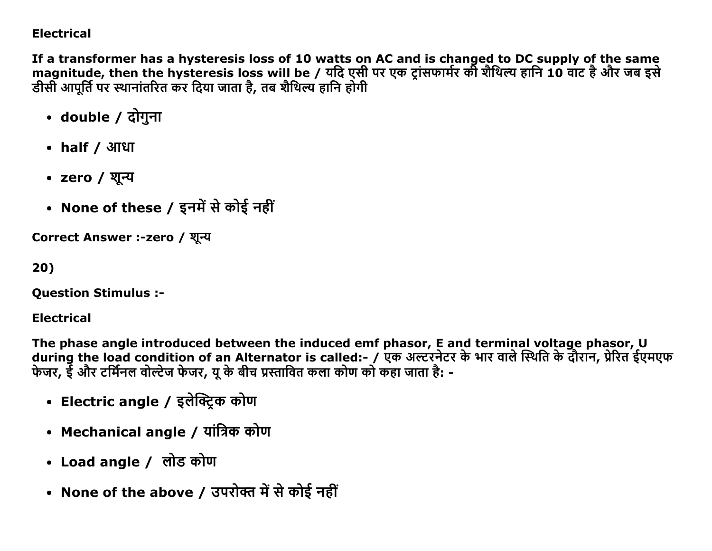### **Electrical**

If a transformer has a hysteresis loss of 10 watts on AC and is changed to DC supply of the same magnitude, then the hysteresis loss will be / यदि एसी पर एक ट्रांसफार्मर की शैथिल्य हानि 10 वाट है और जब इसे डीसी आपूर्ति पर स्थानांतरित कर दिया जाता है, तब शैथिल्य हानि होगी

- double / दोगुना
- $\bullet$  half / आधा
- zero / शुन्य
- None of these / इनमें से कोई नहीं

Correct Answer :-zero / शून्य

20)

**Question Stimulus :-**

**Electrical** 

The phase angle introduced between the induced emf phasor, E and terminal voltage phasor, U during the load condition of an Alternator is called:- / एक अल्टरनेटर के भार वाले स्थिति के दौरान, प्रेरित ईएमएफ फेजर, ईं और टर्मिनल वोल्टेज फेजर, यू के बीच प्रस्तावित कला कोण को कहा जाता है: -

- Electric angle / इलेक्ट्रिक कोण
- Mechanical angle / यांत्रिक कोण
- Load angle / लोड कोण
- None of the above / उपरोक्त में से कोई नहीं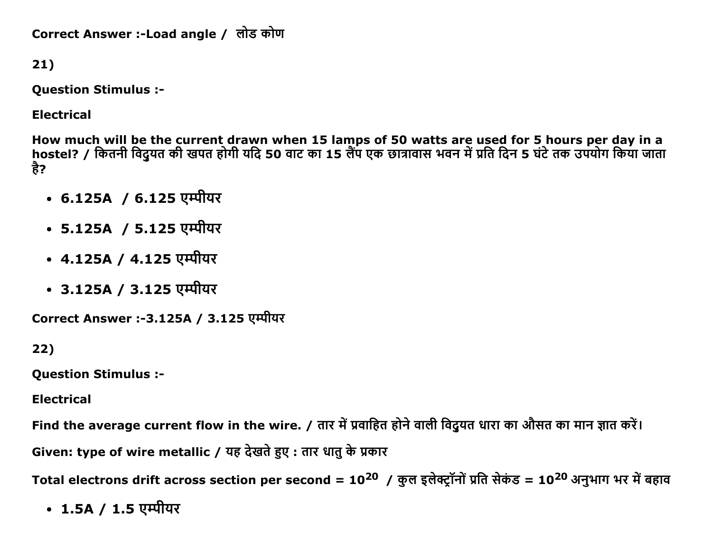```
Correct Answer :-Load angle / लोड कोण
```
 $21)$ 

**Question Stimulus :-**

**Electrical** 

How much will be the current drawn when 15 lamps of 50 watts are used for 5 hours per day in a<br>hostel? / कितनी विदुयत की खपत होगी यदि 50 वाट का 15 लैंप एक छात्रावास भवन में प्रति दिन 5 घंटे तक उपयोग किया जाता है?

- 6.125A / 6.125 एम्पीयर
- 5.125A / 5.125 एम्पीयर
- 4.125A / 4.125 एम्पीयर
- 3.125A / 3.125 एम्पीयर

Correct Answer :-3.125A / 3.125 एम्पीयर

 $22)$ 

**Question Stimulus :-**

**Electrical** 

Find the average current flow in the wire. / तार में प्रवाहित होने वाली विदुयत धारा का औसत का मान ज्ञात करें। Given: type of wire metallic / यह देखते हुए : तार धातु के प्रकार

Total electrons drift across section per second = 10<sup>20</sup> / कुल इलेक्ट्रॉनों प्रति सेकंड = 10<sup>20</sup> अनुभाग भर में बहाव

• 1.5A / 1.5 एम्पीयर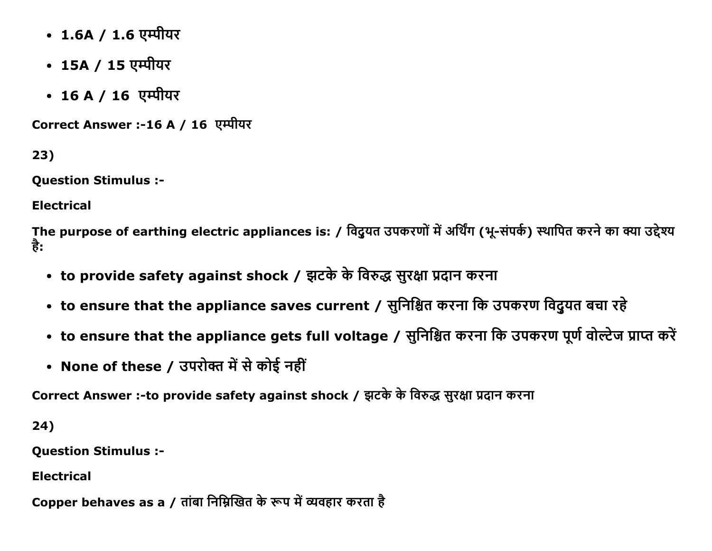- 1.6A / 1.6 एम्पीयर
- 15A / 15 एम्पीयर
- 16 A / 16 एम्पीयर

Correct Answer :-16 A / 16 एम्पीयर

23)

**Question Stimulus :-**

**Electrical** 

The purpose of earthing electric appliances is: / विदुयत उपकरणों में अर्थिंग (भू-संपर्क) स्थापित करने का क्या उद्देश्य है:

- to provide safety against shock / झटके के विरुद्ध सुरक्षा प्रदान करना
- to ensure that the appliance saves current / सुनिश्चित करना कि उपकरण विदुयत बचा रहे
- to ensure that the appliance gets full voltage / सुनिश्चित करना कि उपकरण पूर्ण वोल्टेज प्राप्त करें
- None of these / उपरोक्त में से कोई नहीं

Correct Answer :-to provide safety against shock / झटके के विरुद्ध सुरक्षा प्रदान करना

24)

**Question Stimulus :-**

**Electrical** 

Copper behaves as a / तांबा निम्निखित के रूप में व्यवहार करता है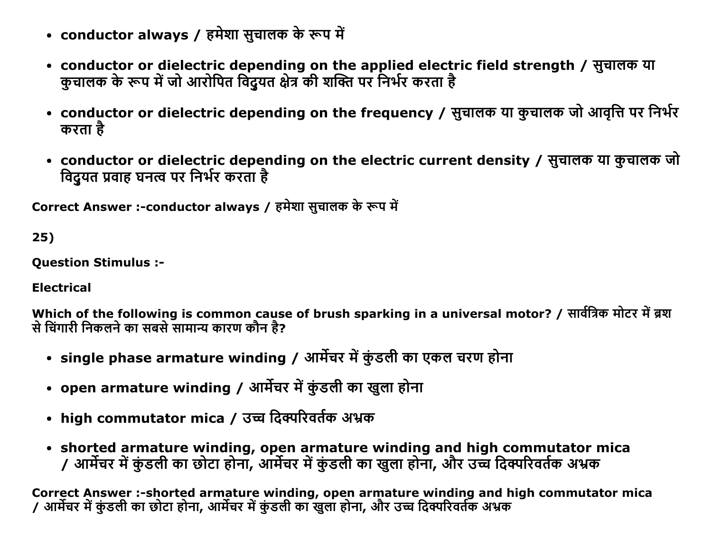- conductor always / हमेशा सुचालक के रूप में
- conductor or dielectric depending on the applied electric field strength / सुचालक या कुचालक के रूप में जो आरोपित विदुयत क्षेत्र की शक्ति पर निर्भर करता है
- conductor or dielectric depending on the frequency / सुचालक या कुचालक जो आवृत्ति पर निर्भर करता है
- conductor or dielectric depending on the electric current density / सूचालक या कुचालक जो विद्यत प्रवाह घनत्व पर निर्भर करता है

Correct Answer :-conductor always / हमेशा सूचालक के रूप में

25)

Question Stimulus :

Electrical

Which of the following is common cause of brush sparking in a universal motor? / सार्वत्रिक मोटर में ब्रश से चिंगारी निकलने का सबसे सामान्य कारण कौन है?

- single phase armature winding / आर्मेचर में कुंडली का एकल चरण होना
- open armature winding / आर्मेचर में कुंडली का खुला होना
- high commutator mica / उच्च दिक्परिवर्तक अभ्रक
- shorted armature winding, open armature winding and high commutator mica / आर्मेचर में कुंडली का छोटा होना, आर्मेचर में कुंडली का खुला होना, और उच्च दिक्परिवर्तक अभ्रक

Correct Answer :-shorted armature winding, open armature winding and high commutator mica / आर्मेचर में कुंडली का छोटा होना, आर्मेचर में कुंडली का खुला होना, और उच्च दिक्परिवर्तक अभ्रक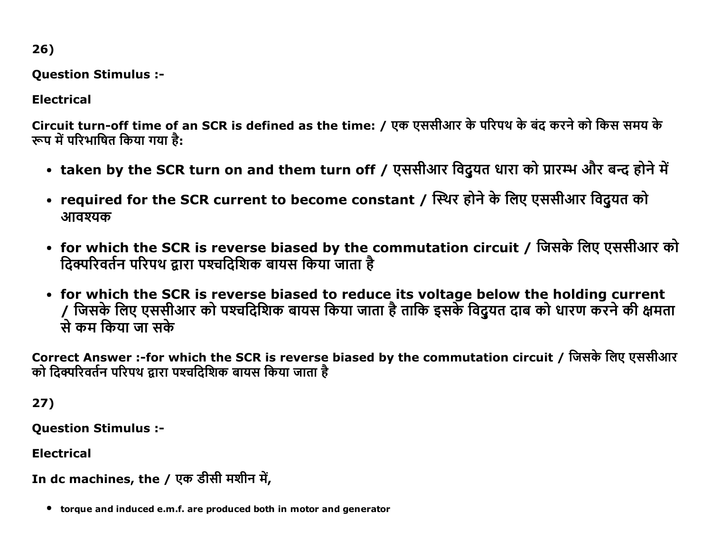26)

Question Stimulus :

Electrical

Circuit turn-off time of an SCR is defined as the time: / एक एससीआर के परिपथ के बंद करने को किस समय के रूप में परिभाषित किया गया है:

- taken by the SCR turn on and them turn off / एससीआर विदुयत धारा को प्रारम्भ और बन्द होने में
- required for the SCR current to become constant / स्थिर होने के लिए एससीआर विद्रुयत को आवश्यक
- for which the SCR is reverse biased by the commutation circuit / जिसके लिए एससीआर को ढिक्परिवर्तन परिपथ द्वारा पश्चढिशिक बायस किया जाता है
- for which the SCR is reverse biased to reduce its voltage below the holding current / जिसके लिए एससीआर को पश्चदिशिक बायस किया जाता है ताकि इसके विद्रुयत दाब को धारण करने की क्षमता से कम किया जा सके

Correct Answer :-for which the SCR is reverse biased by the commutation circuit / जिसके लिए एससीआर को दिक्परिवर्तन परिपथ द्वारा पश्चदिशिक बायस किया जाता है

27)

Question Stimulus :

Electrical

```
In dc machines, the / एक डीसी मशीन में,
```
torque and induced e.m.f. are produced both in motor and generator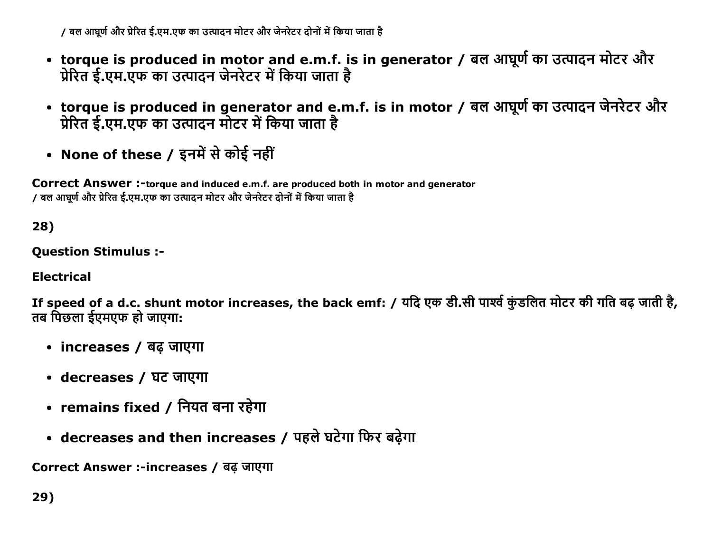/ बल आघूर्ण और प्रेरित ई.एम.एफ का उत्पादन मोटर और जेनरेटर दोनों में किया जाता है

- torque is produced in motor and e.m.f. is in generator / बल आघूर्ण का उत्पादन मोटर और प्रेरित ई.एम.एफ का उत्पादन जेनरेटर में किया जाता है
- torque is produced in generator and e.m.f. is in motor / बल आघूर्ण का उत्पादन जेनरेटर और प्रेरित ई.एम.एफ का उत्पादन मोटर में किया जाता है
- None of these / इनमें से कोई नहीं

Correct Answer :-torque and induced e.m.f. are produced both in motor and generator / बल आघूर्ण और प्रेरित ई.एम.एफ का उत्पादन मोटर और जेनरेटर दोनों में किया जाता है

28)

**Question Stimulus :-**

**Electrical** 

If speed of a d.c. shunt motor increases, the back emf: / यदि एक डी.सी पार्श्व कुंडलित मोटर की गति बढ़ जाती है, तब पिछला ईएमएफ हो जाएगा:

- increases / बढ जाएगा
- decreases / घट जाएगा
- remains fixed / नियत बना रहेगा
- decreases and then increases / पहले घटेगा फिर बढ़ेगा

Correct Answer :-increases / बढ जाएगा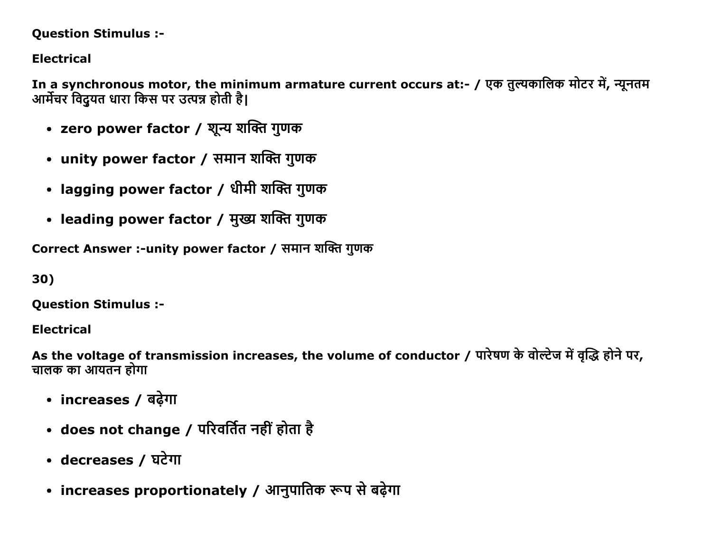### Question Stimulus :

# Electrical

In a synchronous motor, the minimum armature current occurs at:- / एक तुल्यकालिक मोटर में, न्यूनतम आर्मेचर विदयत धारा किस पर उत्पन्न होती है।

- zero power factor / शून्य शक्ति गुणक
- unity power factor / समान शक्ति गुणक
- lagging power factor / धीमी शक्ति गुणक
- leading power factor / मुख्य शक्ति गुणक

Correct Answer :-unity power factor / समान शक्ति गुणक

30)

Question Stimulus :

Electrical

As the voltage of transmission increases, the volume of conductor / पारेषण के वोल्टेज में वृद्धि होने पर, चालक का आयतन होगा

- increases / बढ़ेगा
- does not change / परिवर्तित नहीं होता है
- decreases / घटेगा
- increases proportionately / आनुपातिक रूप से बढ़ेगा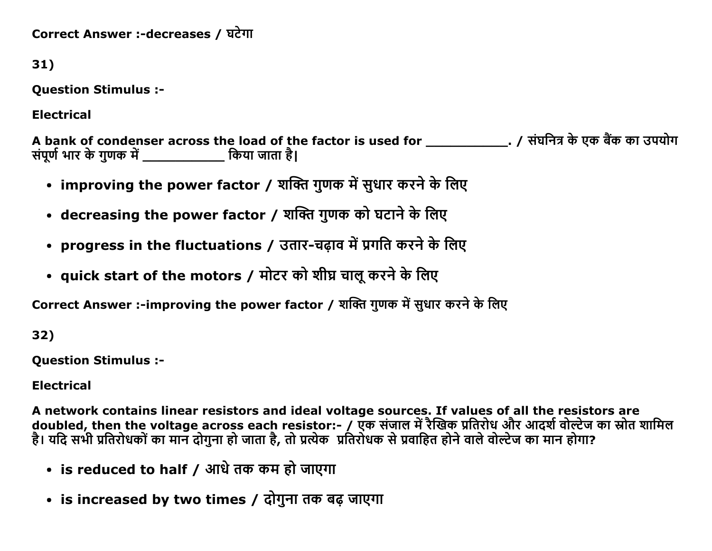Correct Answer :-decreases / घटेगा

31)

**Question Stimulus :-**

**Electrical** 

A bank of condenser across the load of the factor is used for \_\_\_\_\_\_\_\_\_\_\_\_\_\_\_. / संघनित्र के एक बैंक का उपयोग<br>संपूर्ण भार के गुणक में \_\_\_\_\_\_\_\_\_\_\_\_\_ किया जाता है।

- improving the power factor / शक्ति गुणक में सुधार करने के लिए
- decreasing the power factor / शक्ति गुणक को घटाने के लिए
- progress in the fluctuations / उतार-चढ़ाव में प्रगति करने के लिए
- quick start of the motors / मोटर को शीघ्र चालू करने के लिए

Correct Answer :-improving the power factor / शक्ति गुणक में सुधार करने के लिए

32)

**Ouestion Stimulus :-**

**Electrical** 

A network contains linear resistors and ideal voltage sources. If values of all the resistors are doubled, then the voltage across each resistor:- / एक संजाल में रैखिक प्रतिरोध और आदर्श वोल्टेज का स्रोत शामिल है। यदि सभी प्रतिरोधकों का मान दोगुना हो जाता है, तो प्रत्येक प्रतिरोधक से प्रवाहित होने वाले वोल्टेज का मान होगा?

- is reduced to half / आधे तक कम हो जाएगा
- is increased by two times / दोगुना तक बढ़ जाएगा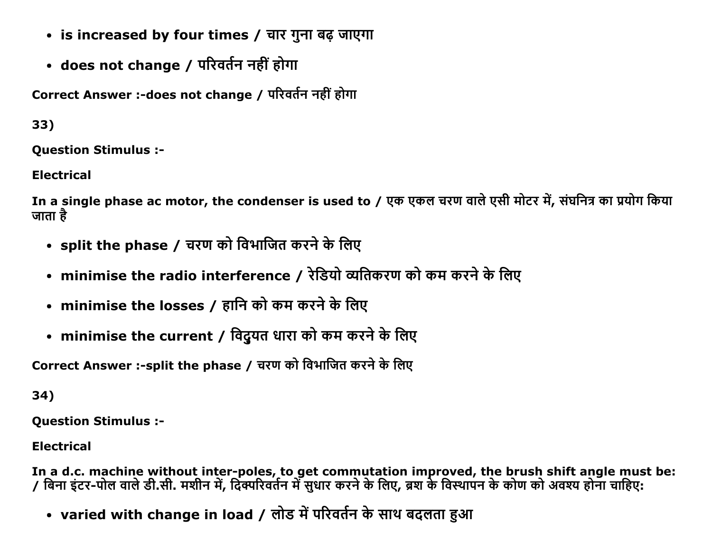- is increased by four times / चार गुना बढ़ जाएगा
- does not change / परिवर्तन नहीं होगा

Correct Answer :-does not change / परिवर्तन नहीं होगा

33)

Question Stimulus :

Electrical

In a single phase ac motor, the condenser is used to / एक एकल चरण वाले एसी मोटर में, संघनित्र का प्रयोग किया जाता है $\overline{\phantom{a}}$ 

- split the phase / चरण को विभाजित करने के लिए
- minimise the radio interference / रेडियो व्यतिकरण को कम करने के लिए
- minimise the losses / हानि को कम करने के लिए
- minimise the current / विदुयत धारा को कम करने के लिए

Correct Answer :-split the phase / चरण को विभाजित करने के लिए

34)

Question Stimulus :

Electrical

In a d.c. machine without inter-poles, to get commutation improved, the brush shift angle must be: / बिना इटर-पोल वाले डी.सी. मशीन में, दिक्परिवर्तन में सुधार करने के लिए, ब्रश के विस्थापन के कोण को अवश्य होना चाहिए:

• varied with change in load / लोड में परिवर्तन के साथ बदलता हुआ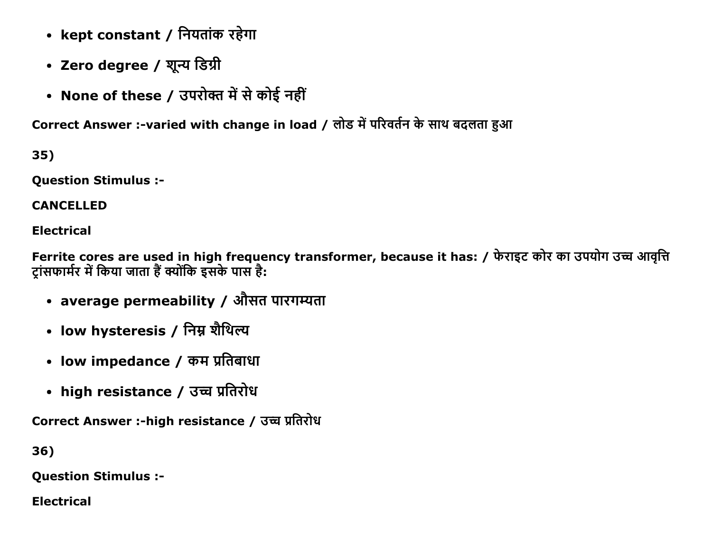- kept constant / नियतांक रहेगा
- Zero degree / शून्य डिग्री
- None of these / उपरोक्त में से कोई नहीं

Correct Answer :-varied with change in load / लोड में परिवर्तन के साथ बदलता हुआ

35)

**Question Stimulus :-**

**CANCELLED** 

**Electrical** 

Ferrite cores are used in high frequency transformer, because it has: / फेराइट कोर का उपयोग उच्च आवृत्ति ट्रांसफार्मर में किया जाता हैं क्योंकि इसके पास है:

- average permeability / औसत पारगम्यता
- low hysteresis / निम्न शैथिल्य
- low impedance / कम प्रतिबाधा
- high resistance / उच्च प्रतिरोध

Correct Answer :-high resistance / उच्च प्रतिरोध

36)

**Question Stimulus :-**

**Electrical**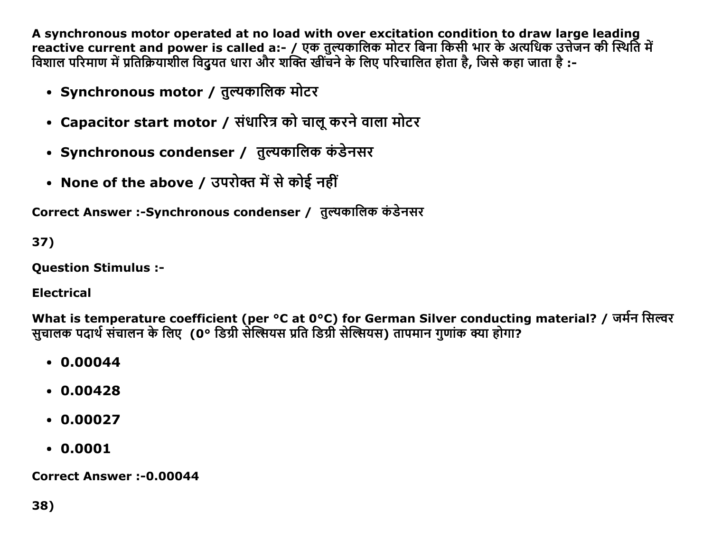A synchronous motor operated at no load with over excitation condition to draw large leading reactive current and power is called a:- / एक तुल्यकालिक मोटर बिना किसी भार के अत्यधिक उत्तेजन की स्थिति में विशाल परिमाण में प्रतिक्रियाशील विदुयत धारा और शक्ति खींचने के लिए परिचालित होता है, जिसे कहा जाता है :-

- Synchronous motor / त़ुल्यकालिक मोटर
- Capacitor start motor / संधारित्र को चालू करने वाला मोटर
- Synchronous condenser / तुल्यकालिक कंडेनसर
- None of the above / उपरोक्त में से कोई नहीं

Correct Answer :-Synchronous condenser / तुल्यकालिक कंडेनसर

37)

**Ouestion Stimulus :-**

**Electrical** 

What is temperature coefficient (per °C at 0°C) for German Silver conducting material? / जर्मन सिल्वर सचालक पदार्थ संचालन के लिए (0° डिग्री सेल्सियस प्रति डिग्री सेल्सियस) तापमान गणांक क्या होगा?

- $0.00044$
- $0.00428$
- $0.00027$
- $.0.0001$

**Correct Answer:-0.00044**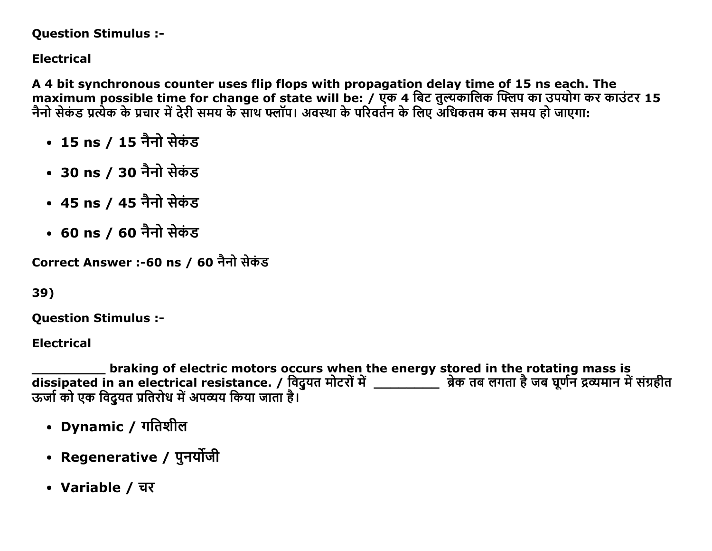### **Question Stimulus :-**

# **Electrical**

A 4 bit synchronous counter uses flip flops with propagation delay time of 15 ns each. The maximum possible time for change of state will be: / एक 4 बिट तुल्यकालिक फ्लिप का उपयोग कर काउंटर 15 नैनो सेकंड प्रत्येक के प्रचार में देरी समय के साथ फ्लॉप। अवस्था के परिवर्तन के लिए अधिकतम कम समय हो जाएगा:

- 15 ns / 15 नैनो सेकंड
- 30 ns / 30 नैनो सेकंड
- 45 ns / 45 नैनो सेकंड
- 60 ns / 60 नैनो सेकंड

Correct Answer :-60 ns / 60 नैनो सेकंड

```
39)
```
**Ouestion Stimulus :-**

**Electrical** 

braking of electric motors occurs when the energy stored in the rotating mass is ऊर्जा को एक विदुयत प्रतिरोध में अपव्यय किया जाता है।

- Dynamic / गतिशील
- Regenerative / पुनर्योजी
- Variable / चर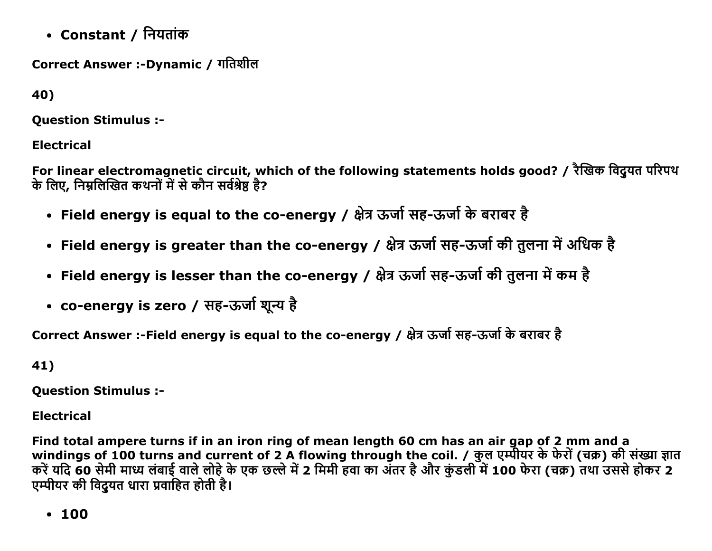• Constant / नियतांक

Correct Answer :-Dynamic / गतिशील

40)

**Ouestion Stimulus :-**

**Electrical** 

For linear electromagnetic circuit, which of the following statements holds good? / रैखिक विदयत परिपथ के लिए, निम्नलिखित कथनों में से कौन सर्वश्रेष्ठ है?

- Field energy is equal to the co-energy / क्षेत्र ऊर्जा सह-ऊर्जा के बराबर है
- Field energy is greater than the co-energy / क्षेत्र ऊर्जा सह-ऊर्जा की तुलना में अधिक है
- Field energy is lesser than the co-energy / क्षेत्र ऊर्जा सह-ऊर्जा की तुलना में कम है
- co-energy is zero / सह-ऊर्जा शून्य है

Correct Answer :-Field energy is equal to the co-energy / क्षेत्र ऊर्जा सह-ऊर्जा के बराबर है

41)

**Question Stimulus :-**

**Electrical** 

Find total ampere turns if in an iron ring of mean length 60 cm has an air gap of 2 mm and a windings of 100 turns and current of 2 A flowing through the coil. / कुल एम्पीयर के फेरों (चक्र) की संख्या ज्ञात करें यदि 60 सेमी माध्य लंबाई वाले लोहे के एक छल्ले में 2 मिमी हवा का अंतर है और कुंडली में 100 फेरा (चक्र) तथा उससे होकर 2 एम्पीयर की विद्रुयत धारा प्रवाहित होती है।

 $• 100$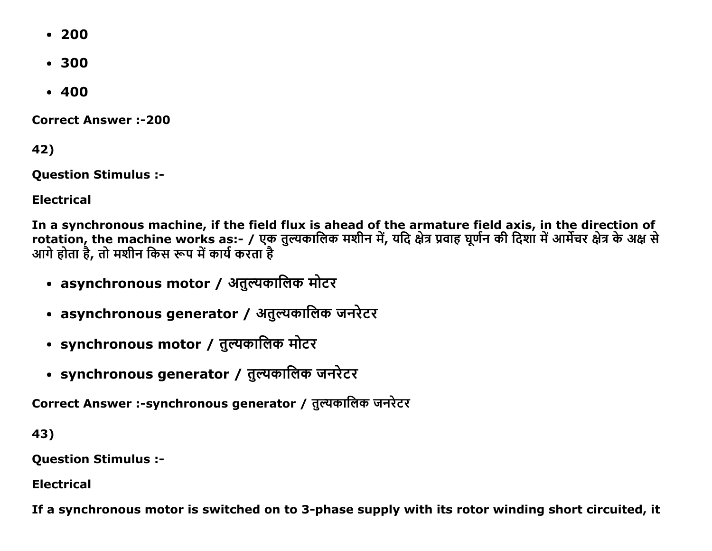- $200$
- $300$
- $-400$

**Correct Answer:-200** 

42)

**Question Stimulus :-**

**Electrical** 

In a synchronous machine, if the field flux is ahead of the armature field axis, in the direction of rotation, the machine works as:- / एक तुल्यकालिक मशीन में, यदि क्षेत्र प्रवाह घूर्णन की दिशा में आर्मेचर क्षेत्र के अक्ष से<br>आगे होता है, तो मशीन किस रूप में कार्य करता है

- asynchronous motor / अतुल्यकालिक मोटर
- asynchronous generator / अतुल्यकालिक जनरेटर
- synchronous motor / तुल्यकालिक मोटर
- synchronous generator / तुल्यकालिक जनरेटर

Correct Answer :-synchronous generator / त़्त्यकालिक जनरेटर

43)

**Question Stimulus :-**

**Electrical** 

If a synchronous motor is switched on to 3-phase supply with its rotor winding short circuited, it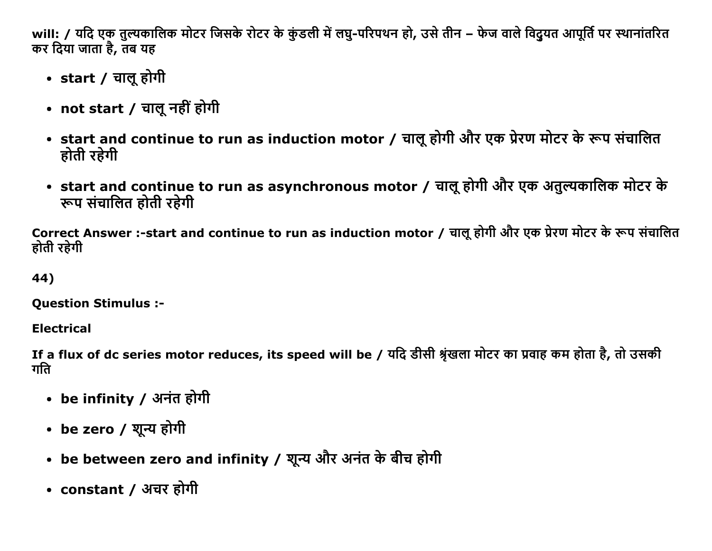will: / यदि एक तुल्यकालिक मोटर जिसके रोटर के कुंडली में लघु-परिपथन हो, उसे तीन – फेज वाले विदुयत आपूर्ति पर स्थानांतरित कर दिया जाता है, तब यह

- start / चालू होगी
- not start / चालू नहीं होगी
- start and continue to run as induction motor / चालू होगी और एक प्रेरण मोटर के रूप संचालित होती रहेगी
- start and continue to run as asynchronous motor / चालू होगी और एक अतुल्यकालिक मोटर के रूप संचालित होती रहेगी

Correct Answer :-start and continue to run as induction motor / चालू होगी और एक प्रेरण मोटर के रूप संचालित होती रहेगी

### 44)

**Question Stimulus :-**

**Electrical** 

If a flux of dc series motor reduces, its speed will be / यदि डीसी श्रृंखला मोटर का प्रवाह कम होता है, तो उसकी गति

- be infinity / अनंत होगी
- be zero / शून्य होगी
- be between zero and infinity / शून्य और अनंत के बीच होगी
- constant / अचर होगी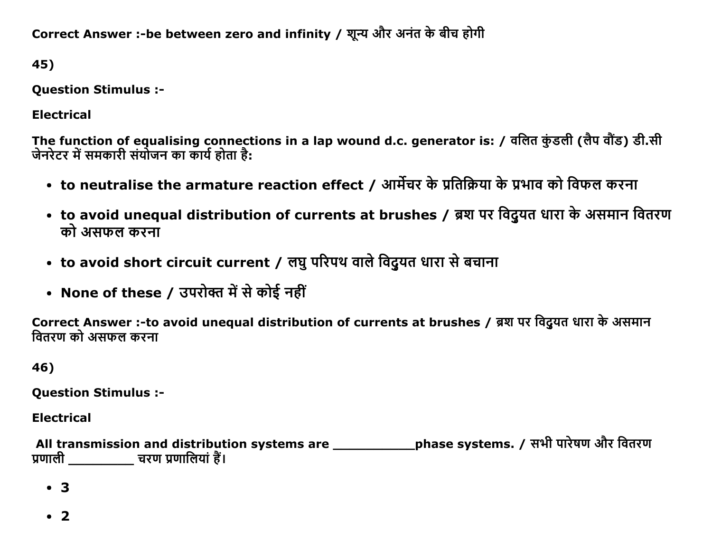Correct Answer :-be between zero and infinity / शून्य और अनंत के बीच होगी

45)

**Question Stimulus :-**

**Electrical** 

The function of equalising connections in a lap wound d.c. generator is: / वलित कुंडली (लैप वौंड) डी.सी जेनरेटर में समकारी संयोजन का कार्य होता है:

- to neutralise the armature reaction effect / आर्मेचर के प्रतिक्रिया के प्रभाव को विफल करना
- to avoid unequal distribution of currents at brushes / ब्रश पर विदुयत धारा के असमान वितरण को असफल करना
- to avoid short circuit current / लघु परिपथ वाले विदुयत धारा से बचाना
- None of these / उपरोक्त में से कोई नहीं

Correct Answer :-to avoid unequal distribution of currents at brushes / ब्रश पर विद्यत धारा के असमान वितरण को असफल करना

46)

**Ouestion Stimulus :-**

**Electrical** 

All transmission and distribution systems are \_\_\_\_\_\_\_\_\_\_\_\_\_\_phase systems. / सभी पारेषण और वितरण प्रणाली \_\_\_\_\_\_\_\_\_ चरण प्रणालियां हैं।

 $\bullet$  3

 $\cdot$  2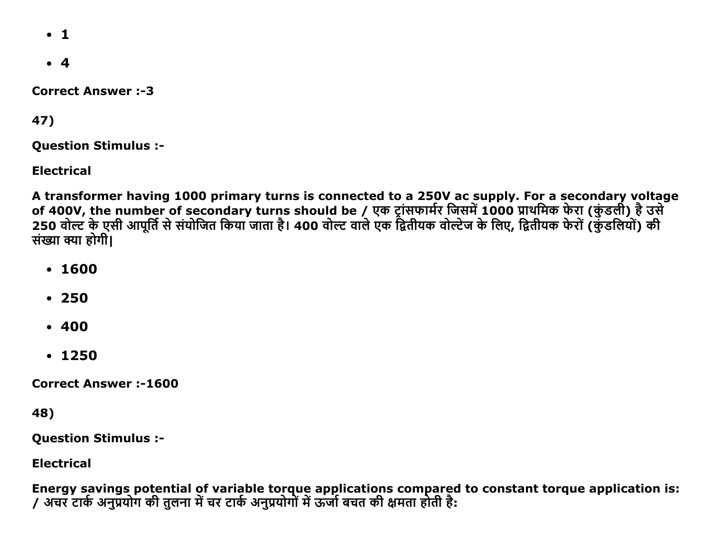- $\cdot$  1
- $4$

**Correct Answer :-3** 

47)

Question Stimulus :

Electrical

A transformer having 1000 primary turns is connected to a 250V ac supply. For a secondary voltage of 400V, the number of secondary turns should be / एक ट्रासफार्मर जिसमे 1000 प्राथमिक फेरा (कुडली) हे उसे 250 वोल्ट के एसी आपूर्ति से संयोजित किया जाता है। 400 वोल्ट वाले एक द्वितीयक वोल्टेज के लिए, द्वितीयक फेरो (कुडलियो) की संख्या क्या होगी।

- 1600
- 250
- $-400$
- $1250$

Correct Answer :1600

48)

Question Stimulus :

Electrical

Energy savings potential of variable torque applications compared to constant torque application is: / अचर टार्क अनुप्रयोग की तुलना में चर टार्क अनुप्रयोगों में ऊर्जा बचत की क्षमता होती है: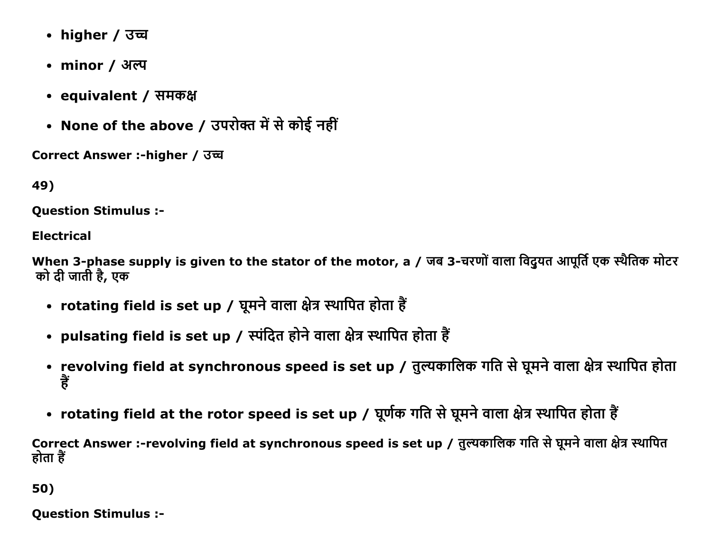- higher / उच्च
- minor / अल्प
- equivalent / समकक्ष
- None of the above / उपरोक्त में से कोई नहीं

Correct Answer :-higher / उच्च

49)

**Ouestion Stimulus :-**

**Electrical** 

When 3-phase supply is given to the stator of the motor, a / जब 3-चरणों वाला विद्युत आपूर्ति एक स्थैतिक मोटर को दी जाती है, एक

- rotating field is set up / घूमने वाला क्षेत्र स्थापित होता हैं
- pulsating field is set up / स्पंदित होने वाला क्षेत्र स्थापित होता हैं
- revolving field at synchronous speed is set up / तुल्यकालिक गति से घूमने वाला क्षेत्र स्थापित होता हैं
- rotating field at the rotor speed is set up / घूर्णक गति से घूमने वाला क्षेत्र स्थापित होता हैं

Correct Answer :-revolving field at synchronous speed is set up / तुल्यकालिक गति से घूमने वाला क्षेत्र स्थापित होता हैं

50)

**Question Stimulus :-**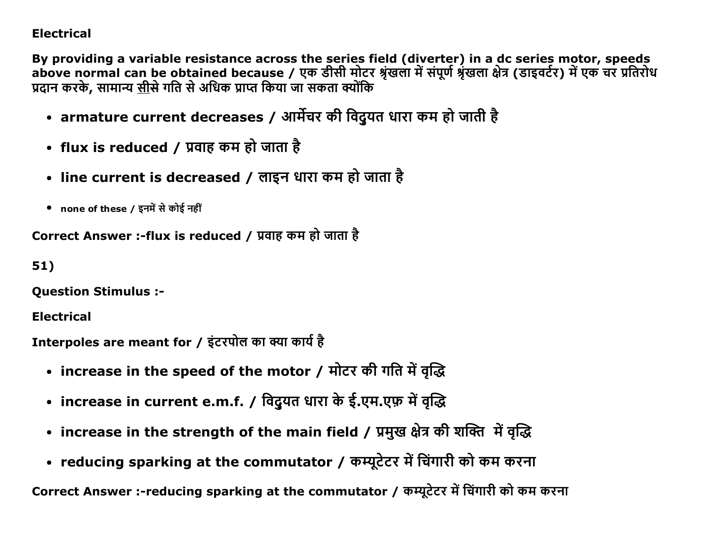### Electrical

By providing a variable resistance across the series field (diverter) in a dc series motor, speeds above normal can be obtained because / एक डीसी मोटर श्रृंखला में संपूर्ण श्रृंखला क्षेत्र (डाइवर्टर) में एक चर प्रतिरोध प्रदान करके, सामान्य <u>सी</u>से गति से अधिक प्राप्त किया जा सकता क्योंकि

- armature current decreases / आर्मेचर की विदुयत धारा कम हो जाती है
- flux is reduced / प्रवाह कम हो जाता है
- line current is decreased / लाइन धारा कम हो जाता है
- none of these / इनमें से कोई नहीं

Correct Answer :-flux is reduced / प्रवाह कम हो जाता है

51)

Question Stimulus :

Electrical

```
Interpoles are meant for / इंटरपोल का क्या कार्य है
```
- increase in the speed of the motor / मोटर की गति में वृद्धि
- increase in current e.m.f. / विदुयत धारा के ई.एम.एफ़ में वृद्धि
- increase in the strength of the main field / प्रमुख क्षेत्र की शक्ति में वृद्धि
- reducing sparking at the commutator / कम्यूटेटर में चिंगारी को कम करना

Correct Answer :-reducing sparking at the commutator / कम्यूटेटर में चिंगारी को कम करना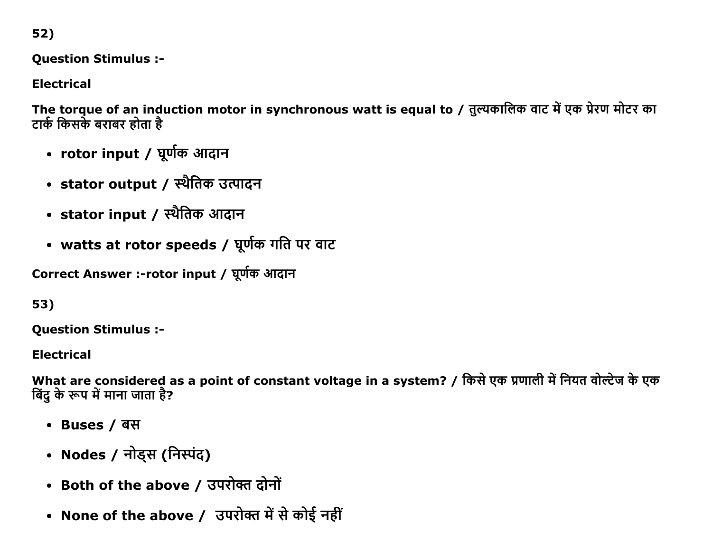52)

**Question Stimulus :-**

**Electrical** 

The torque of an induction motor in synchronous watt is equal to / तुल्यकालिक वाट में एक प्रेरण मोटर का टार्क किसके बराबर होता है

- rotor input / घूर्णक आदान
- stator output / स्थैतिक उत्पादन
- stator input / स्थैतिक आदान
- watts at rotor speeds / घूर्णक गति पर वाट

Correct Answer :-rotor input / घूर्णक आदान

53)

**Question Stimulus :-**

**Electrical** 

What are considered as a point of constant voltage in a system? / किसे एक प्रणाली में नियत वोल्टेज के एक बिंद के रूप में माना जाता है?

- Buses / बस
- Nodes / नोड्स (निस्पंद)
- Both of the above / उपरोक्त दोनों
- None of the above / उपरोक्त में से कोई नहीं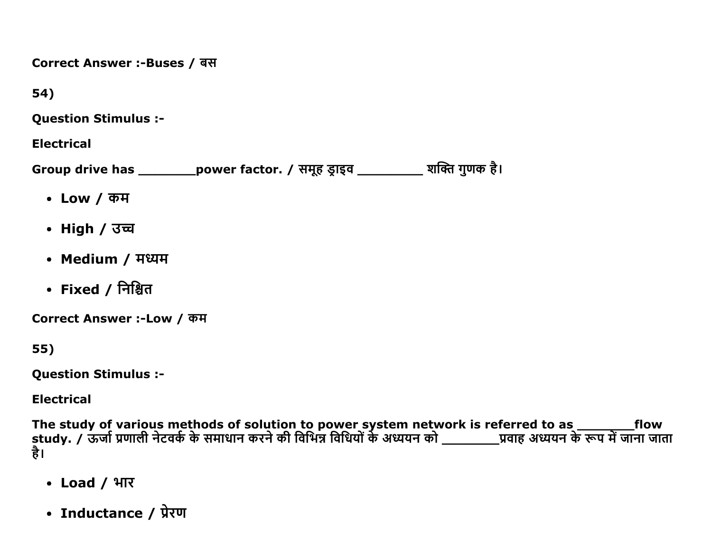Correct Answer :-Buses / बस

54)

**Question Stimulus :-**

**Electrical** 

Group drive has \_\_\_\_\_\_\_\_\_\_\_power factor. / समूह ड्राइव \_\_\_\_\_\_\_\_\_\_\_ शक्ति गुणक है।

- $\cdot$  Low / कम
- High / उच्च
- Medium / मध्यम
- Fixed / निश्चित

Correct Answer :-Low / कम

55)

**Question Stimulus :-**

**Electrical** 

The study of various methods of solution to power system network is referred to as \_\_\_\_\_\_\_\_\_\_\_\_\_\_\_\_\_\_\_\_\_\_\_\_\_\_<br>study. / ऊर्जा प्रणाली नेटवर्क के समाधान करने की विभिन्न विधियों के अध्ययन को \_\_\_\_\_\_\_\_\_\_\_प्रवाह अध्ययन के रूप म है।

- Load / भार
- Inductance / प्रेरण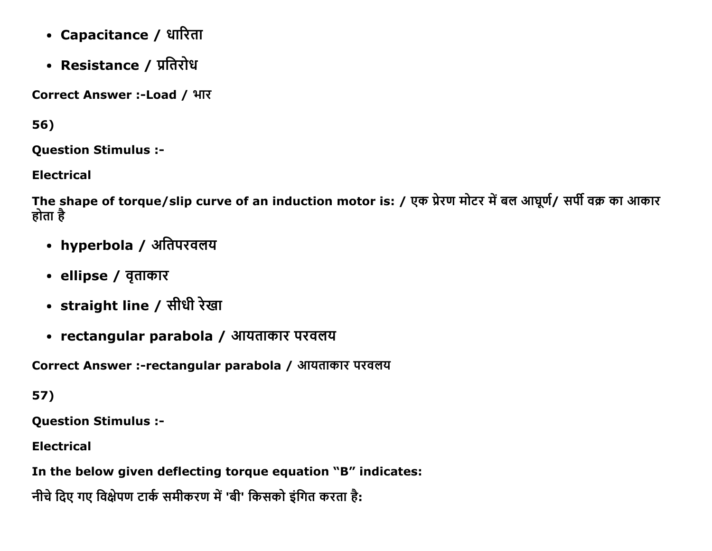- Capacitance / धारिता
- Resistance / प्रतिरोध

Correct Answer :-Load / भार

56)

**Question Stimulus :-**

**Electrical** 

The shape of torque/slip curve of an induction motor is: / एक प्रेरण मोटर में बल आघूर्ण/ सर्पी वक्र का आकार होता है

- hyperbola / अतिपरवलय
- ellipse / वृताकार
- straight line / सीधी रेखा
- rectangular parabola / आयताकार परवलय

Correct Answer :-rectangular parabola / आयताकार परवलय

57)

**Question Stimulus :-**

**Electrical** 

In the below given deflecting torque equation "B" indicates:

नीचे दिए गए विक्षेपण टार्क समीकरण में 'बी' किसको इंगित करता है: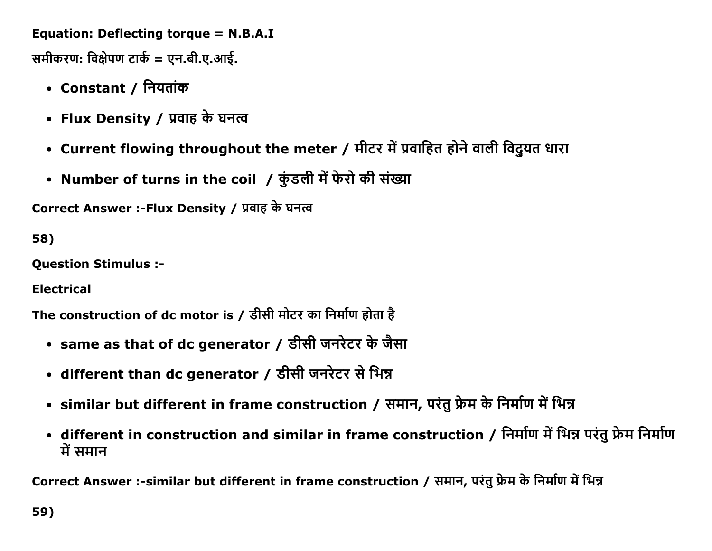Equation: Deflecting torque = N.B.A.I

समीकरण: विक्षेपण टार्क = एन.बी.ए.आई.

- Constant / नियतांक
- Flux Density / प्रवाह के घनत्व
- Current flowing throughout the meter / मीटर में प्रवाहित होने वाली विदुयत धारा
- Number of turns in the coil / कुंडली में फेरो की संख्या

Correct Answer :-Flux Density / प्रवाह के घनत्व

58)

**Question Stimulus :-**

**Electrical** 

The construction of dc motor is / डीसी मोटर का निर्माण होता है

- same as that of dc generator / डीसी जनरेटर के जैसा
- different than dc generator / डीसी जनरेटर से भिन्न
- similar but different in frame construction / समान, परंतु फ्रेम के निर्माण में भिन्न
- different in construction and similar in frame construction / निर्माण में भिन्न परंतु फ्रेम निर्माण में समान

Correct Answer :-similar but different in frame construction / समान, परंतु फ्रेम के निर्माण में भिन्न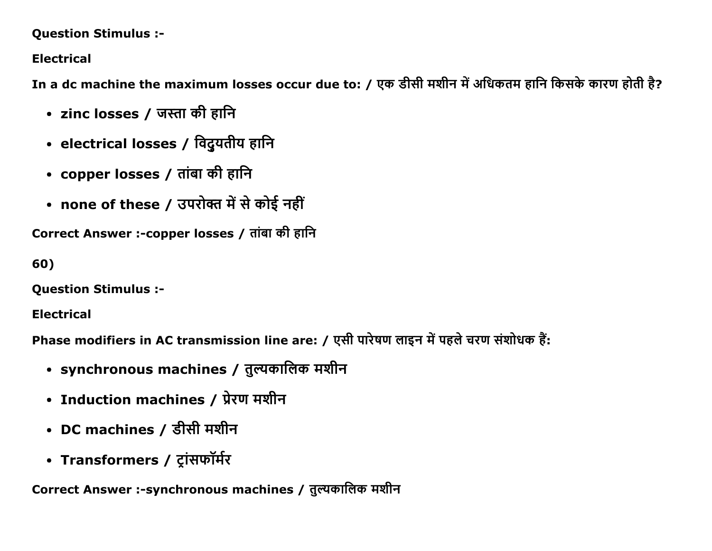### **Question Stimulus :-**

## **Electrical**

In a dc machine the maximum losses occur due to: / एक डीसी मशीन में अधिकतम हानि किसके कारण होती है?

- zinc losses / जस्ता की हानि
- electrical losses / विदुयतीय हानि
- copper losses / तांबा की हानि
- none of these / उपरोक्त में से कोई नहीं

Correct Answer :-copper losses / तांबा की हानि

60)

**Question Stimulus :-**

**Electrical** 

Phase modifiers in AC transmission line are: / एसी पारेषण लाइन में पहले चरण संशोधक हैं:

- synchronous machines / तुल्यकालिक मशीन
- Induction machines / प्रेरण मशीन
- DC machines / डीसी मशीन
- Transformers / ट्रांसफॉर्मर

Correct Answer :-synchronous machines / तुल्यकालिक मशीन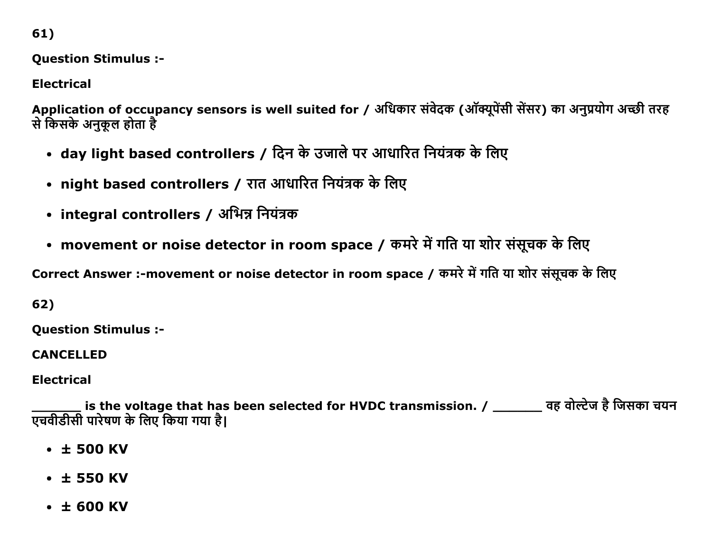61)

Question Stimulus :

Electrical

Application of occupancy sensors is well suited for / अधिकार संवेदक (ऑक्यूपेंसी सेंसर) का अनुप्रयोग अच्छी तरह से किसके अनुकूल होता है

- day light based controllers / दिन के उजाले पर आधारित नियंत्रक के लिए
- night based controllers / रात आधारित नियंत्रक के लिए
- integral controllers / अभिन्न नियंत्रक
- movement or noise detector in room space / कमरे में गति या शोर संसूचक के लिए

Correct Answer :-movement or noise detector in room space / कमरे में गति या शोर संसूचक के लिए

62)

Question Stimulus :

CANCELLED

Electrical

is the voltage that has been selected for HVDC transmission. / \_\_\_\_\_\_\_ वह वोल्टेज है जिसका चयन एचवीडीसी पारेषण के लिए किया गया है।

- $\cdot$   $\pm$  500 KV
- $\cdot$   $\pm$  550 KV
- ± 600 KV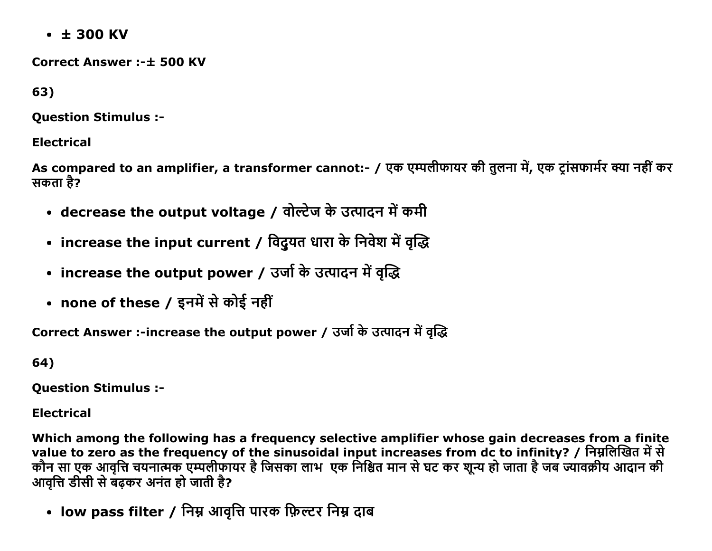$\cdot$   $\pm$  300 KV

**Correct Answer:-+ 500 KV** 

63)

**Ouestion Stimulus :-**

### **Electrical**

As compared to an amplifier, a transformer cannot:- / एक एम्पलीफायर की तुलना में, एक टांसफार्मर क्या नहीं कर सकता है?

- decrease the output voltage / वोल्टेज के उत्पादन में कमी
- increase the input current / विदुयत धारा के निवेश में वृद्धि
- increase the output power / उर्जा के उत्पादन में वृद्धि
- none of these / इनमें से कोई नहीं

Correct Answer :-increase the output power / उर्जा के उत्पादन में वृद्धि

64)

**Question Stimulus :-**

**Electrical** 

Which among the following has a frequency selective amplifier whose gain decreases from a finite value to zero as the frequency of the sinusoidal input increases from dc to infinity? / निम्नलिखित में से कौन सा एक आवृत्ति चयनात्मक एम्पलीफायर है जिसका लाभ एक निश्चित मान से घट कर शून्य हो जाता है जब ज्यावक्रीय आदान की आवत्ति डीसी से बढकर अनंत हो जाती है?

• low pass filter / निम्न आवृत्ति पारक फ़िल्टर निम्न दाब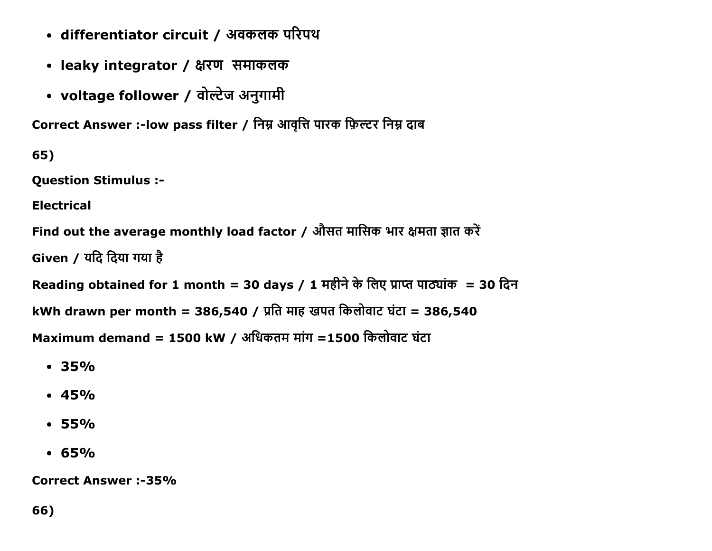- differentiator circuit / अवकलक परिपथ
- leaky integrator / क्षरण समाकलक
- voltage follower / वोल्टेज अनुगामी

Correct Answer :-low pass filter / निम्न आवृत्ति पारक फ़िल्टर निम्न दाब

65)

Question Stimulus :

Electrical

Find out the average monthly load factor / औसत मासिक भार क्षमता ज्ञात करें

Given / यदि दिया गया है

Reading obtained for 1 month = 30 days / 1  $\overline{H}$ हीने के लिए प्राप्त पाठ्यांक = 30 दिन

kWh drawn per month = 386,540 / प्रति माह खपत किलोवाट घंटा = 386,540

Maximum demand = 1500 kW / अधिकतम मांग =1500 किलोवाट घंटा

- 35%
- $-45%$
- $-55%$
- $.65%$

Correct Answer :-35%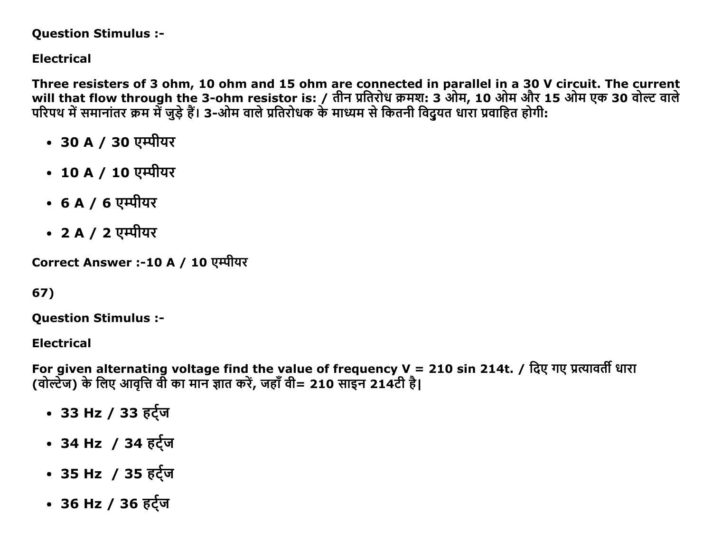#### **Question Stimulus :-**

## **Electrical**

Three resisters of 3 ohm, 10 ohm and 15 ohm are connected in parallel in a 30 V circuit. The current will that flow through the 3-ohm resistor is: / तीन प्रतिरोध क्रमश: 3 ओम, 10 ओम और 15 ओम एक 30 वोल्ट वाले परिपथ में समानांतर क्रम में जुड़े हैं। 3-ओम वाले प्रतिरोधक के माध्यम से कितनी विदुयत धारा प्रवाहित होगी:

- 30 A / 30 एम्पीयर
- 10 A / 10 एम्पीयर
- 6 A / 6 एम्पीयर
- 2 A / 2 एम्पीयर

Correct Answer :-10 A / 10 एम्पीयर

### 67)

**Ouestion Stimulus :-**

**Electrical** 

For given alternating voltage find the value of frequency  $V = 210$  sin 214t. / दिए गए प्रत्यावर्ती धारा (वोल्टेज) के लिए आवृत्ति वी का मान ज्ञात करें, जहाँ वी= 210 साइन 214टी है।

- 33 Hz / 33 हर्ट्ज
- 34 Hz / 34 हर्ट्ज
- 35 Hz / 35 हर्ट्ज
- 36 Hz / 36 हर्ट्ज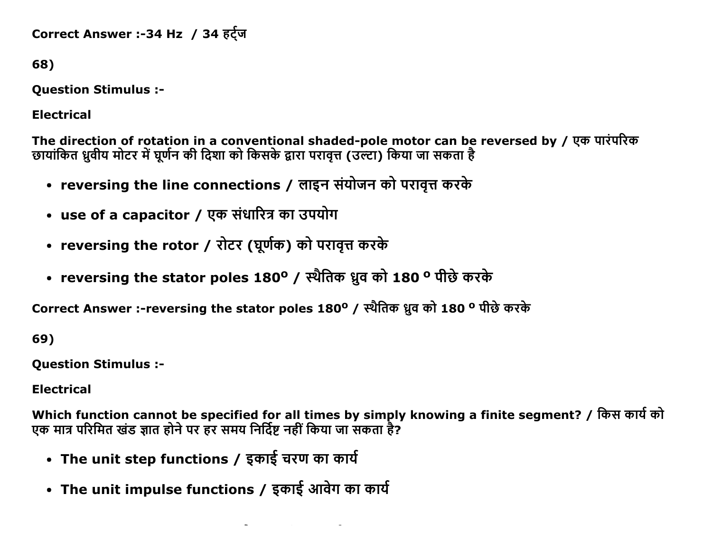Correct Answer :-34 Hz / 34 हर्ट्ज

68)

**Question Stimulus :-**

**Electrical** 

The direction of rotation in a conventional shaded-pole motor can be reversed by / एक पारंपरिक छायांकित ध्रुवीय मोटर में घूर्णन की दिशा को किसके द्वारा परावृत्त (उल्टा) किया जा सकता है

- reversing the line connections / लाइन संयोजन को परावृत्त करके
- use of a capacitor / एक संधारित्र का उपयोग
- reversing the rotor / रोटर (घूर्णक) को परावृत्त करके
- reversing the stator poles 180° / स्थैतिक ध्रुव को 180 ° पीछे करके

Correct Answer :-reversing the stator poles 180° / स्थैतिक ध्रुव को 180 ° पीछे करके

69)

**Question Stimulus :-**

**Electrical** 

Which function cannot be specified for all times by simply knowing a finite segment? / किस कार्य को एक मात्र परिमित खंड ज्ञात होने पर हर समय निर्दिष्ट नहीं किया जा सकता है?

- The unit step functions / इकाई चरण का कार्य
- The unit impulse functions / इकाई आवेग का कार्य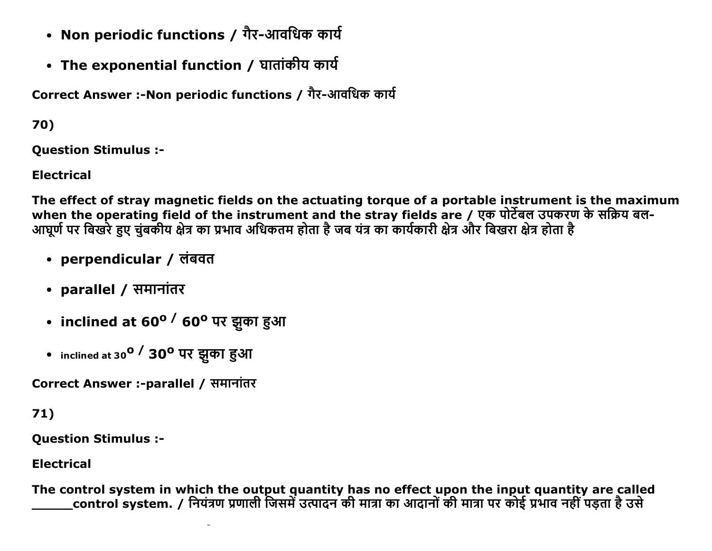- Non periodic functions / गैर-आवधिक कार्य
- The exponential function / घातांकीय कार्य

Correct Answer :-Non periodic functions / गैर-आवधिक कार्य

70)

**Ouestion Stimulus :-**

**Electrical** 

The effect of stray magnetic fields on the actuating torque of a portable instrument is the maximum when the operating field of the instrument and the stray fields are / एक पोर्टेबल उपकरण के सक्रिय बल-आघूर्ण पर बिखरे हुए चुंबकीय क्षेत्र का प्रभाव अधिकतम होता है जब यंत्र का कार्यकारी क्षेत्र और बिखरा क्षेत्र होता है

- perpendicular / लंबवत
- parallel / समानांतर
- inclined at 60° <sup>/</sup> 60° पर झुका हुआ
- inclined at 30<sup>0</sup> / 30<sup>0</sup> पर झुका हुआ

Correct Answer :-parallel / समानांतर

 $71)$ 

**Question Stimulus :-**

**Electrical** 

The control system in which the output quantity has no effect upon the input quantity are called control system. / नियंत्रण प्रणाली जिसमें उत्पादन की मात्रा का आदानों की मात्रा पर कोई प्रभाव नहीं पडता है उसे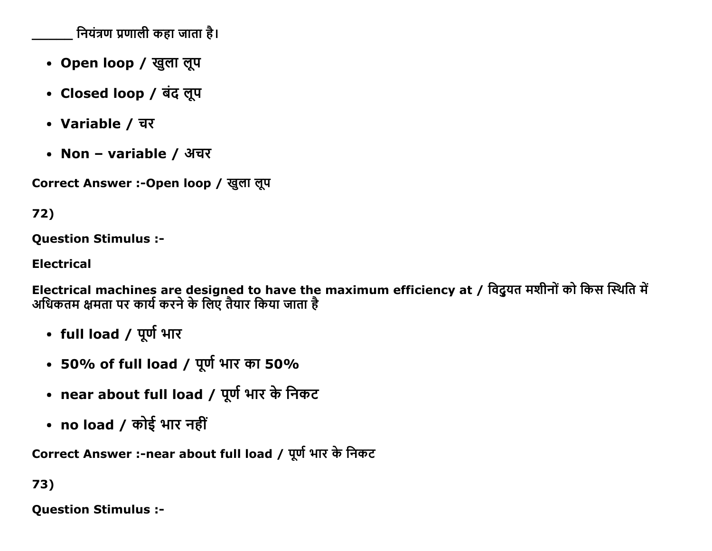नियंत्रण प्रणाली कहा जाता है।

- Open loop / खुला लूप
- Closed loop / बंद लूप
- Variable / चर
- Non variable / अचर

Correct Answer :-Open loop / खुला लूप

# 72)

**Question Stimulus :-**

**Electrical** 

Electrical machines are designed to have the maximum efficiency at / विदुयत मशीनों को किस स्थिति में<br>अधिकतम क्षमता पर कार्य करने के लिए तैयार किया जाता है

- full load / पूर्ण भार
- 50% of full load / पूर्ण भार का 50%
- near about full load / पूर्ण भार के निकट
- no load / कोई भार नहीं

Correct Answer :-near about full load / पूर्ण भार के निकट

# 73)

**Ouestion Stimulus :-**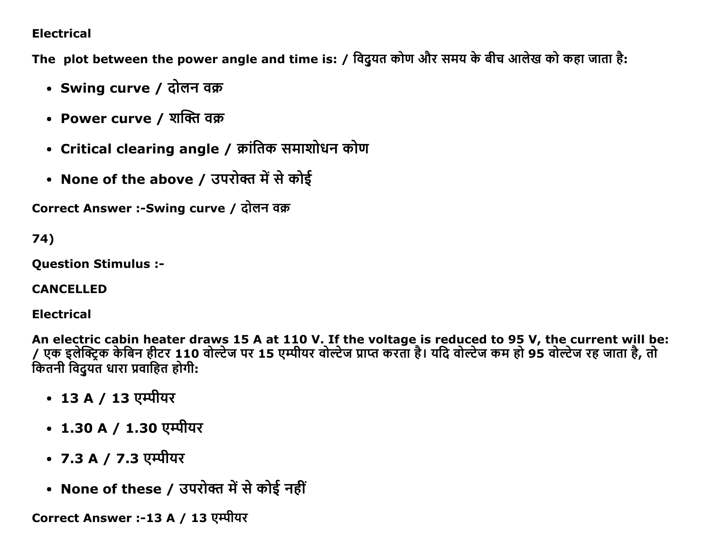### **Electrical**

The plot between the power angle and time is: / विदुयत कोण और समय के बीच आलेख को कहा जाता है:

- Swing curve / दोलन वक्र
- Power curve / शक्ति वक्र
- Critical clearing angle / क्रांतिक समाशोधन कोण
- None of the above / उपरोक्त में से कोई

Correct Answer :-Swing curve / दोलन वक्र

74)

**Ouestion Stimulus :-**

**CANCELLED** 

**Electrical** 

An electric cabin heater draws 15 A at 110 V. If the voltage is reduced to 95 V, the current will be: एक इलेक्ट्रिक केबिन हीटर 110 वोल्टेज पर 15 एम्पीयर वोल्टेज प्राप्त करता है। यदि वोल्टेज कम हो 95 वोल्टेज रह जाता है, तो कितनी विदयंत धारा प्रवाहित होगी:

- 13 A / 13 एम्पीयर
- 1.30 A / 1.30 एम्पीयर
- 7.3 A / 7.3 एम्पीयर
- None of these / उपरोक्त में से कोई नहीं

Correct Answer :-13 A / 13 एम्पीयर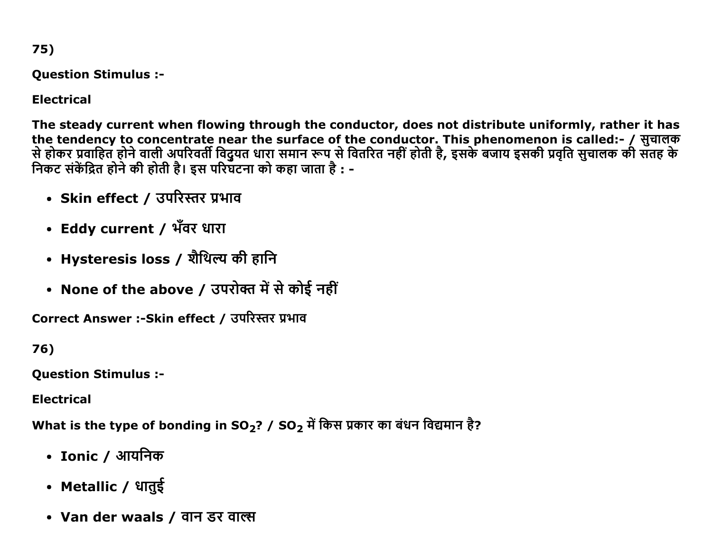75)

**Question Stimulus :-**

**Electrical** 

The steady current when flowing through the conductor, does not distribute uniformly, rather it has the tendency to concentrate near the surface of the conductor. This phenomenon is called:- / सुचालक से होकर प्रवाहित होने वाली अपरिवर्ती विदुयत धारा समान रूप से वितरित नहीं होती है, इसके बजाय इसकी प्रवृति सुचालक की सतह के<br>निकट संकेंद्रित होने की होती है। इस परिघटना को कहा जाता है : -

- Skin effect / उपरिस्तर प्रभाव
- Eddy current / भँवर धारा
- Hysteresis loss / शैथिल्य की हानि
- None of the above / उपरोक्त में से कोई नहीं

Correct Answer :- Skin effect / उपरिस्तर प्रभाव

76)

**Question Stimulus :-**

**Electrical** 

What is the type of bonding in SO<sub>2</sub>? / SO<sub>2</sub> में किस प्रकार का बंधन विद्यमान है?

- Ionic / आयनिक
- Metallic / धातुई
- Van der waals / वान डर वाल्स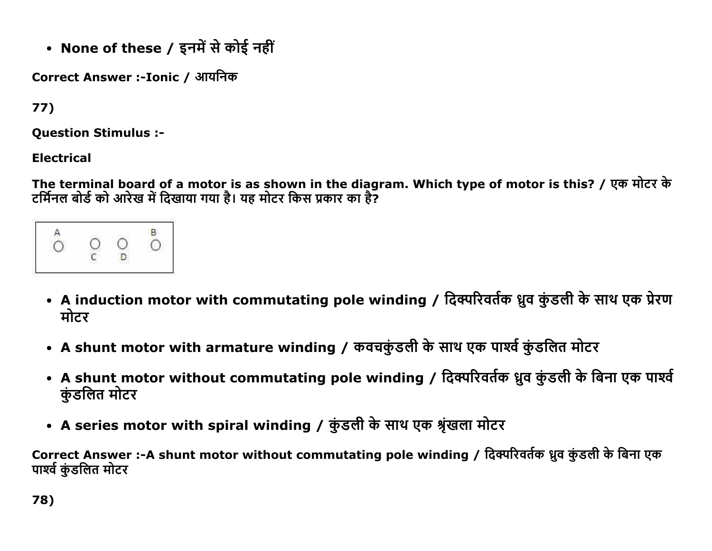• None of these / इनमें से कोई नहीं

Correct Answer :-Ionic / आयनिक

77)

**Question Stimulus :-**

**Electrical** 

The terminal board of a motor is as shown in the diagram. Which type of motor is this? / एक मोटर के टर्मिनल बोर्ड को आरेख में दिखाया गया है। यह मोटर किस प्रकार का है?

- A induction motor with commutating pole winding / दिक्परिवर्तक ध्रुव कुंडली के साथ एक प्रेरण मोटर
- A shunt motor with armature winding / कवचकुंडली के साथ एक पार्श्व कुंडलित मोटर
- A shunt motor without commutating pole winding / दिक्परिवर्तक ध्रुव कुंडली के बिना एक पार्श्व कुंडलित मोटर
- A series motor with spiral winding / कुंडली के साथ एक श्रृंखला मोटर

Correct Answer :-A shunt motor without commutating pole winding / दिक्परिवर्तक ध्रुव कुंडली के बिना एक पार्श्व कुंडलित मोटर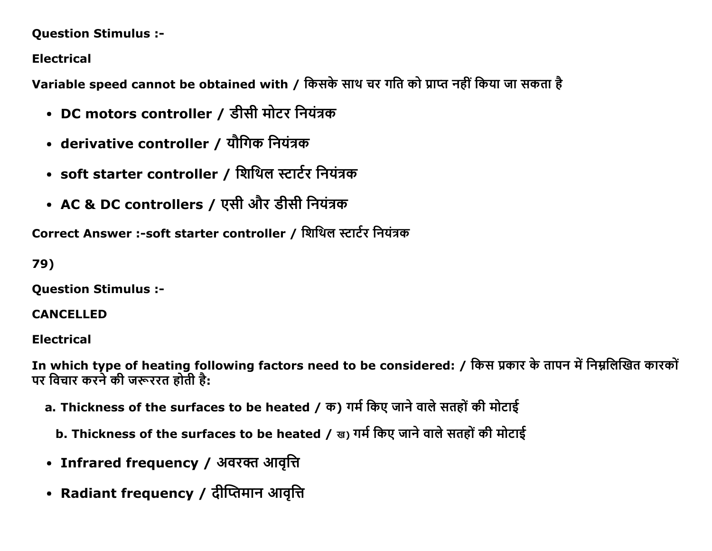### **Question Stimulus :-**

**Electrical** 

Variable speed cannot be obtained with / किसके साथ चर गति को प्राप्त नहीं किया जा सकता है

- DC motors controller / डीसी मोटर नियंत्रक
- derivative controller / यौगिक नियंत्रक
- soft starter controller / शिथिल स्टार्टर नियंत्रक
- AC & DC controllers / एसी और डीसी नियंत्रक

Correct Answer :- soft starter controller / शिथिल स्टार्टर नियंत्रक

79)

**Question Stimulus :-**

### **CANCELLED**

**Electrical** 

In which type of heating following factors need to be considered: / किस प्रकार के तापन में निम्नलिखित कारकों पर विचार करने की जरूररत होती है:

- a. Thickness of the surfaces to be heated / क) गर्म किए जाने वाले सतहों की मोटाई
	- b. Thickness of the surfaces to be heated / ख) गर्म किए जाने वाले सतहों की मोटाई
- Infrared frequency / अवरक्त आवृत्ति
- Radiant frequency / दीप्तिमान आवृत्ति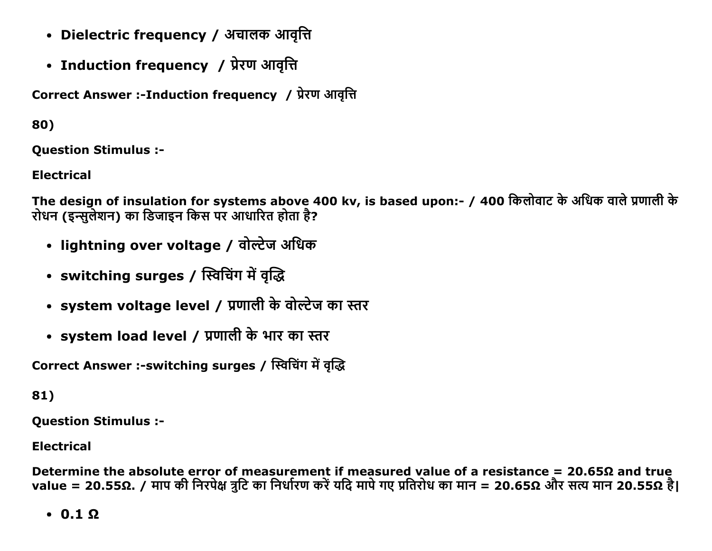- Dielectric frequency / अचालक आवृत्ति
- Induction frequency / प्रेरण आवृत्ति

Correct Answer :-Induction frequency / प्रेरण आवृत्ति

80)

**Ouestion Stimulus :-**

**Electrical** 

The design of insulation for systems above 400 kv, is based upon:- / 400 किलोवाट के अधिक वाले प्रणाली के रोधन (इन्सुलेशन) का डिजाइन किस पर आधारित होता है?

- lightning over voltage / वोल्टेज अधिक
- switching surges / स्विचिंग में वृद्धि
- system voltage level / प्रणाली के वोल्टेज का स्तर
- system load level / प्रणाली के भार का स्तर

Correct Answer :-switching surges / स्विचिंग में वृद्धि

81)

**Question Stimulus :-**

**Electrical** 

Determine the absolute error of measurement if measured value of a resistance =  $20.65\Omega$  and true value = 20.55Ω. / माप की निरपेक्ष त्रुटि का निर्धारण करें यदि मापे गए प्रतिरोध का मान = 20.65Ω और सत्य मान 20.55Ω है।

 $\cdot$  0.1  $\Omega$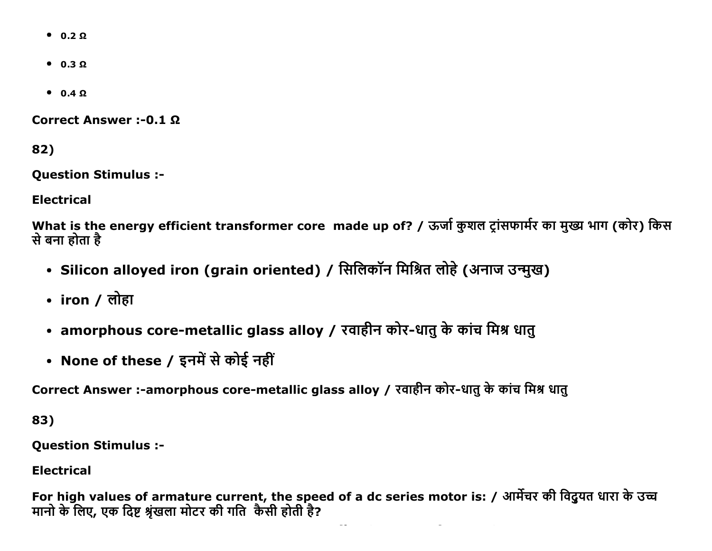- $0.2 \Omega$
- $0.3 \Omega$
- $0.4 \Omega$

Correct Answer :- 0.1 Ω

82)

Question Stimulus :

Electrical

What is the energy efficient transformer core made up of? / ऊर्जा कुशल ट्रांसफार्मर का मुख्य भाग (कोर) किस से बना होता है

- Silicon alloyed iron (grain oriented) / सिलिकॉन मिश्रित लोहे (अनाज उन्मुख)
- iron / लोहा
- amorphous core-metallic glass alloy / रवाहीन कोर-धातु के कांच मिश्र धातु
- None of these / इनमें से कोई नहीं

Correct Answer :-amorphous core-metallic glass alloy / रवाहीन कोर-धातु के कांच मिश्र धातु

83)

Question Stimulus :

Electrical

For high values of armature current, the speed of a dc series motor is: / आर्मेचर की विदुयत धारा के उच्च मानो के लिए, एक दिष्ट श्रृंखला मोटर की गति कैसी होती है?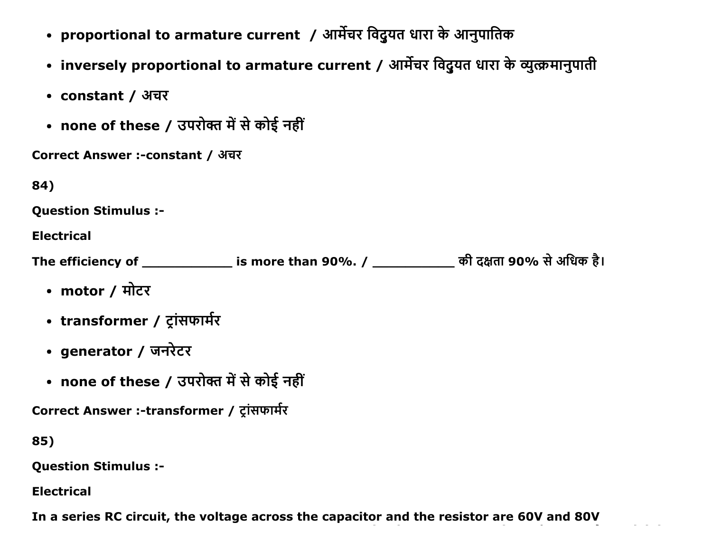- proportional to armature current / आर्मेचर विदुयत धारा के आनुपातिक
- inversely proportional to armature current / आर्मेचर विदुयत धारा के व्युत्क्रमानुपाती
- constant / अचर
- none of these / उपरोक्त में से कोई नहीं

| Correct Answer :-constant / अचर |  |  |
|---------------------------------|--|--|
|---------------------------------|--|--|

| ٠<br>v<br>٠ |  |
|-------------|--|
|-------------|--|

```
Ouestion Stimulus :-
```
**Electrical** 

The efficiency of \_\_\_\_\_\_\_\_\_\_\_\_\_\_\_ is more than 90%. / \_\_\_\_\_\_\_\_\_\_\_\_\_\_ की दक्षता 90% से अधिक है।

- motor / मोटर
- transformer / ट्रांसफार्मर
- generator / जनरेटर
- none of these / उपरोक्त में से कोई नहीं

Correct Answer :-transformer / ट्रांसफार्मर

85)

**Question Stimulus :-**

**Electrical** 

In a series RC circuit, the voltage across the capacitor and the resistor are 60V and 80V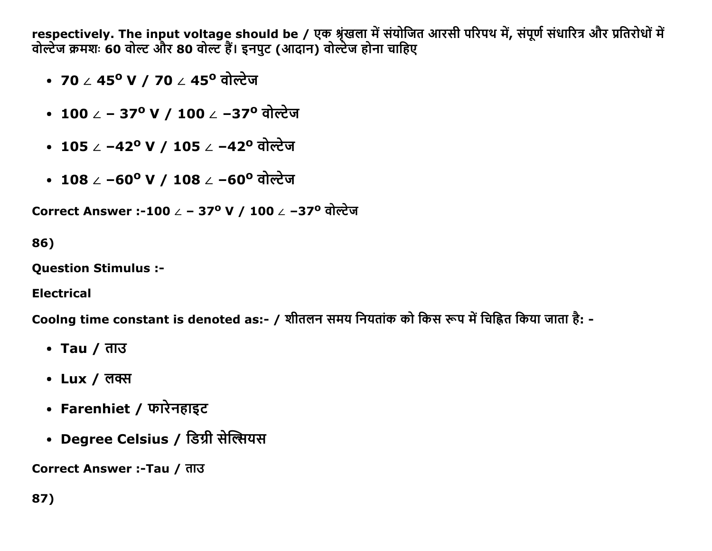respectively. The input voltage should be / एक श्रृंखला में संयोजित आरसी परिपथ में, संपूर्ण संधारित्र और प्रतिरोधों में<br>वोल्टेज क्रमशः 60 वोल्ट और 80 वोल्ट हैं। इनपुट (आदान) वोल्टेज होना चाहिए

- ∙ 70 ∠ 45º V / 70 ∠ 45º वोल्टेज
- 100 ∠ 37° V / 100 ∠ –37° वोल्टेज
- 105 / -42<sup>o</sup> V / 105 / -42<sup>o</sup> वोल्टेज
- 108 ∠ −60º V / 108 ∠ −60º वोल्टेज

Correct Answer :-100 ∠ - 37° V / 100 ∠ -37° वोल्टेज

86)

**Question Stimulus :-**

**Electrical** 

Coolng time constant is denoted as:- / शीतलन समय नियतांक को किस रूप में चिह्नित किया जाता है: -

- Tau / ताउ
- Lux / लक्स
- Farenhiet / फारेनहाइट
- Degree Celsius / डिग्री सेल्सियस

Correct Answer :-Tau / ताउ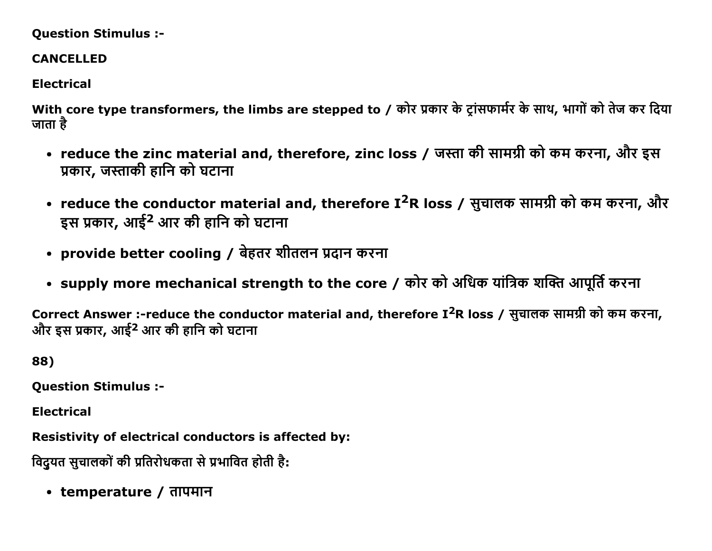#### Question Stimulus :

### CANCELLED

## Electrical

With core type transformers, the limbs are stepped to / कोर प्रकार के ट्रांसफार्मर के साथ, भागों को तेज कर दिया जाता है $\overline{\phantom{a}}$ 

- reduce the zinc material and, therefore, zinc loss / जस्ता की सामग्री को कम करना, और इस प्रकार, जस्ताकी हानि को घटाना
- reduce the conductor material and, therefore I<sup>2</sup>R loss / सुचालक सामग्री को कम करना, और इस प्रकार, आई<sup>2</sup> आर की हानि को घटाना
- provide better cooling / बेहतर शीतलन प्रदान करना
- supply more mechanical strength to the core / कोर को अधिक यांत्रिक शक्ति आपूर्ति करना

Correct Answer :-reduce the conductor material and, therefore I<sup>2</sup>R loss / सूचालक सामग्री को कम करना, और इस प्रकार, आई<sup>2</sup> आर की हानि को घटाना

88)

Question Stimulus :

Electrical

Resistivity of electrical conductors is affected by:

विदयत सचालकों की प्रतिरोधकता से प्रभावित होती है:

• temperature / तापमान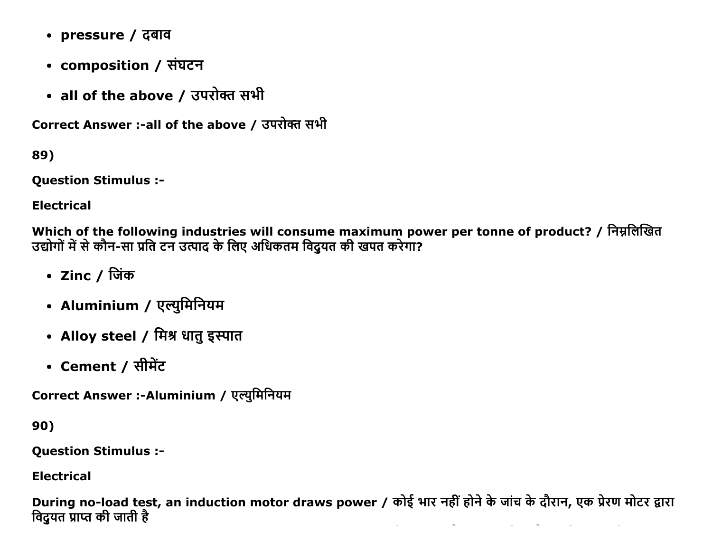- pressure / दबाव
- composition / संघटन
- all of the above / उपरोक्त सभी

Correct Answer :- all of the above / उपरोक्त सभी

89)

**Question Stimulus :-**

**Electrical** 

Which of the following industries will consume maximum power per tonne of product? / निम्नलिखित उद्योगों में से कौन-सा प्रति टन उत्पाद के लिए अधिकतम विदुयत की खपत करेगा?

- Zinc / जिंक
- Aluminium / एल्युमिनियम
- Alloy steel / मिश्र धातु इस्पात
- Cement / सीमेंट

Correct Answer :-Aluminium / एल्युमिनियम

90)

**Question Stimulus :-**

**Electrical** 

During no-load test, an induction motor draws power / कोई भार नहीं होने के जांच के दौरान, एक प्रेरण मोटर द्वारा विदुयत प्राप्त की जाती है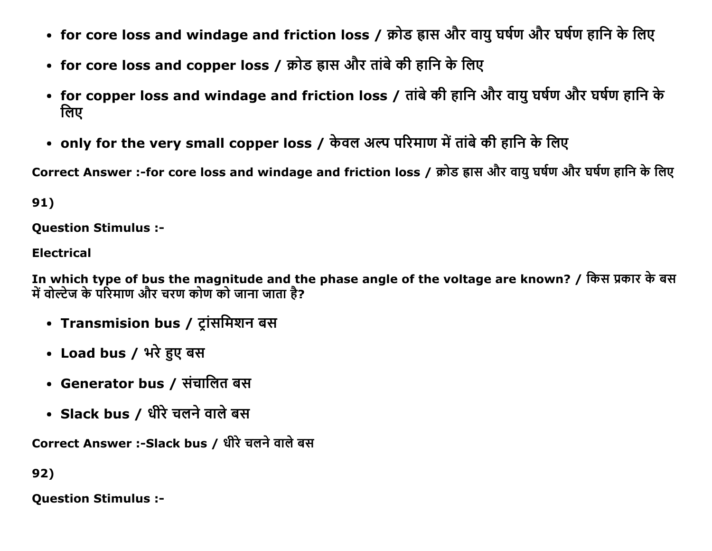- for core loss and windage and friction loss / क्रोड ह्रास और वायु घर्षण और घर्षण हानि के लिए
- for core loss and copper loss / क्रोड ह्रास और तांबे की हानि के लिए
- for copper loss and windage and friction loss / तांबे की हानि और वायु घर्षण और घर्षण हानि के तिए
- only for the very small copper loss / केवल अल्प परिमाण में तांबे की हानि के लिए

Correct Answer :-for core loss and windage and friction loss / क्रोड ह्रास और वायु घर्षण और घर्षण हानि के लिए

91)

Question Stimulus :

Electrical

In which type of bus the magnitude and the phase angle of the voltage are known? / किस प्रकार के बस में वोल्टेज के परिमाण और चरण कोण को जाना जाता है?

- Transmision bus / ट्रांसमिशन बस
- Load bus / भरे हुए बस
- Generator bus / संचालित बस
- Slack bus / धीरे चलने वाले बस

Correct Answer :-Slack bus / धीरे चलने वाले बस

92)

Question Stimulus :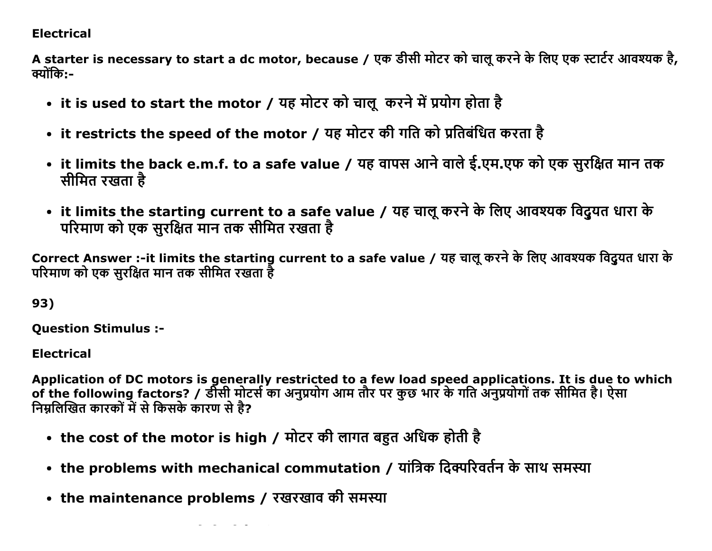## **Electrical**

A starter is necessary to start a dc motor, because / एक डीसी मोटर को चालू करने के लिए एक स्टार्टर आवश्यक है, क्योंकि:-

- it is used to start the motor / यह मोटर को चालू करने में प्रयोग होता है
- it restricts the speed of the motor / यह मोटर की गति को प्रतिबंधित करता है
- it limits the back e.m.f. to a safe value / यह वापस आने वाले ई.एम.एफ को एक सुरक्षित मान तक सीमित रखता है
- it limits the starting current to a safe value / यह चालू करने के लिए आवश्यक विदुयत धारा के परिमाण को एक सुरक्षित मान तक सीमित रखता है

Correct Answer :-it limits the starting current to a safe value / यह चालू करने के लिए आवश्यक विदुयत धारा के परिमाण को एक सुरक्षित मान तक सीमित रखता है

93)

**Ouestion Stimulus :-**

**Electrical** 

Application of DC motors is generally restricted to a few load speed applications. It is due to which of the following factors? / र्डीसी मोटर्स का अनुप्रयोग आम तौर पर कुछ भार के गति अनुप्रयोगों तक सीमित है। ऐसा निम्नलिखित कारकों में से किसके कारण से है?

- the cost of the motor is high / मोटर की लागत बहुत अधिक होती है
- the problems with mechanical commutation / यांत्रिक दिक्परिवर्तन के साथ समस्या
- the maintenance problems / रखरखाव की समस्या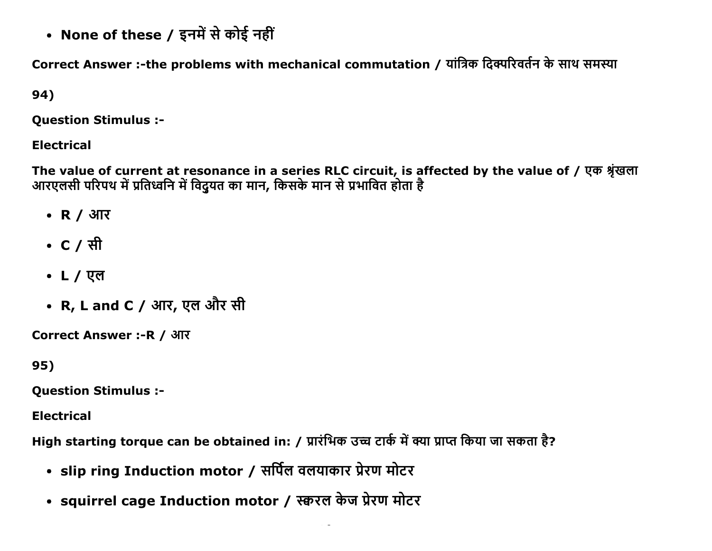• None of these / इनमें से कोई नहीं

Correct Answer :-the problems with mechanical commutation / यांत्रिक दिक्परिवर्तन के साथ समस्या

## 94)

**Question Stimulus :-**

## **Electrical**

The value of current at resonance in a series RLC circuit, is affected by the value of / एक श्रृंखला<br>आरएलसी परिपथ में प्रतिध्वनि में विदुयत का मान, किसके मान से प्रभावित होता है

- R / आर
- C / सी
- L / एल
- R, L and C / आर, एल और सी

Correct Answer :- R / आर

95)

**Ouestion Stimulus :-**

**Electrical** 

High starting torque can be obtained in: / प्रारंभिक उच्च टार्क में क्या प्राप्त किया जा सकता है?

- slip ring Induction motor / सर्पिल वलयाकार प्रेरण मोटर
- squirrel cage Induction motor / स्करल केज प्रेरण मोटर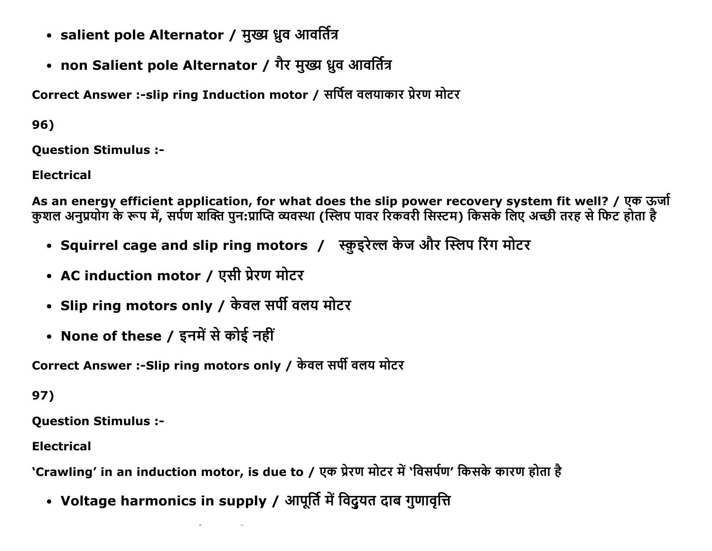- salient pole Alternator / मुख्य ध्रुव आवर्तित्र
- non Salient pole Alternator / गैर मुख्य ध्रुव आवर्तित्र

Correct Answer :-slip ring Induction motor / सर्पिल वलयाकार प्रेरण मोटर

96)

**Ouestion Stimulus :-**

**Electrical** 

As an energy efficient application, for what does the slip power recovery system fit well? / एक ऊर्जा कुशल अनुप्रयोग के रूप में, सर्पण शक्ति पुन:प्राप्ति व्यवस्था (स्लिप पावर रिकवरी सिस्टम) किसके लिए अच्छी तरह से फिट होता है

- Squirrel cage and slip ring motors / स्कुइरेल्ल केज और स्लिप रिंग मोटर
- AC induction motor / एसी प्रेरण मोटर
- Slip ring motors only / केवल सर्पी वलय मोटर
- None of these / इनमें से कोई नहीं

Correct Answer :- Slip ring motors only / केवल सर्पी वलय मोटर

97)

**Question Stimulus :-**

**Electrical** 

'Crawling' in an induction motor, is due to / एक प्रेरण मोटर में 'विसर्पण' किसके कारण होता है

• Voltage harmonics in supply / आपूर्ति में विदुयत दाब गुणावृत्ति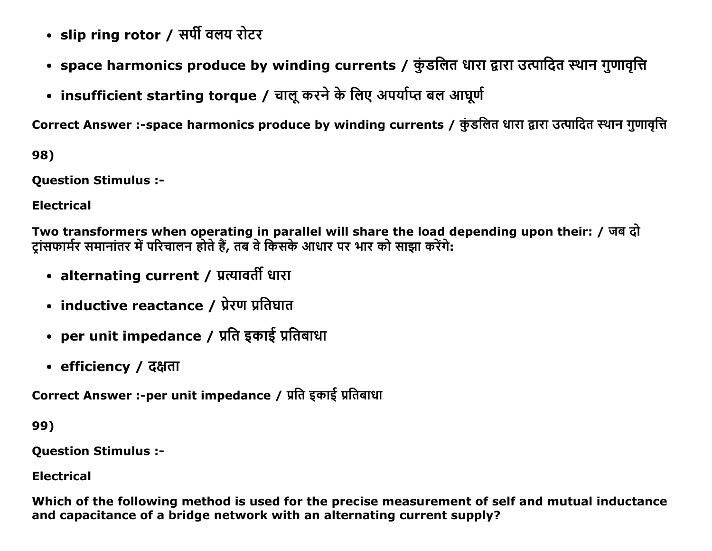- slip ring rotor / सर्पी वलय रोटर
- space harmonics produce by winding currents / कुंडलित धारा द्वारा उत्पादित स्थान गुणावृत्ति
- insufficient starting torque / चालू करने के लिए अपर्याप्त बल आघूर्ण

Correct Answer :-space harmonics produce by winding currents / कुंडलित धारा द्वारा उत्पादित स्थान गुणावृत्ति

98)

**Ouestion Stimulus :-**

**Electrical** 

Two transformers when operating in parallel will share the load depending upon their: / जब दो ट्रांसफार्मर समानांतर में परिचालन होते हैं, तब वे किसके आधार पर भार को साझा करेंगे:

- alternating current / प्रत्यावर्ती धारा
- inductive reactance / प्रेरण प्रतिघात
- per unit impedance / प्रति इकाई प्रतिबाधा
- efficiency / दक्षता

Correct Answer :-per unit impedance / प्रति इकाई प्रतिबाधा

99)

**Question Stimulus :-**

**Electrical** 

Which of the following method is used for the precise measurement of self and mutual inductance and capacitance of a bridge network with an alternating current supply?